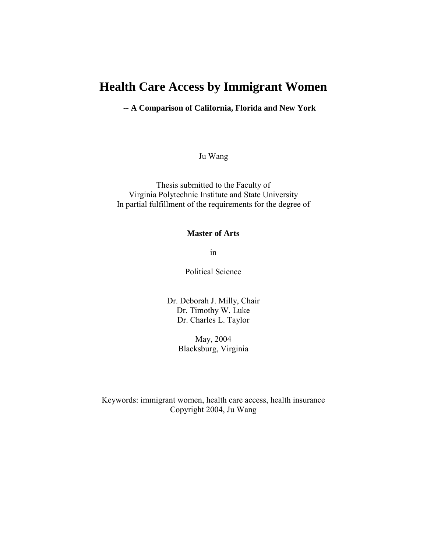# **Health Care Access by Immigrant Women**

**-- A Comparison of California, Florida and New York** 

Ju Wang

Thesis submitted to the Faculty of Virginia Polytechnic Institute and State University In partial fulfillment of the requirements for the degree of

### **Master of Arts**

in

Political Science

Dr. Deborah J. Milly, Chair Dr. Timothy W. Luke Dr. Charles L. Taylor

> May, 2004 Blacksburg, Virginia

Keywords: immigrant women, health care access, health insurance Copyright 2004, Ju Wang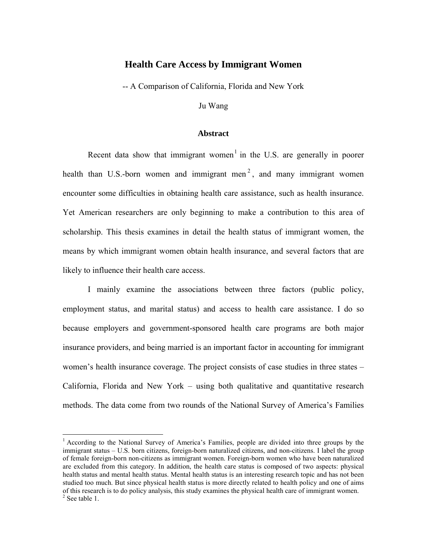### **Health Care Access by Immigrant Women**

-- A Comparison of California, Florida and New York

Ju Wang

### **Abstract**

Recent data show that immigrant women<sup>1</sup> in the U.S. are generally in poorer health than U.S.-born women and immigrant men<sup>2</sup>, and many immigrant women encounter some difficulties in obtaining health care assistance, such as health insurance. Yet American researchers are only beginning to make a contribution to this area of scholarship. This thesis examines in detail the health status of immigrant women, the means by which immigrant women obtain health insurance, and several factors that are likely to influence their health care access.

I mainly examine the associations between three factors (public policy, employment status, and marital status) and access to health care assistance. I do so because employers and government-sponsored health care programs are both major insurance providers, and being married is an important factor in accounting for immigrant women's health insurance coverage. The project consists of case studies in three states – California, Florida and New York – using both qualitative and quantitative research methods. The data come from two rounds of the National Survey of America's Families

<sup>&</sup>lt;sup>1</sup> According to the National Survey of America's Families, people are divided into three groups by the immigrant status – U.S. born citizens, foreign-born naturalized citizens, and non-citizens. I label the group of female foreign-born non-citizens as immigrant women. Foreign-born women who have been naturalized are excluded from this category. In addition, the health care status is composed of two aspects: physical health status and mental health status. Mental health status is an interesting research topic and has not been studied too much. But since physical health status is more directly related to health policy and one of aims of this research is to do policy analysis, this study examines the physical health care of immigrant women.  $2$  See table 1.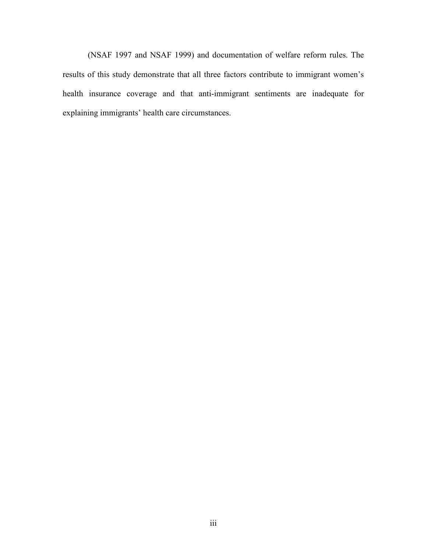(NSAF 1997 and NSAF 1999) and documentation of welfare reform rules. The results of this study demonstrate that all three factors contribute to immigrant women's health insurance coverage and that anti-immigrant sentiments are inadequate for explaining immigrants' health care circumstances.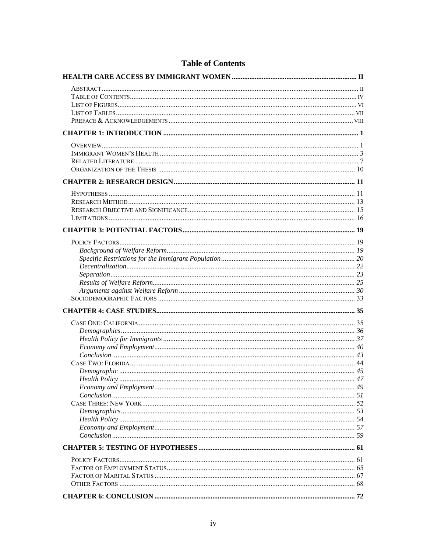## **Table of Contents**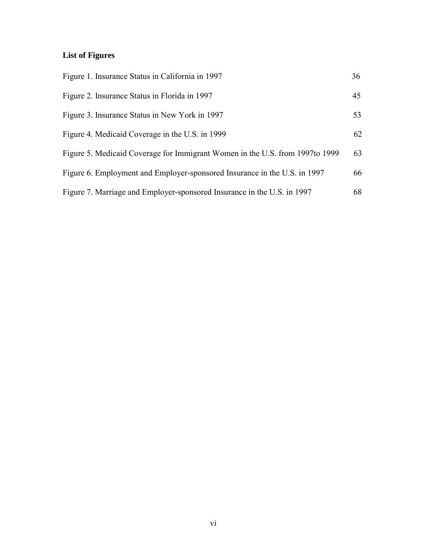# **List of Figures**

| Figure 1. Insurance Status in California in 1997                              | 36 |
|-------------------------------------------------------------------------------|----|
| Figure 2. Insurance Status in Florida in 1997                                 | 45 |
| Figure 3. Insurance Status in New York in 1997                                | 53 |
| Figure 4. Medicaid Coverage in the U.S. in 1999                               | 62 |
| Figure 5. Medicaid Coverage for Immigrant Women in the U.S. from 1997 to 1999 | 63 |
| Figure 6. Employment and Employer-sponsored Insurance in the U.S. in 1997     | 66 |
| Figure 7. Marriage and Employer-sponsored Insurance in the U.S. in 1997       | 68 |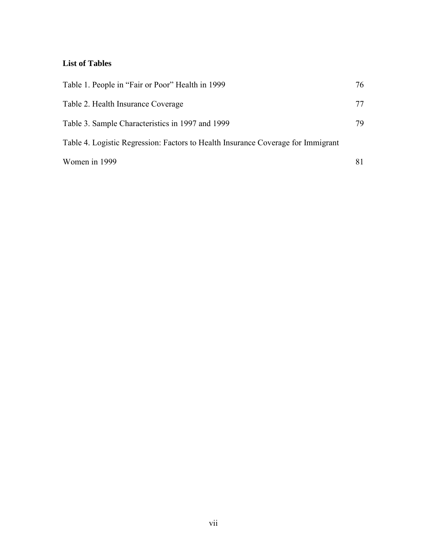# **List of Tables**

| Table 1. People in "Fair or Poor" Health in 1999                                 | 76 |
|----------------------------------------------------------------------------------|----|
| Table 2. Health Insurance Coverage                                               | 77 |
| Table 3. Sample Characteristics in 1997 and 1999                                 | 79 |
| Table 4. Logistic Regression: Factors to Health Insurance Coverage for Immigrant |    |
| Women in 1999                                                                    | 81 |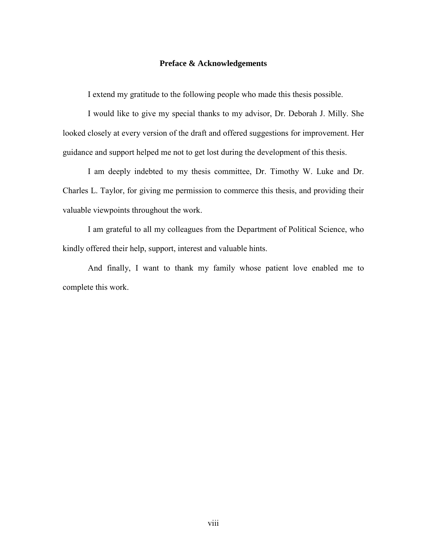### **Preface & Acknowledgements**

I extend my gratitude to the following people who made this thesis possible.

I would like to give my special thanks to my advisor, Dr. Deborah J. Milly. She looked closely at every version of the draft and offered suggestions for improvement. Her guidance and support helped me not to get lost during the development of this thesis.

I am deeply indebted to my thesis committee, Dr. Timothy W. Luke and Dr. Charles L. Taylor, for giving me permission to commerce this thesis, and providing their valuable viewpoints throughout the work.

I am grateful to all my colleagues from the Department of Political Science, who kindly offered their help, support, interest and valuable hints.

And finally, I want to thank my family whose patient love enabled me to complete this work.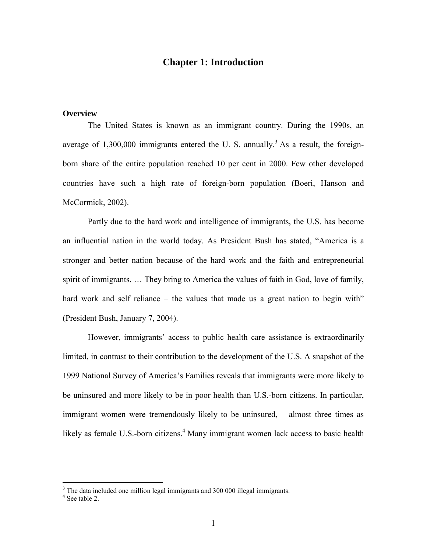## **Chapter 1: Introduction**

### **Overview**

The United States is known as an immigrant country. During the 1990s, an average of 1,300,000 immigrants entered the U.S. annually.<sup>3</sup> As a result, the foreignborn share of the entire population reached 10 per cent in 2000. Few other developed countries have such a high rate of foreign-born population (Boeri, Hanson and McCormick, 2002).

Partly due to the hard work and intelligence of immigrants, the U.S. has become an influential nation in the world today. As President Bush has stated, "America is a stronger and better nation because of the hard work and the faith and entrepreneurial spirit of immigrants. … They bring to America the values of faith in God, love of family, hard work and self reliance – the values that made us a great nation to begin with" (President Bush, January 7, 2004).

However, immigrants' access to public health care assistance is extraordinarily limited, in contrast to their contribution to the development of the U.S. A snapshot of the 1999 National Survey of America's Families reveals that immigrants were more likely to be uninsured and more likely to be in poor health than U.S.-born citizens. In particular, immigrant women were tremendously likely to be uninsured, – almost three times as likely as female U.S.-born citizens.<sup>4</sup> Many immigrant women lack access to basic health

<sup>&</sup>lt;sup>3</sup> The data included one million legal immigrants and 300 000 illegal immigrants.

<sup>4</sup> See table 2.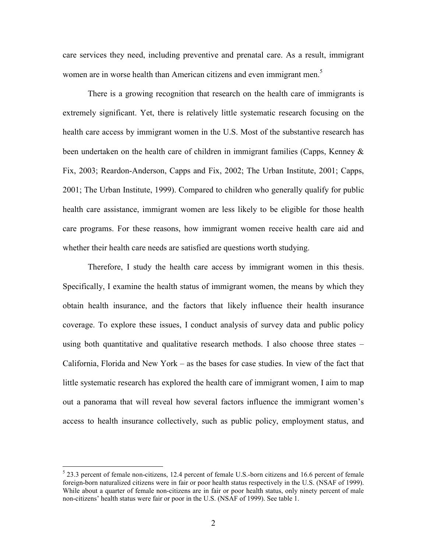care services they need, including preventive and prenatal care. As a result, immigrant women are in worse health than American citizens and even immigrant men.<sup>5</sup>

There is a growing recognition that research on the health care of immigrants is extremely significant. Yet, there is relatively little systematic research focusing on the health care access by immigrant women in the U.S. Most of the substantive research has been undertaken on the health care of children in immigrant families (Capps, Kenney & Fix, 2003; Reardon-Anderson, Capps and Fix, 2002; The Urban Institute, 2001; Capps, 2001; The Urban Institute, 1999). Compared to children who generally qualify for public health care assistance, immigrant women are less likely to be eligible for those health care programs. For these reasons, how immigrant women receive health care aid and whether their health care needs are satisfied are questions worth studying.

Therefore, I study the health care access by immigrant women in this thesis. Specifically, I examine the health status of immigrant women, the means by which they obtain health insurance, and the factors that likely influence their health insurance coverage. To explore these issues, I conduct analysis of survey data and public policy using both quantitative and qualitative research methods. I also choose three states – California, Florida and New York – as the bases for case studies. In view of the fact that little systematic research has explored the health care of immigrant women, I aim to map out a panorama that will reveal how several factors influence the immigrant women's access to health insurance collectively, such as public policy, employment status, and

 $5$  23.3 percent of female non-citizens, 12.4 percent of female U.S.-born citizens and 16.6 percent of female foreign-born naturalized citizens were in fair or poor health status respectively in the U.S. (NSAF of 1999). While about a quarter of female non-citizens are in fair or poor health status, only ninety percent of male non-citizens' health status were fair or poor in the U.S. (NSAF of 1999). See table 1.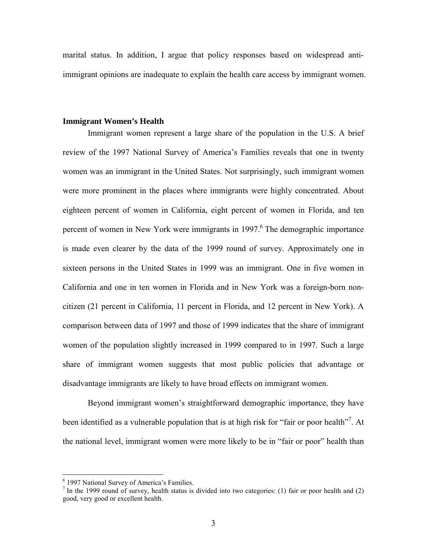marital status. In addition, I argue that policy responses based on widespread antiimmigrant opinions are inadequate to explain the health care access by immigrant women.

#### **Immigrant Women's Health**

Immigrant women represent a large share of the population in the U.S. A brief review of the 1997 National Survey of America's Families reveals that one in twenty women was an immigrant in the United States. Not surprisingly, such immigrant women were more prominent in the places where immigrants were highly concentrated. About eighteen percent of women in California, eight percent of women in Florida, and ten percent of women in New York were immigrants in 1997.<sup>6</sup> The demographic importance is made even clearer by the data of the 1999 round of survey. Approximately one in sixteen persons in the United States in 1999 was an immigrant. One in five women in California and one in ten women in Florida and in New York was a foreign-born noncitizen (21 percent in California, 11 percent in Florida, and 12 percent in New York). A comparison between data of 1997 and those of 1999 indicates that the share of immigrant women of the population slightly increased in 1999 compared to in 1997. Such a large share of immigrant women suggests that most public policies that advantage or disadvantage immigrants are likely to have broad effects on immigrant women.

Beyond immigrant women's straightforward demographic importance, they have been identified as a vulnerable population that is at high risk for "fair or poor health"<sup>7</sup>. At the national level, immigrant women were more likely to be in "fair or poor" health than

<sup>6</sup> 1997 National Survey of America's Families.

<sup>&</sup>lt;sup>7</sup> In the 1999 round of survey, health status is divided into two categories: (1) fair or poor health and (2) good, very good or excellent health.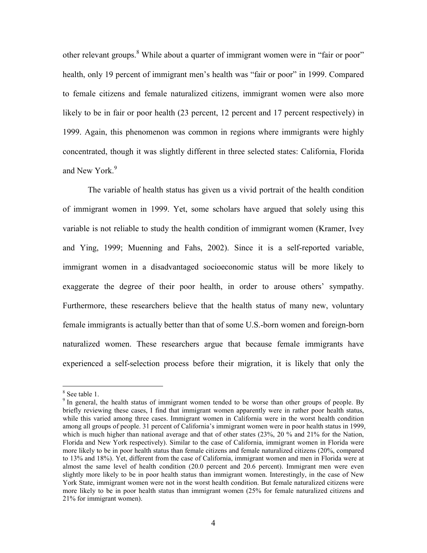other relevant groups.<sup>8</sup> While about a quarter of immigrant women were in "fair or poor" health, only 19 percent of immigrant men's health was "fair or poor" in 1999. Compared to female citizens and female naturalized citizens, immigrant women were also more likely to be in fair or poor health (23 percent, 12 percent and 17 percent respectively) in 1999. Again, this phenomenon was common in regions where immigrants were highly concentrated, though it was slightly different in three selected states: California, Florida and New York.<sup>9</sup>

The variable of health status has given us a vivid portrait of the health condition of immigrant women in 1999. Yet, some scholars have argued that solely using this variable is not reliable to study the health condition of immigrant women (Kramer, Ivey and Ying, 1999; Muenning and Fahs, 2002). Since it is a self-reported variable, immigrant women in a disadvantaged socioeconomic status will be more likely to exaggerate the degree of their poor health, in order to arouse others' sympathy. Furthermore, these researchers believe that the health status of many new, voluntary female immigrants is actually better than that of some U.S.-born women and foreign-born naturalized women. These researchers argue that because female immigrants have experienced a self-selection process before their migration, it is likely that only the

<sup>8</sup> See table 1.

<sup>&</sup>lt;sup>9</sup> In general, the health status of immigrant women tended to be worse than other groups of people. By briefly reviewing these cases, I find that immigrant women apparently were in rather poor health status, while this varied among three cases. Immigrant women in California were in the worst health condition among all groups of people. 31 percent of California's immigrant women were in poor health status in 1999, which is much higher than national average and that of other states (23%, 20% and 21% for the Nation, Florida and New York respectively). Similar to the case of California, immigrant women in Florida were more likely to be in poor health status than female citizens and female naturalized citizens (20%, compared to 13% and 18%). Yet, different from the case of California, immigrant women and men in Florida were at almost the same level of health condition (20.0 percent and 20.6 percent). Immigrant men were even slightly more likely to be in poor health status than immigrant women. Interestingly, in the case of New York State, immigrant women were not in the worst health condition. But female naturalized citizens were more likely to be in poor health status than immigrant women (25% for female naturalized citizens and 21% for immigrant women).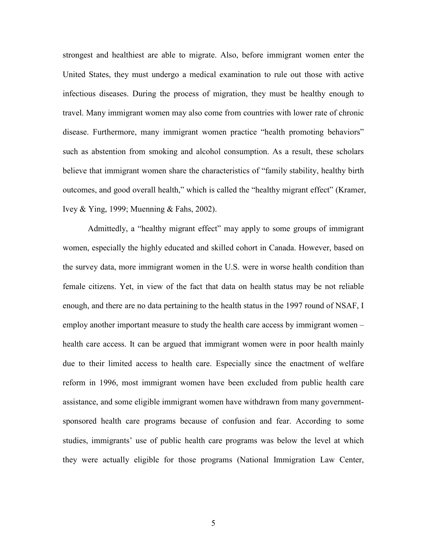strongest and healthiest are able to migrate. Also, before immigrant women enter the United States, they must undergo a medical examination to rule out those with active infectious diseases. During the process of migration, they must be healthy enough to travel. Many immigrant women may also come from countries with lower rate of chronic disease. Furthermore, many immigrant women practice "health promoting behaviors" such as abstention from smoking and alcohol consumption. As a result, these scholars believe that immigrant women share the characteristics of "family stability, healthy birth outcomes, and good overall health," which is called the "healthy migrant effect" (Kramer, Ivey & Ying, 1999; Muenning & Fahs, 2002).

Admittedly, a "healthy migrant effect" may apply to some groups of immigrant women, especially the highly educated and skilled cohort in Canada. However, based on the survey data, more immigrant women in the U.S. were in worse health condition than female citizens. Yet, in view of the fact that data on health status may be not reliable enough, and there are no data pertaining to the health status in the 1997 round of NSAF, I employ another important measure to study the health care access by immigrant women – health care access. It can be argued that immigrant women were in poor health mainly due to their limited access to health care. Especially since the enactment of welfare reform in 1996, most immigrant women have been excluded from public health care assistance, and some eligible immigrant women have withdrawn from many governmentsponsored health care programs because of confusion and fear. According to some studies, immigrants' use of public health care programs was below the level at which they were actually eligible for those programs (National Immigration Law Center,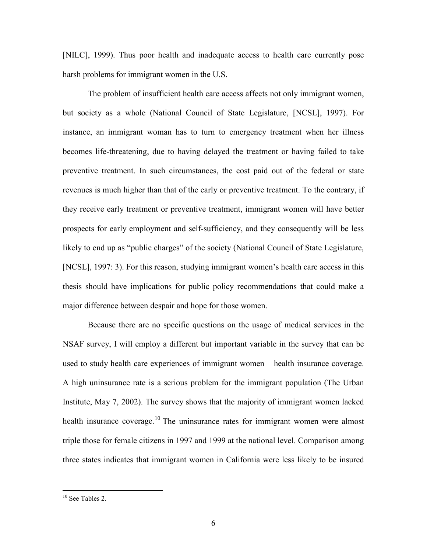[NILC], 1999). Thus poor health and inadequate access to health care currently pose harsh problems for immigrant women in the U.S.

The problem of insufficient health care access affects not only immigrant women, but society as a whole (National Council of State Legislature, [NCSL], 1997). For instance, an immigrant woman has to turn to emergency treatment when her illness becomes life-threatening, due to having delayed the treatment or having failed to take preventive treatment. In such circumstances, the cost paid out of the federal or state revenues is much higher than that of the early or preventive treatment. To the contrary, if they receive early treatment or preventive treatment, immigrant women will have better prospects for early employment and self-sufficiency, and they consequently will be less likely to end up as "public charges" of the society (National Council of State Legislature, [NCSL], 1997: 3). For this reason, studying immigrant women's health care access in this thesis should have implications for public policy recommendations that could make a major difference between despair and hope for those women.

 Because there are no specific questions on the usage of medical services in the NSAF survey, I will employ a different but important variable in the survey that can be used to study health care experiences of immigrant women – health insurance coverage. A high uninsurance rate is a serious problem for the immigrant population (The Urban Institute, May 7, 2002). The survey shows that the majority of immigrant women lacked health insurance coverage.<sup>10</sup> The uninsurance rates for immigrant women were almost triple those for female citizens in 1997 and 1999 at the national level. Comparison among three states indicates that immigrant women in California were less likely to be insured

<sup>&</sup>lt;sup>10</sup> See Tables 2.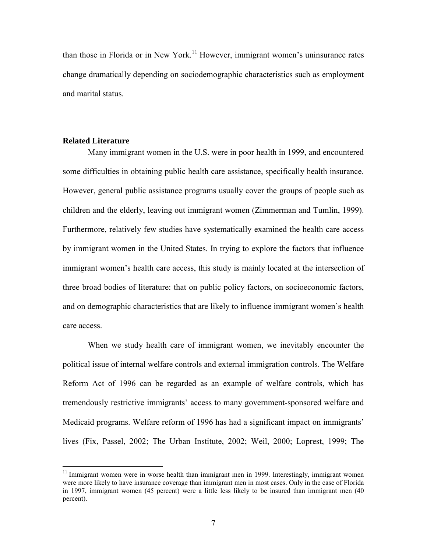than those in Florida or in New York.<sup>11</sup> However, immigrant women's uninsurance rates change dramatically depending on sociodemographic characteristics such as employment and marital status.

### **Related Literature**

1

Many immigrant women in the U.S. were in poor health in 1999, and encountered some difficulties in obtaining public health care assistance, specifically health insurance. However, general public assistance programs usually cover the groups of people such as children and the elderly, leaving out immigrant women (Zimmerman and Tumlin, 1999). Furthermore, relatively few studies have systematically examined the health care access by immigrant women in the United States. In trying to explore the factors that influence immigrant women's health care access, this study is mainly located at the intersection of three broad bodies of literature: that on public policy factors, on socioeconomic factors, and on demographic characteristics that are likely to influence immigrant women's health care access.

When we study health care of immigrant women, we inevitably encounter the political issue of internal welfare controls and external immigration controls. The Welfare Reform Act of 1996 can be regarded as an example of welfare controls, which has tremendously restrictive immigrants' access to many government-sponsored welfare and Medicaid programs. Welfare reform of 1996 has had a significant impact on immigrants' lives (Fix, Passel, 2002; The Urban Institute, 2002; Weil, 2000; Loprest, 1999; The

 $11$  Immigrant women were in worse health than immigrant men in 1999. Interestingly, immigrant women were more likely to have insurance coverage than immigrant men in most cases. Only in the case of Florida in 1997, immigrant women (45 percent) were a little less likely to be insured than immigrant men (40 percent).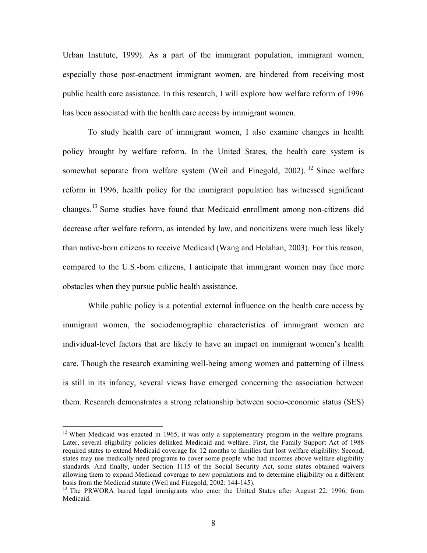Urban Institute, 1999). As a part of the immigrant population, immigrant women, especially those post-enactment immigrant women, are hindered from receiving most public health care assistance. In this research, I will explore how welfare reform of 1996 has been associated with the health care access by immigrant women.

To study health care of immigrant women, I also examine changes in health policy brought by welfare reform. In the United States, the health care system is somewhat separate from welfare system (Weil and Finegold, 2002). <sup>12</sup> Since welfare reform in 1996, health policy for the immigrant population has witnessed significant changes.<sup>13</sup> Some studies have found that Medicaid enrollment among non-citizens did decrease after welfare reform, as intended by law, and noncitizens were much less likely than native-born citizens to receive Medicaid (Wang and Holahan, 2003). For this reason, compared to the U.S.-born citizens, I anticipate that immigrant women may face more obstacles when they pursue public health assistance.

While public policy is a potential external influence on the health care access by immigrant women, the sociodemographic characteristics of immigrant women are individual-level factors that are likely to have an impact on immigrant women's health care. Though the research examining well-being among women and patterning of illness is still in its infancy, several views have emerged concerning the association between them. Research demonstrates a strong relationship between socio-economic status (SES)

 $\overline{a}$ 

<sup>&</sup>lt;sup>12</sup> When Medicaid was enacted in 1965, it was only a supplementary program in the welfare programs. Later, several eligibility policies delinked Medicaid and welfare. First, the Family Support Act of 1988 required states to extend Medicaid coverage for 12 months to families that lost welfare eligibility. Second, states may use medically need programs to cover some people who had incomes above welfare eligibility standards. And finally, under Section 1115 of the Social Security Act, some states obtained waivers allowing them to expand Medicaid coverage to new populations and to determine eligibility on a different basis from the Medicaid statute (Weil and Finegold, 2002: 144-145).

<sup>&</sup>lt;sup>13</sup> The PRWORA barred legal immigrants who enter the United States after August 22, 1996, from Medicaid.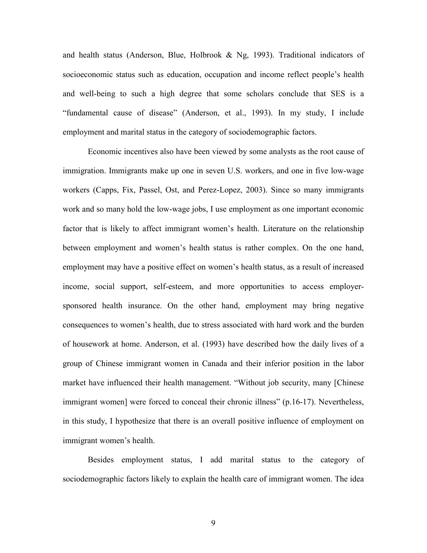and health status (Anderson, Blue, Holbrook  $& Ng, 1993$ ). Traditional indicators of socioeconomic status such as education, occupation and income reflect people's health and well-being to such a high degree that some scholars conclude that SES is a "fundamental cause of disease" (Anderson, et al., 1993). In my study, I include employment and marital status in the category of sociodemographic factors.

Economic incentives also have been viewed by some analysts as the root cause of immigration. Immigrants make up one in seven U.S. workers, and one in five low-wage workers (Capps, Fix, Passel, Ost, and Perez-Lopez, 2003). Since so many immigrants work and so many hold the low-wage jobs, I use employment as one important economic factor that is likely to affect immigrant women's health. Literature on the relationship between employment and women's health status is rather complex. On the one hand, employment may have a positive effect on women's health status, as a result of increased income, social support, self-esteem, and more opportunities to access employersponsored health insurance. On the other hand, employment may bring negative consequences to women's health, due to stress associated with hard work and the burden of housework at home. Anderson, et al. (1993) have described how the daily lives of a group of Chinese immigrant women in Canada and their inferior position in the labor market have influenced their health management. "Without job security, many [Chinese immigrant women] were forced to conceal their chronic illness" (p.16-17). Nevertheless, in this study, I hypothesize that there is an overall positive influence of employment on immigrant women's health.

 Besides employment status, I add marital status to the category of sociodemographic factors likely to explain the health care of immigrant women. The idea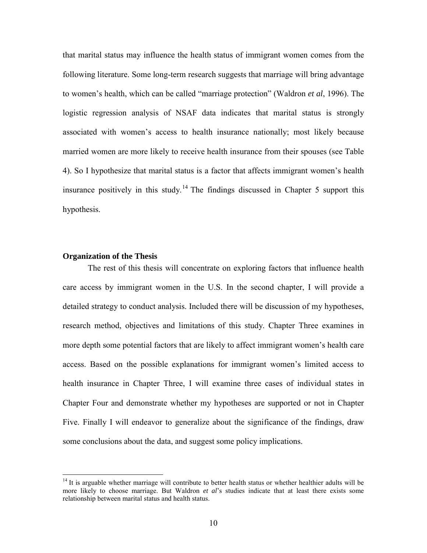that marital status may influence the health status of immigrant women comes from the following literature. Some long-term research suggests that marriage will bring advantage to women's health, which can be called "marriage protection" (Waldron *et al*, 1996). The logistic regression analysis of NSAF data indicates that marital status is strongly associated with women's access to health insurance nationally; most likely because married women are more likely to receive health insurance from their spouses (see Table 4). So I hypothesize that marital status is a factor that affects immigrant women's health insurance positively in this study.<sup>14</sup> The findings discussed in Chapter 5 support this hypothesis.

#### **Organization of the Thesis**

 $\overline{a}$ 

 The rest of this thesis will concentrate on exploring factors that influence health care access by immigrant women in the U.S. In the second chapter, I will provide a detailed strategy to conduct analysis. Included there will be discussion of my hypotheses, research method, objectives and limitations of this study. Chapter Three examines in more depth some potential factors that are likely to affect immigrant women's health care access. Based on the possible explanations for immigrant women's limited access to health insurance in Chapter Three, I will examine three cases of individual states in Chapter Four and demonstrate whether my hypotheses are supported or not in Chapter Five. Finally I will endeavor to generalize about the significance of the findings, draw some conclusions about the data, and suggest some policy implications.

<sup>&</sup>lt;sup>14</sup> It is arguable whether marriage will contribute to better health status or whether healthier adults will be more likely to choose marriage. But Waldron *et al*'s studies indicate that at least there exists some relationship between marital status and health status.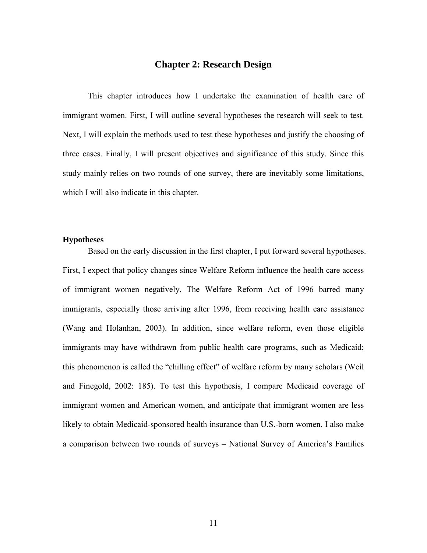# **Chapter 2: Research Design**

This chapter introduces how I undertake the examination of health care of immigrant women. First, I will outline several hypotheses the research will seek to test. Next, I will explain the methods used to test these hypotheses and justify the choosing of three cases. Finally, I will present objectives and significance of this study. Since this study mainly relies on two rounds of one survey, there are inevitably some limitations, which I will also indicate in this chapter.

### **Hypotheses**

Based on the early discussion in the first chapter, I put forward several hypotheses. First, I expect that policy changes since Welfare Reform influence the health care access of immigrant women negatively. The Welfare Reform Act of 1996 barred many immigrants, especially those arriving after 1996, from receiving health care assistance (Wang and Holanhan, 2003). In addition, since welfare reform, even those eligible immigrants may have withdrawn from public health care programs, such as Medicaid; this phenomenon is called the "chilling effect" of welfare reform by many scholars (Weil and Finegold, 2002: 185). To test this hypothesis, I compare Medicaid coverage of immigrant women and American women, and anticipate that immigrant women are less likely to obtain Medicaid-sponsored health insurance than U.S.-born women. I also make a comparison between two rounds of surveys – National Survey of America's Families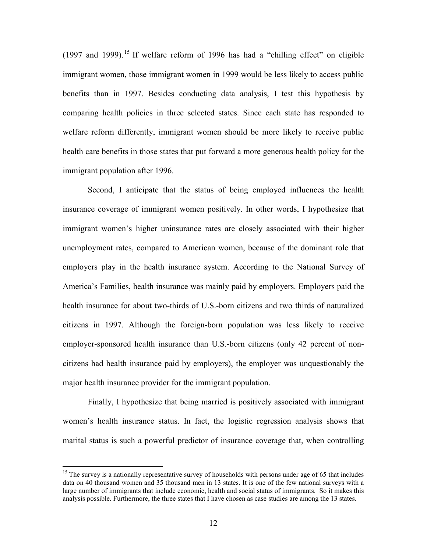$(1997$  and  $1999)$ .<sup>15</sup> If welfare reform of 1996 has had a "chilling effect" on eligible immigrant women, those immigrant women in 1999 would be less likely to access public benefits than in 1997. Besides conducting data analysis, I test this hypothesis by comparing health policies in three selected states. Since each state has responded to welfare reform differently, immigrant women should be more likely to receive public health care benefits in those states that put forward a more generous health policy for the immigrant population after 1996.

Second, I anticipate that the status of being employed influences the health insurance coverage of immigrant women positively. In other words, I hypothesize that immigrant women's higher uninsurance rates are closely associated with their higher unemployment rates, compared to American women, because of the dominant role that employers play in the health insurance system. According to the National Survey of America's Families, health insurance was mainly paid by employers. Employers paid the health insurance for about two-thirds of U.S.-born citizens and two thirds of naturalized citizens in 1997. Although the foreign-born population was less likely to receive employer-sponsored health insurance than U.S.-born citizens (only 42 percent of noncitizens had health insurance paid by employers), the employer was unquestionably the major health insurance provider for the immigrant population.

Finally, I hypothesize that being married is positively associated with immigrant women's health insurance status. In fact, the logistic regression analysis shows that marital status is such a powerful predictor of insurance coverage that, when controlling

<sup>&</sup>lt;sup>15</sup> The survey is a nationally representative survey of households with persons under age of 65 that includes data on 40 thousand women and 35 thousand men in 13 states. It is one of the few national surveys with a large number of immigrants that include economic, health and social status of immigrants. So it makes this analysis possible. Furthermore, the three states that I have chosen as case studies are among the 13 states.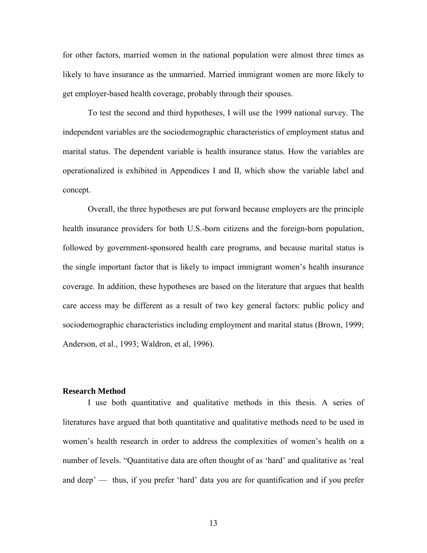for other factors, married women in the national population were almost three times as likely to have insurance as the unmarried. Married immigrant women are more likely to get employer-based health coverage, probably through their spouses.

To test the second and third hypotheses, I will use the 1999 national survey. The independent variables are the sociodemographic characteristics of employment status and marital status. The dependent variable is health insurance status. How the variables are operationalized is exhibited in Appendices I and II, which show the variable label and concept.

Overall, the three hypotheses are put forward because employers are the principle health insurance providers for both U.S.-born citizens and the foreign-born population, followed by government-sponsored health care programs, and because marital status is the single important factor that is likely to impact immigrant women's health insurance coverage. In addition, these hypotheses are based on the literature that argues that health care access may be different as a result of two key general factors: public policy and sociodemographic characteristics including employment and marital status (Brown, 1999; Anderson, et al., 1993; Waldron, et al, 1996).

### **Research Method**

I use both quantitative and qualitative methods in this thesis. A series of literatures have argued that both quantitative and qualitative methods need to be used in women's health research in order to address the complexities of women's health on a number of levels. "Quantitative data are often thought of as 'hard' and qualitative as 'real and deep' — thus, if you prefer 'hard' data you are for quantification and if you prefer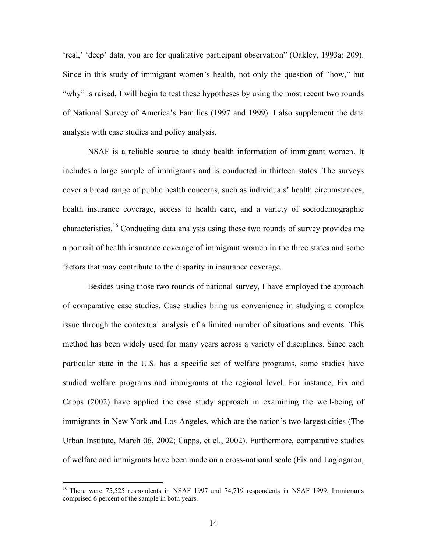'real,' 'deep' data, you are for qualitative participant observation" (Oakley, 1993a: 209). Since in this study of immigrant women's health, not only the question of "how," but "why" is raised, I will begin to test these hypotheses by using the most recent two rounds of National Survey of America's Families (1997 and 1999). I also supplement the data analysis with case studies and policy analysis.

NSAF is a reliable source to study health information of immigrant women. It includes a large sample of immigrants and is conducted in thirteen states. The surveys cover a broad range of public health concerns, such as individuals' health circumstances, health insurance coverage, access to health care, and a variety of sociodemographic characteristics.<sup>16</sup> Conducting data analysis using these two rounds of survey provides me a portrait of health insurance coverage of immigrant women in the three states and some factors that may contribute to the disparity in insurance coverage.

Besides using those two rounds of national survey, I have employed the approach of comparative case studies. Case studies bring us convenience in studying a complex issue through the contextual analysis of a limited number of situations and events. This method has been widely used for many years across a variety of disciplines. Since each particular state in the U.S. has a specific set of welfare programs, some studies have studied welfare programs and immigrants at the regional level. For instance, Fix and Capps (2002) have applied the case study approach in examining the well-being of immigrants in New York and Los Angeles, which are the nation's two largest cities (The Urban Institute, March 06, 2002; Capps, et el., 2002). Furthermore, comparative studies of welfare and immigrants have been made on a cross-national scale (Fix and Laglagaron,

<sup>&</sup>lt;sup>16</sup> There were 75,525 respondents in NSAF 1997 and 74,719 respondents in NSAF 1999. Immigrants comprised 6 percent of the sample in both years.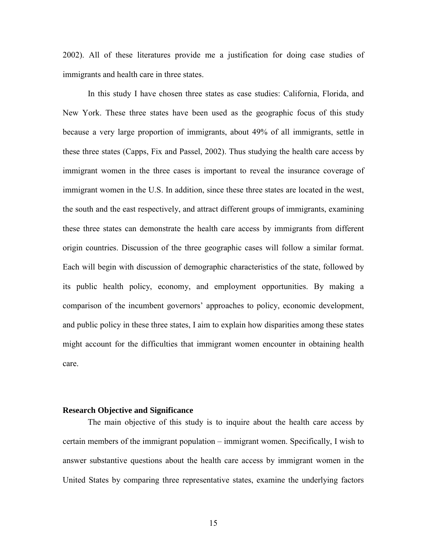2002). All of these literatures provide me a justification for doing case studies of immigrants and health care in three states.

In this study I have chosen three states as case studies: California, Florida, and New York. These three states have been used as the geographic focus of this study because a very large proportion of immigrants, about 49% of all immigrants, settle in these three states (Capps, Fix and Passel, 2002). Thus studying the health care access by immigrant women in the three cases is important to reveal the insurance coverage of immigrant women in the U.S. In addition, since these three states are located in the west, the south and the east respectively, and attract different groups of immigrants, examining these three states can demonstrate the health care access by immigrants from different origin countries. Discussion of the three geographic cases will follow a similar format. Each will begin with discussion of demographic characteristics of the state, followed by its public health policy, economy, and employment opportunities. By making a comparison of the incumbent governors' approaches to policy, economic development, and public policy in these three states, I aim to explain how disparities among these states might account for the difficulties that immigrant women encounter in obtaining health care.

### **Research Objective and Significance**

The main objective of this study is to inquire about the health care access by certain members of the immigrant population – immigrant women. Specifically, I wish to answer substantive questions about the health care access by immigrant women in the United States by comparing three representative states, examine the underlying factors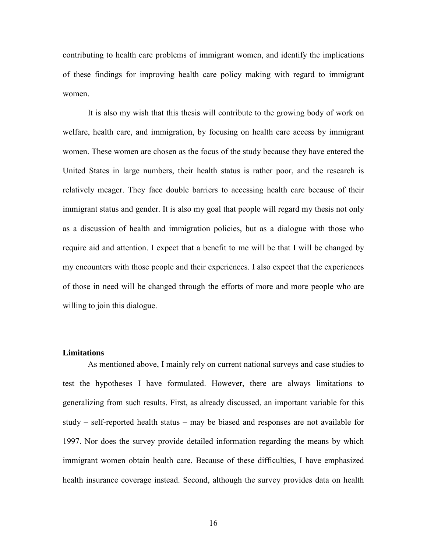contributing to health care problems of immigrant women, and identify the implications of these findings for improving health care policy making with regard to immigrant women.

It is also my wish that this thesis will contribute to the growing body of work on welfare, health care, and immigration, by focusing on health care access by immigrant women. These women are chosen as the focus of the study because they have entered the United States in large numbers, their health status is rather poor, and the research is relatively meager. They face double barriers to accessing health care because of their immigrant status and gender. It is also my goal that people will regard my thesis not only as a discussion of health and immigration policies, but as a dialogue with those who require aid and attention. I expect that a benefit to me will be that I will be changed by my encounters with those people and their experiences. I also expect that the experiences of those in need will be changed through the efforts of more and more people who are willing to join this dialogue.

### **Limitations**

As mentioned above, I mainly rely on current national surveys and case studies to test the hypotheses I have formulated. However, there are always limitations to generalizing from such results. First, as already discussed, an important variable for this study – self-reported health status – may be biased and responses are not available for 1997. Nor does the survey provide detailed information regarding the means by which immigrant women obtain health care. Because of these difficulties, I have emphasized health insurance coverage instead. Second, although the survey provides data on health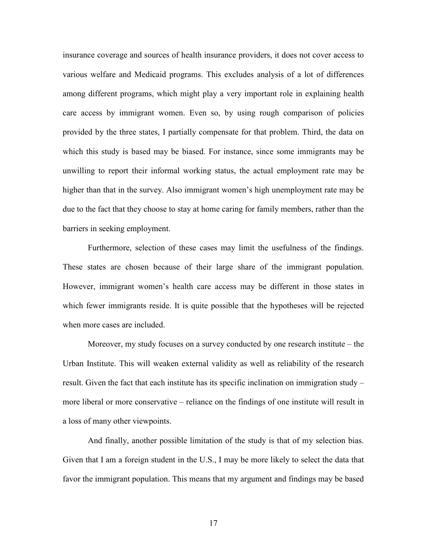insurance coverage and sources of health insurance providers, it does not cover access to various welfare and Medicaid programs. This excludes analysis of a lot of differences among different programs, which might play a very important role in explaining health care access by immigrant women. Even so, by using rough comparison of policies provided by the three states, I partially compensate for that problem. Third, the data on which this study is based may be biased. For instance, since some immigrants may be unwilling to report their informal working status, the actual employment rate may be higher than that in the survey. Also immigrant women's high unemployment rate may be due to the fact that they choose to stay at home caring for family members, rather than the barriers in seeking employment.

Furthermore, selection of these cases may limit the usefulness of the findings. These states are chosen because of their large share of the immigrant population. However, immigrant women's health care access may be different in those states in which fewer immigrants reside. It is quite possible that the hypotheses will be rejected when more cases are included.

Moreover, my study focuses on a survey conducted by one research institute – the Urban Institute. This will weaken external validity as well as reliability of the research result. Given the fact that each institute has its specific inclination on immigration study – more liberal or more conservative – reliance on the findings of one institute will result in a loss of many other viewpoints.

And finally, another possible limitation of the study is that of my selection bias. Given that I am a foreign student in the U.S., I may be more likely to select the data that favor the immigrant population. This means that my argument and findings may be based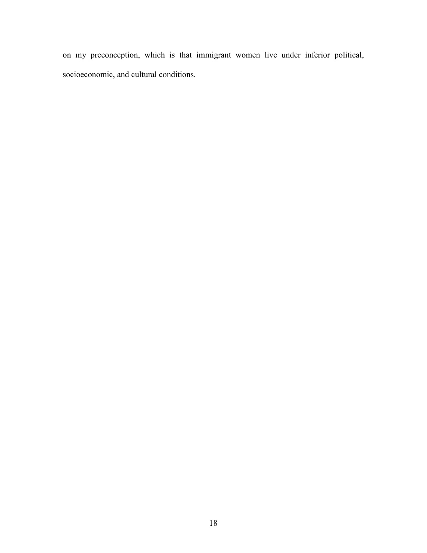on my preconception, which is that immigrant women live under inferior political, socioeconomic, and cultural conditions.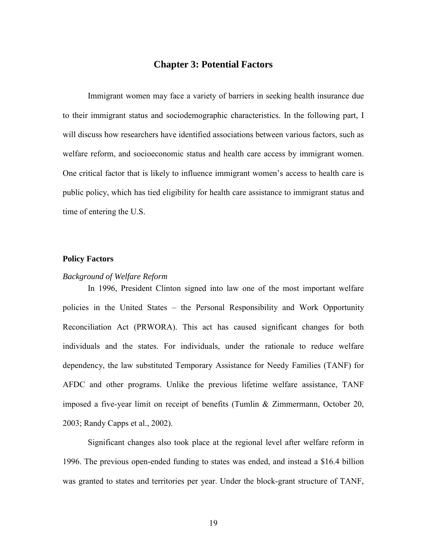# **Chapter 3: Potential Factors**

Immigrant women may face a variety of barriers in seeking health insurance due to their immigrant status and sociodemographic characteristics. In the following part, I will discuss how researchers have identified associations between various factors, such as welfare reform, and socioeconomic status and health care access by immigrant women. One critical factor that is likely to influence immigrant women's access to health care is public policy, which has tied eligibility for health care assistance to immigrant status and time of entering the U.S.

### **Policy Factors**

### *Background of Welfare Reform*

In 1996, President Clinton signed into law one of the most important welfare policies in the United States – the Personal Responsibility and Work Opportunity Reconciliation Act (PRWORA). This act has caused significant changes for both individuals and the states. For individuals, under the rationale to reduce welfare dependency, the law substituted Temporary Assistance for Needy Families (TANF) for AFDC and other programs. Unlike the previous lifetime welfare assistance, TANF imposed a five-year limit on receipt of benefits (Tumlin & Zimmermann, October 20, 2003; Randy Capps et al., 2002).

Significant changes also took place at the regional level after welfare reform in 1996. The previous open-ended funding to states was ended, and instead a \$16.4 billion was granted to states and territories per year. Under the block-grant structure of TANF,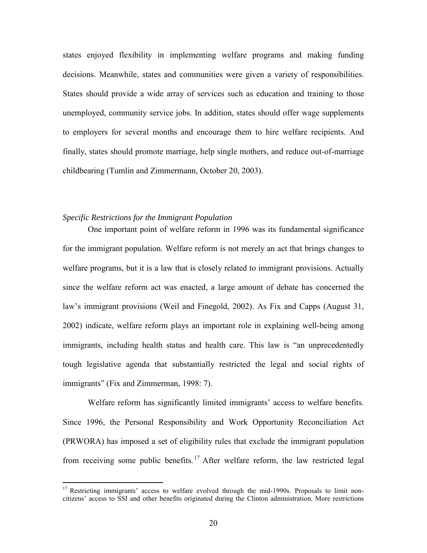states enjoyed flexibility in implementing welfare programs and making funding decisions. Meanwhile, states and communities were given a variety of responsibilities. States should provide a wide array of services such as education and training to those unemployed, community service jobs. In addition, states should offer wage supplements to employers for several months and encourage them to hire welfare recipients. And finally, states should promote marriage, help single mothers, and reduce out-of-marriage childbearing (Tumlin and Zimmermann, October 20, 2003).

#### *Specific Restrictions for the Immigrant Population*

1

One important point of welfare reform in 1996 was its fundamental significance for the immigrant population. Welfare reform is not merely an act that brings changes to welfare programs, but it is a law that is closely related to immigrant provisions. Actually since the welfare reform act was enacted, a large amount of debate has concerned the law's immigrant provisions (Weil and Finegold, 2002). As Fix and Capps (August 31, 2002) indicate, welfare reform plays an important role in explaining well-being among immigrants, including health status and health care. This law is "an unprecedentedly tough legislative agenda that substantially restricted the legal and social rights of immigrants" (Fix and Zimmerman, 1998: 7).

Welfare reform has significantly limited immigrants' access to welfare benefits. Since 1996, the Personal Responsibility and Work Opportunity Reconciliation Act (PRWORA) has imposed a set of eligibility rules that exclude the immigrant population from receiving some public benefits.<sup>17</sup> After welfare reform, the law restricted legal

 $17$  Restricting immigrants' access to welfare evolved through the mid-1990s. Proposals to limit noncitizens' access to SSI and other benefits originated during the Clinton administration. More restrictions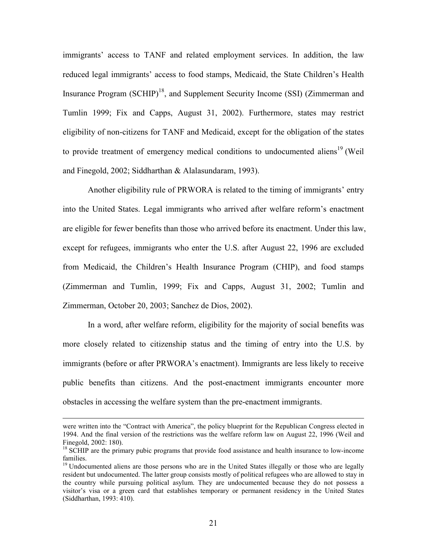immigrants' access to TANF and related employment services. In addition, the law reduced legal immigrants' access to food stamps, Medicaid, the State Children's Health Insurance Program  $(SCHIP)^{18}$ , and Supplement Security Income (SSI) (Zimmerman and Tumlin 1999; Fix and Capps, August 31, 2002). Furthermore, states may restrict eligibility of non-citizens for TANF and Medicaid, except for the obligation of the states to provide treatment of emergency medical conditions to undocumented aliens<sup>19</sup> (Weil and Finegold, 2002; Siddharthan & Alalasundaram, 1993).

Another eligibility rule of PRWORA is related to the timing of immigrants' entry into the United States. Legal immigrants who arrived after welfare reform's enactment are eligible for fewer benefits than those who arrived before its enactment. Under this law, except for refugees, immigrants who enter the U.S. after August 22, 1996 are excluded from Medicaid, the Children's Health Insurance Program (CHIP), and food stamps (Zimmerman and Tumlin, 1999; Fix and Capps, August 31, 2002; Tumlin and Zimmerman, October 20, 2003; Sanchez de Dios, 2002).

In a word, after welfare reform, eligibility for the majority of social benefits was more closely related to citizenship status and the timing of entry into the U.S. by immigrants (before or after PRWORA's enactment). Immigrants are less likely to receive public benefits than citizens. And the post-enactment immigrants encounter more obstacles in accessing the welfare system than the pre-enactment immigrants.

were written into the "Contract with America", the policy blueprint for the Republican Congress elected in 1994. And the final version of the restrictions was the welfare reform law on August 22, 1996 (Weil and Finegold, 2002: 180).

<sup>&</sup>lt;sup>18</sup> SCHIP are the primary pubic programs that provide food assistance and health insurance to low-income families.

<sup>&</sup>lt;sup>19</sup> Undocumented aliens are those persons who are in the United States illegally or those who are legally resident but undocumented. The latter group consists mostly of political refugees who are allowed to stay in the country while pursuing political asylum. They are undocumented because they do not possess a visitor's visa or a green card that establishes temporary or permanent residency in the United States (Siddharthan, 1993: 410).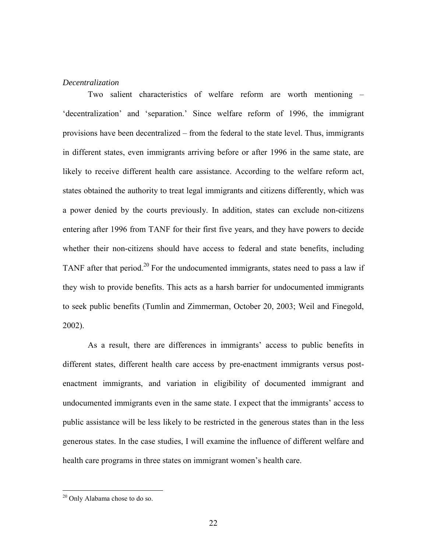### *Decentralization*

Two salient characteristics of welfare reform are worth mentioning – 'decentralization' and 'separation.' Since welfare reform of 1996, the immigrant provisions have been decentralized – from the federal to the state level. Thus, immigrants in different states, even immigrants arriving before or after 1996 in the same state, are likely to receive different health care assistance. According to the welfare reform act, states obtained the authority to treat legal immigrants and citizens differently, which was a power denied by the courts previously. In addition, states can exclude non-citizens entering after 1996 from TANF for their first five years, and they have powers to decide whether their non-citizens should have access to federal and state benefits, including TANF after that period.<sup>20</sup> For the undocumented immigrants, states need to pass a law if they wish to provide benefits. This acts as a harsh barrier for undocumented immigrants to seek public benefits (Tumlin and Zimmerman, October 20, 2003; Weil and Finegold, 2002).

As a result, there are differences in immigrants' access to public benefits in different states, different health care access by pre-enactment immigrants versus postenactment immigrants, and variation in eligibility of documented immigrant and undocumented immigrants even in the same state. I expect that the immigrants' access to public assistance will be less likely to be restricted in the generous states than in the less generous states. In the case studies, I will examine the influence of different welfare and health care programs in three states on immigrant women's health care.

<sup>&</sup>lt;sup>20</sup> Only Alabama chose to do so.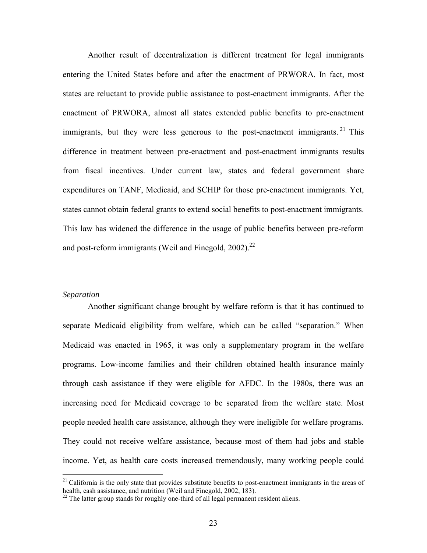Another result of decentralization is different treatment for legal immigrants entering the United States before and after the enactment of PRWORA. In fact, most states are reluctant to provide public assistance to post-enactment immigrants. After the enactment of PRWORA, almost all states extended public benefits to pre-enactment immigrants, but they were less generous to the post-enactment immigrants. <sup>21</sup> This difference in treatment between pre-enactment and post-enactment immigrants results from fiscal incentives. Under current law, states and federal government share expenditures on TANF, Medicaid, and SCHIP for those pre-enactment immigrants. Yet, states cannot obtain federal grants to extend social benefits to post-enactment immigrants. This law has widened the difference in the usage of public benefits between pre-reform and post-reform immigrants (Weil and Finegold,  $2002$ ).<sup>22</sup>

#### *Separation*

1

Another significant change brought by welfare reform is that it has continued to separate Medicaid eligibility from welfare, which can be called "separation." When Medicaid was enacted in 1965, it was only a supplementary program in the welfare programs. Low-income families and their children obtained health insurance mainly through cash assistance if they were eligible for AFDC. In the 1980s, there was an increasing need for Medicaid coverage to be separated from the welfare state. Most people needed health care assistance, although they were ineligible for welfare programs. They could not receive welfare assistance, because most of them had jobs and stable income. Yet, as health care costs increased tremendously, many working people could

 $21$  California is the only state that provides substitute benefits to post-enactment immigrants in the areas of health, cash assistance, and nutrition (Weil and Finegold, 2002, 183).

 $^{22}$  The latter group stands for roughly one-third of all legal permanent resident aliens.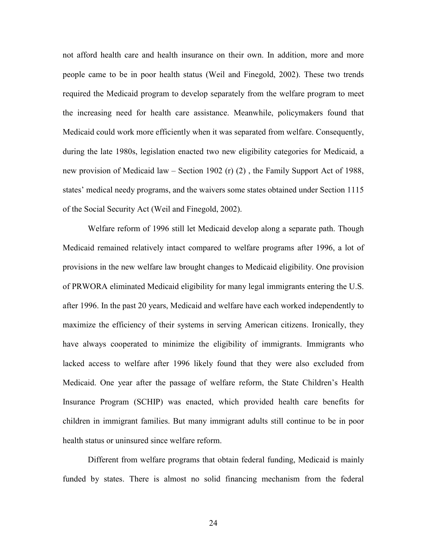not afford health care and health insurance on their own. In addition, more and more people came to be in poor health status (Weil and Finegold, 2002). These two trends required the Medicaid program to develop separately from the welfare program to meet the increasing need for health care assistance. Meanwhile, policymakers found that Medicaid could work more efficiently when it was separated from welfare. Consequently, during the late 1980s, legislation enacted two new eligibility categories for Medicaid, a new provision of Medicaid law – Section 1902 (r) (2) , the Family Support Act of 1988, states' medical needy programs, and the waivers some states obtained under Section 1115 of the Social Security Act (Weil and Finegold, 2002).

Welfare reform of 1996 still let Medicaid develop along a separate path. Though Medicaid remained relatively intact compared to welfare programs after 1996, a lot of provisions in the new welfare law brought changes to Medicaid eligibility. One provision of PRWORA eliminated Medicaid eligibility for many legal immigrants entering the U.S. after 1996. In the past 20 years, Medicaid and welfare have each worked independently to maximize the efficiency of their systems in serving American citizens. Ironically, they have always cooperated to minimize the eligibility of immigrants. Immigrants who lacked access to welfare after 1996 likely found that they were also excluded from Medicaid. One year after the passage of welfare reform, the State Children's Health Insurance Program (SCHIP) was enacted, which provided health care benefits for children in immigrant families. But many immigrant adults still continue to be in poor health status or uninsured since welfare reform.

Different from welfare programs that obtain federal funding, Medicaid is mainly funded by states. There is almost no solid financing mechanism from the federal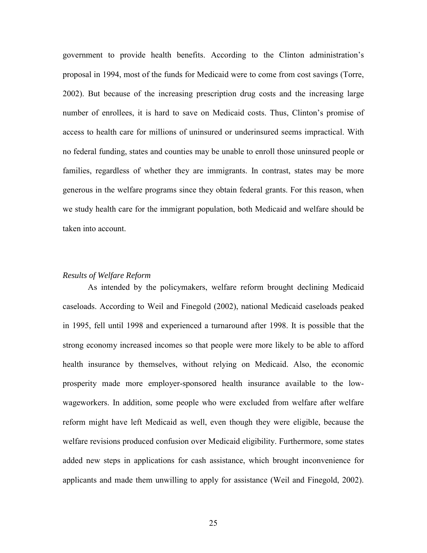government to provide health benefits. According to the Clinton administration's proposal in 1994, most of the funds for Medicaid were to come from cost savings (Torre, 2002). But because of the increasing prescription drug costs and the increasing large number of enrollees, it is hard to save on Medicaid costs. Thus, Clinton's promise of access to health care for millions of uninsured or underinsured seems impractical. With no federal funding, states and counties may be unable to enroll those uninsured people or families, regardless of whether they are immigrants. In contrast, states may be more generous in the welfare programs since they obtain federal grants. For this reason, when we study health care for the immigrant population, both Medicaid and welfare should be taken into account.

### *Results of Welfare Reform*

As intended by the policymakers, welfare reform brought declining Medicaid caseloads. According to Weil and Finegold (2002), national Medicaid caseloads peaked in 1995, fell until 1998 and experienced a turnaround after 1998. It is possible that the strong economy increased incomes so that people were more likely to be able to afford health insurance by themselves, without relying on Medicaid. Also, the economic prosperity made more employer-sponsored health insurance available to the lowwageworkers. In addition, some people who were excluded from welfare after welfare reform might have left Medicaid as well, even though they were eligible, because the welfare revisions produced confusion over Medicaid eligibility. Furthermore, some states added new steps in applications for cash assistance, which brought inconvenience for applicants and made them unwilling to apply for assistance (Weil and Finegold, 2002).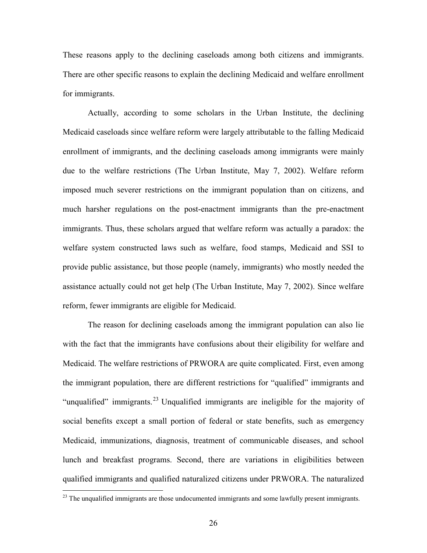These reasons apply to the declining caseloads among both citizens and immigrants. There are other specific reasons to explain the declining Medicaid and welfare enrollment for immigrants.

Actually, according to some scholars in the Urban Institute, the declining Medicaid caseloads since welfare reform were largely attributable to the falling Medicaid enrollment of immigrants, and the declining caseloads among immigrants were mainly due to the welfare restrictions (The Urban Institute, May 7, 2002). Welfare reform imposed much severer restrictions on the immigrant population than on citizens, and much harsher regulations on the post-enactment immigrants than the pre-enactment immigrants. Thus, these scholars argued that welfare reform was actually a paradox: the welfare system constructed laws such as welfare, food stamps, Medicaid and SSI to provide public assistance, but those people (namely, immigrants) who mostly needed the assistance actually could not get help (The Urban Institute, May 7, 2002). Since welfare reform, fewer immigrants are eligible for Medicaid.

The reason for declining caseloads among the immigrant population can also lie with the fact that the immigrants have confusions about their eligibility for welfare and Medicaid. The welfare restrictions of PRWORA are quite complicated. First, even among the immigrant population, there are different restrictions for "qualified" immigrants and "unqualified" immigrants.<sup>23</sup> Unqualified immigrants are ineligible for the majority of social benefits except a small portion of federal or state benefits, such as emergency Medicaid, immunizations, diagnosis, treatment of communicable diseases, and school lunch and breakfast programs. Second, there are variations in eligibilities between qualified immigrants and qualified naturalized citizens under PRWORA. The naturalized

 $^{23}$  The unqualified immigrants are those undocumented immigrants and some lawfully present immigrants.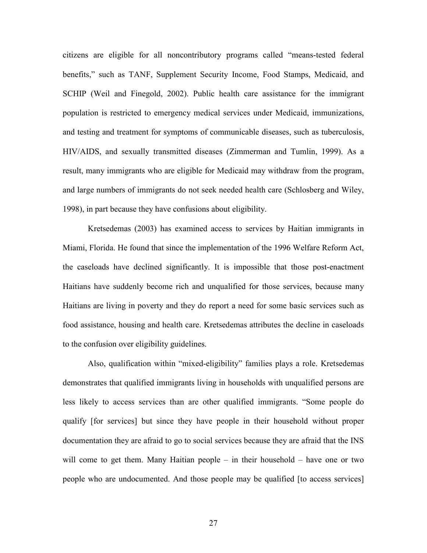citizens are eligible for all noncontributory programs called "means-tested federal benefits," such as TANF, Supplement Security Income, Food Stamps, Medicaid, and SCHIP (Weil and Finegold, 2002). Public health care assistance for the immigrant population is restricted to emergency medical services under Medicaid, immunizations, and testing and treatment for symptoms of communicable diseases, such as tuberculosis, HIV/AIDS, and sexually transmitted diseases (Zimmerman and Tumlin, 1999). As a result, many immigrants who are eligible for Medicaid may withdraw from the program, and large numbers of immigrants do not seek needed health care (Schlosberg and Wiley, 1998), in part because they have confusions about eligibility.

Kretsedemas (2003) has examined access to services by Haitian immigrants in Miami, Florida. He found that since the implementation of the 1996 Welfare Reform Act, the caseloads have declined significantly. It is impossible that those post-enactment Haitians have suddenly become rich and unqualified for those services, because many Haitians are living in poverty and they do report a need for some basic services such as food assistance, housing and health care. Kretsedemas attributes the decline in caseloads to the confusion over eligibility guidelines.

Also, qualification within "mixed-eligibility" families plays a role. Kretsedemas demonstrates that qualified immigrants living in households with unqualified persons are less likely to access services than are other qualified immigrants. "Some people do qualify [for services] but since they have people in their household without proper documentation they are afraid to go to social services because they are afraid that the INS will come to get them. Many Haitian people – in their household – have one or two people who are undocumented. And those people may be qualified [to access services]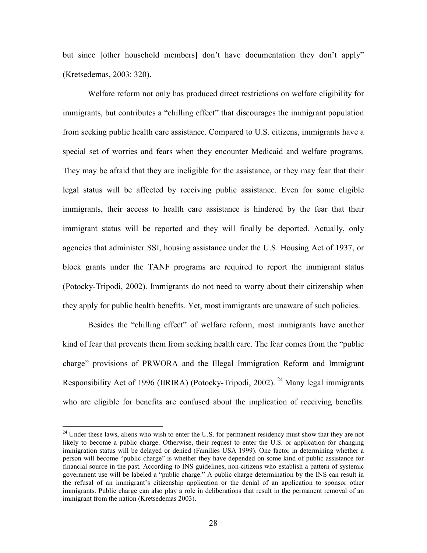but since [other household members] don't have documentation they don't apply" (Kretsedemas, 2003: 320).

Welfare reform not only has produced direct restrictions on welfare eligibility for immigrants, but contributes a "chilling effect" that discourages the immigrant population from seeking public health care assistance. Compared to U.S. citizens, immigrants have a special set of worries and fears when they encounter Medicaid and welfare programs. They may be afraid that they are ineligible for the assistance, or they may fear that their legal status will be affected by receiving public assistance. Even for some eligible immigrants, their access to health care assistance is hindered by the fear that their immigrant status will be reported and they will finally be deported. Actually, only agencies that administer SSI, housing assistance under the U.S. Housing Act of 1937, or block grants under the TANF programs are required to report the immigrant status (Potocky-Tripodi, 2002). Immigrants do not need to worry about their citizenship when they apply for public health benefits. Yet, most immigrants are unaware of such policies.

Besides the "chilling effect" of welfare reform, most immigrants have another kind of fear that prevents them from seeking health care. The fear comes from the "public charge" provisions of PRWORA and the Illegal Immigration Reform and Immigrant Responsibility Act of 1996 (IIRIRA) (Potocky-Tripodi, 2002). <sup>24</sup> Many legal immigrants who are eligible for benefits are confused about the implication of receiving benefits.

<sup>&</sup>lt;sup>24</sup> Under these laws, aliens who wish to enter the U.S. for permanent residency must show that they are not likely to become a public charge. Otherwise, their request to enter the U.S. or application for changing immigration status will be delayed or denied (Families USA 1999). One factor in determining whether a person will become "public charge" is whether they have depended on some kind of public assistance for financial source in the past. According to INS guidelines, non-citizens who establish a pattern of systemic government use will be labeled a "public charge." A public charge determination by the INS can result in the refusal of an immigrant's citizenship application or the denial of an application to sponsor other immigrants. Public charge can also play a role in deliberations that result in the permanent removal of an immigrant from the nation (Kretsedemas 2003).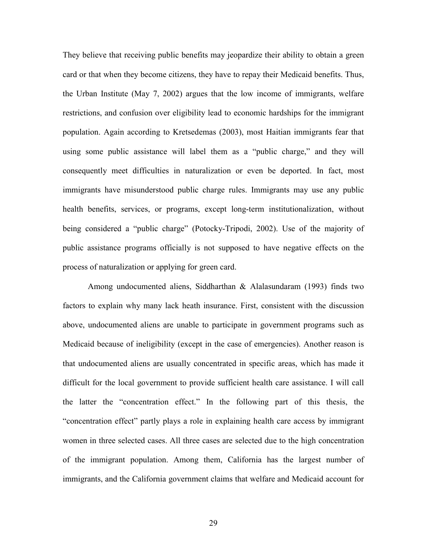They believe that receiving public benefits may jeopardize their ability to obtain a green card or that when they become citizens, they have to repay their Medicaid benefits. Thus, the Urban Institute (May 7, 2002) argues that the low income of immigrants, welfare restrictions, and confusion over eligibility lead to economic hardships for the immigrant population. Again according to Kretsedemas (2003), most Haitian immigrants fear that using some public assistance will label them as a "public charge," and they will consequently meet difficulties in naturalization or even be deported. In fact, most immigrants have misunderstood public charge rules. Immigrants may use any public health benefits, services, or programs, except long-term institutionalization, without being considered a "public charge" (Potocky-Tripodi, 2002). Use of the majority of public assistance programs officially is not supposed to have negative effects on the process of naturalization or applying for green card.

Among undocumented aliens, Siddharthan & Alalasundaram (1993) finds two factors to explain why many lack heath insurance. First, consistent with the discussion above, undocumented aliens are unable to participate in government programs such as Medicaid because of ineligibility (except in the case of emergencies). Another reason is that undocumented aliens are usually concentrated in specific areas, which has made it difficult for the local government to provide sufficient health care assistance. I will call the latter the "concentration effect." In the following part of this thesis, the "concentration effect" partly plays a role in explaining health care access by immigrant women in three selected cases. All three cases are selected due to the high concentration of the immigrant population. Among them, California has the largest number of immigrants, and the California government claims that welfare and Medicaid account for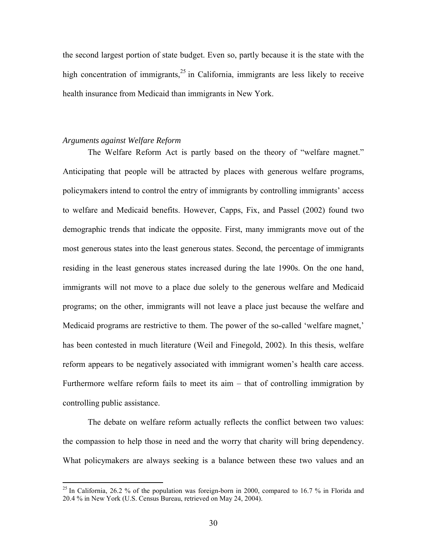the second largest portion of state budget. Even so, partly because it is the state with the high concentration of immigrants,  $2<sup>5</sup>$  in California, immigrants are less likely to receive health insurance from Medicaid than immigrants in New York.

#### *Arguments against Welfare Reform*

1

The Welfare Reform Act is partly based on the theory of "welfare magnet." Anticipating that people will be attracted by places with generous welfare programs, policymakers intend to control the entry of immigrants by controlling immigrants' access to welfare and Medicaid benefits. However, Capps, Fix, and Passel (2002) found two demographic trends that indicate the opposite. First, many immigrants move out of the most generous states into the least generous states. Second, the percentage of immigrants residing in the least generous states increased during the late 1990s. On the one hand, immigrants will not move to a place due solely to the generous welfare and Medicaid programs; on the other, immigrants will not leave a place just because the welfare and Medicaid programs are restrictive to them. The power of the so-called 'welfare magnet,' has been contested in much literature (Weil and Finegold, 2002). In this thesis, welfare reform appears to be negatively associated with immigrant women's health care access. Furthermore welfare reform fails to meet its aim – that of controlling immigration by controlling public assistance.

The debate on welfare reform actually reflects the conflict between two values: the compassion to help those in need and the worry that charity will bring dependency. What policymakers are always seeking is a balance between these two values and an

<sup>&</sup>lt;sup>25</sup> In California, 26.2 % of the population was foreign-born in 2000, compared to 16.7 % in Florida and 20.4 % in New York (U.S. Census Bureau, retrieved on May 24, 2004).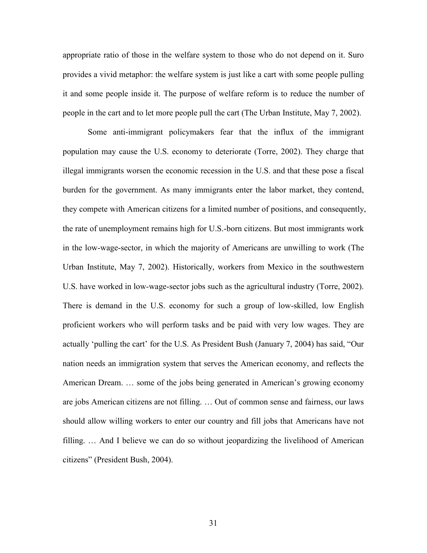appropriate ratio of those in the welfare system to those who do not depend on it. Suro provides a vivid metaphor: the welfare system is just like a cart with some people pulling it and some people inside it. The purpose of welfare reform is to reduce the number of people in the cart and to let more people pull the cart (The Urban Institute, May 7, 2002).

Some anti-immigrant policymakers fear that the influx of the immigrant population may cause the U.S. economy to deteriorate (Torre, 2002). They charge that illegal immigrants worsen the economic recession in the U.S. and that these pose a fiscal burden for the government. As many immigrants enter the labor market, they contend, they compete with American citizens for a limited number of positions, and consequently, the rate of unemployment remains high for U.S.-born citizens. But most immigrants work in the low-wage-sector, in which the majority of Americans are unwilling to work (The Urban Institute, May 7, 2002). Historically, workers from Mexico in the southwestern U.S. have worked in low-wage-sector jobs such as the agricultural industry (Torre, 2002). There is demand in the U.S. economy for such a group of low-skilled, low English proficient workers who will perform tasks and be paid with very low wages. They are actually 'pulling the cart' for the U.S. As President Bush (January 7, 2004) has said, "Our nation needs an immigration system that serves the American economy, and reflects the American Dream. … some of the jobs being generated in American's growing economy are jobs American citizens are not filling. … Out of common sense and fairness, our laws should allow willing workers to enter our country and fill jobs that Americans have not filling. … And I believe we can do so without jeopardizing the livelihood of American citizens" (President Bush, 2004).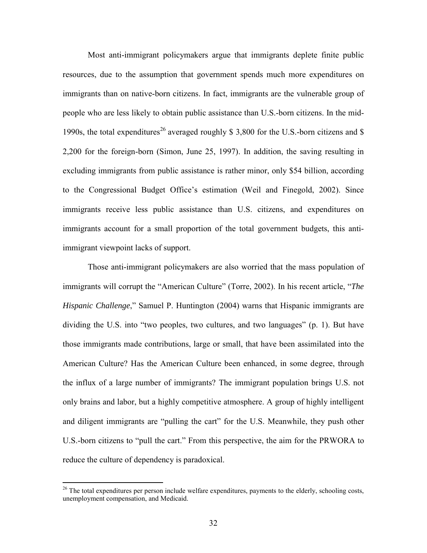Most anti-immigrant policymakers argue that immigrants deplete finite public resources, due to the assumption that government spends much more expenditures on immigrants than on native-born citizens. In fact, immigrants are the vulnerable group of people who are less likely to obtain public assistance than U.S.-born citizens. In the mid-1990s, the total expenditures<sup>26</sup> averaged roughly \$ 3,800 for the U.S.-born citizens and \$ 2,200 for the foreign-born (Simon, June 25, 1997). In addition, the saving resulting in excluding immigrants from public assistance is rather minor, only \$54 billion, according to the Congressional Budget Office's estimation (Weil and Finegold, 2002). Since immigrants receive less public assistance than U.S. citizens, and expenditures on immigrants account for a small proportion of the total government budgets, this antiimmigrant viewpoint lacks of support.

Those anti-immigrant policymakers are also worried that the mass population of immigrants will corrupt the "American Culture" (Torre, 2002). In his recent article, "*The Hispanic Challenge*," Samuel P. Huntington (2004) warns that Hispanic immigrants are dividing the U.S. into "two peoples, two cultures, and two languages" (p. 1). But have those immigrants made contributions, large or small, that have been assimilated into the American Culture? Has the American Culture been enhanced, in some degree, through the influx of a large number of immigrants? The immigrant population brings U.S. not only brains and labor, but a highly competitive atmosphere. A group of highly intelligent and diligent immigrants are "pulling the cart" for the U.S. Meanwhile, they push other U.S.-born citizens to "pull the cart." From this perspective, the aim for the PRWORA to reduce the culture of dependency is paradoxical.

1

 $26$  The total expenditures per person include welfare expenditures, payments to the elderly, schooling costs, unemployment compensation, and Medicaid.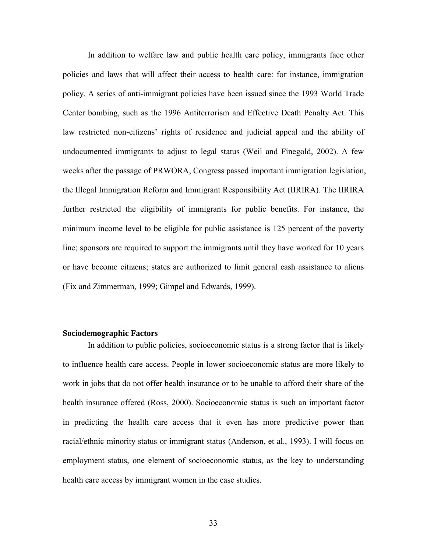In addition to welfare law and public health care policy, immigrants face other policies and laws that will affect their access to health care: for instance, immigration policy. A series of anti-immigrant policies have been issued since the 1993 World Trade Center bombing, such as the 1996 Antiterrorism and Effective Death Penalty Act. This law restricted non-citizens' rights of residence and judicial appeal and the ability of undocumented immigrants to adjust to legal status (Weil and Finegold, 2002). A few weeks after the passage of PRWORA, Congress passed important immigration legislation, the Illegal Immigration Reform and Immigrant Responsibility Act (IIRIRA). The IIRIRA further restricted the eligibility of immigrants for public benefits. For instance, the minimum income level to be eligible for public assistance is 125 percent of the poverty line; sponsors are required to support the immigrants until they have worked for 10 years or have become citizens; states are authorized to limit general cash assistance to aliens (Fix and Zimmerman, 1999; Gimpel and Edwards, 1999).

### **Sociodemographic Factors**

In addition to public policies, socioeconomic status is a strong factor that is likely to influence health care access. People in lower socioeconomic status are more likely to work in jobs that do not offer health insurance or to be unable to afford their share of the health insurance offered (Ross, 2000). Socioeconomic status is such an important factor in predicting the health care access that it even has more predictive power than racial/ethnic minority status or immigrant status (Anderson, et al., 1993). I will focus on employment status, one element of socioeconomic status, as the key to understanding health care access by immigrant women in the case studies.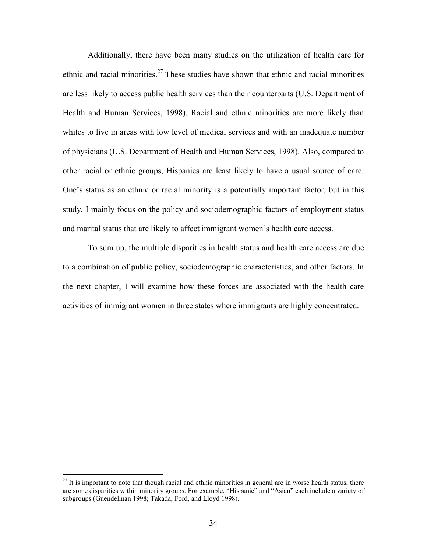Additionally, there have been many studies on the utilization of health care for ethnic and racial minorities.<sup>27</sup> These studies have shown that ethnic and racial minorities are less likely to access public health services than their counterparts (U.S. Department of Health and Human Services, 1998). Racial and ethnic minorities are more likely than whites to live in areas with low level of medical services and with an inadequate number of physicians (U.S. Department of Health and Human Services, 1998). Also, compared to other racial or ethnic groups, Hispanics are least likely to have a usual source of care. One's status as an ethnic or racial minority is a potentially important factor, but in this study, I mainly focus on the policy and sociodemographic factors of employment status and marital status that are likely to affect immigrant women's health care access.

To sum up, the multiple disparities in health status and health care access are due to a combination of public policy, sociodemographic characteristics, and other factors. In the next chapter, I will examine how these forces are associated with the health care activities of immigrant women in three states where immigrants are highly concentrated.

1

 $27$  It is important to note that though racial and ethnic minorities in general are in worse health status, there are some disparities within minority groups. For example, "Hispanic" and "Asian" each include a variety of subgroups (Guendelman 1998; Takada, Ford, and Lloyd 1998).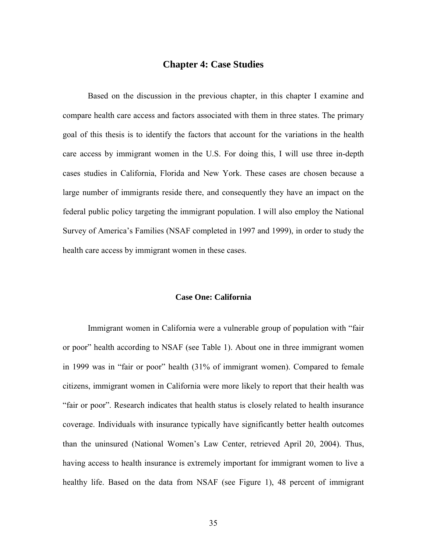# **Chapter 4: Case Studies**

 Based on the discussion in the previous chapter, in this chapter I examine and compare health care access and factors associated with them in three states. The primary goal of this thesis is to identify the factors that account for the variations in the health care access by immigrant women in the U.S. For doing this, I will use three in-depth cases studies in California, Florida and New York. These cases are chosen because a large number of immigrants reside there, and consequently they have an impact on the federal public policy targeting the immigrant population. I will also employ the National Survey of America's Families (NSAF completed in 1997 and 1999), in order to study the health care access by immigrant women in these cases.

## **Case One: California**

Immigrant women in California were a vulnerable group of population with "fair or poor" health according to NSAF (see Table 1). About one in three immigrant women in 1999 was in "fair or poor" health (31% of immigrant women). Compared to female citizens, immigrant women in California were more likely to report that their health was "fair or poor". Research indicates that health status is closely related to health insurance coverage. Individuals with insurance typically have significantly better health outcomes than the uninsured (National Women's Law Center, retrieved April 20, 2004). Thus, having access to health insurance is extremely important for immigrant women to live a healthy life. Based on the data from NSAF (see Figure 1), 48 percent of immigrant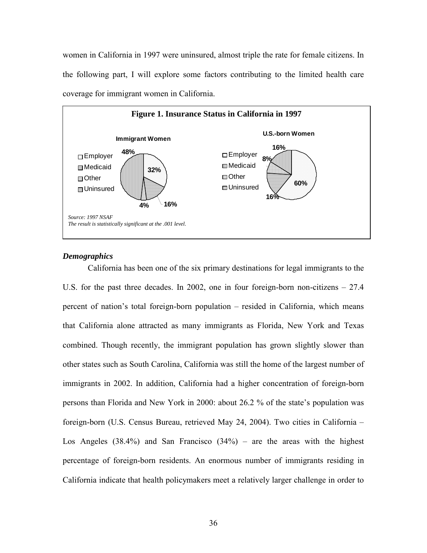women in California in 1997 were uninsured, almost triple the rate for female citizens. In the following part, I will explore some factors contributing to the limited health care coverage for immigrant women in California.



## *Demographics*

California has been one of the six primary destinations for legal immigrants to the U.S. for the past three decades. In 2002, one in four foreign-born non-citizens – 27.4 percent of nation's total foreign-born population – resided in California, which means that California alone attracted as many immigrants as Florida, New York and Texas combined. Though recently, the immigrant population has grown slightly slower than other states such as South Carolina, California was still the home of the largest number of immigrants in 2002. In addition, California had a higher concentration of foreign-born persons than Florida and New York in 2000: about 26.2 % of the state's population was foreign-born (U.S. Census Bureau, retrieved May 24, 2004). Two cities in California – Los Angeles  $(38.4\%)$  and San Francisco  $(34\%)$  – are the areas with the highest percentage of foreign-born residents. An enormous number of immigrants residing in California indicate that health policymakers meet a relatively larger challenge in order to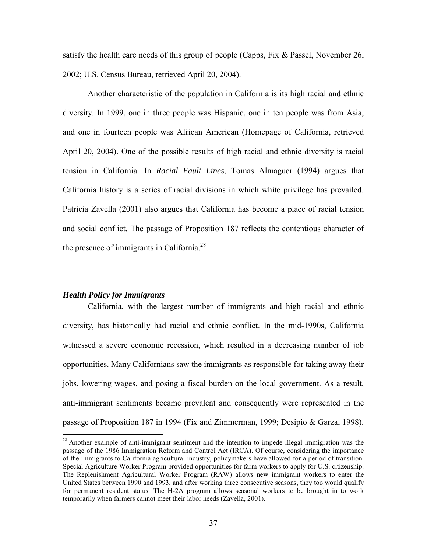satisfy the health care needs of this group of people (Capps, Fix  $\&$  Passel, November 26, 2002; U.S. Census Bureau, retrieved April 20, 2004).

Another characteristic of the population in California is its high racial and ethnic diversity. In 1999, one in three people was Hispanic, one in ten people was from Asia, and one in fourteen people was African American (Homepage of California, retrieved April 20, 2004). One of the possible results of high racial and ethnic diversity is racial tension in California. In *Racial Fault Lines*, Tomas Almaguer (1994) argues that California history is a series of racial divisions in which white privilege has prevailed. Patricia Zavella (2001) also argues that California has become a place of racial tension and social conflict. The passage of Proposition 187 reflects the contentious character of the presence of immigrants in California.<sup>28</sup>

#### *Health Policy for Immigrants*

1

California, with the largest number of immigrants and high racial and ethnic diversity, has historically had racial and ethnic conflict. In the mid-1990s, California witnessed a severe economic recession, which resulted in a decreasing number of job opportunities. Many Californians saw the immigrants as responsible for taking away their jobs, lowering wages, and posing a fiscal burden on the local government. As a result, anti-immigrant sentiments became prevalent and consequently were represented in the passage of Proposition 187 in 1994 (Fix and Zimmerman, 1999; Desipio & Garza, 1998).

<sup>&</sup>lt;sup>28</sup> Another example of anti-immigrant sentiment and the intention to impede illegal immigration was the passage of the 1986 Immigration Reform and Control Act (IRCA). Of course, considering the importance of the immigrants to California agricultural industry, policymakers have allowed for a period of transition. Special Agriculture Worker Program provided opportunities for farm workers to apply for U.S. citizenship. The Replenishment Agricultural Worker Program (RAW) allows new immigrant workers to enter the United States between 1990 and 1993, and after working three consecutive seasons, they too would qualify for permanent resident status. The H-2A program allows seasonal workers to be brought in to work temporarily when farmers cannot meet their labor needs (Zavella, 2001).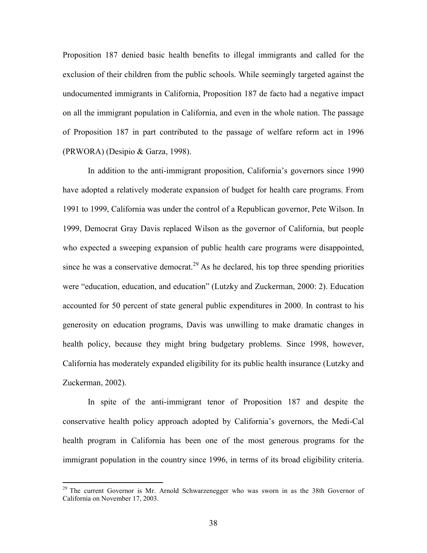Proposition 187 denied basic health benefits to illegal immigrants and called for the exclusion of their children from the public schools. While seemingly targeted against the undocumented immigrants in California, Proposition 187 de facto had a negative impact on all the immigrant population in California, and even in the whole nation. The passage of Proposition 187 in part contributed to the passage of welfare reform act in 1996 (PRWORA) (Desipio & Garza, 1998).

In addition to the anti-immigrant proposition, California's governors since 1990 have adopted a relatively moderate expansion of budget for health care programs. From 1991 to 1999, California was under the control of a Republican governor, Pete Wilson. In 1999, Democrat Gray Davis replaced Wilson as the governor of California, but people who expected a sweeping expansion of public health care programs were disappointed, since he was a conservative democrat.<sup>29</sup> As he declared, his top three spending priorities were "education, education, and education" (Lutzky and Zuckerman, 2000: 2). Education accounted for 50 percent of state general public expenditures in 2000. In contrast to his generosity on education programs, Davis was unwilling to make dramatic changes in health policy, because they might bring budgetary problems. Since 1998, however, California has moderately expanded eligibility for its public health insurance (Lutzky and Zuckerman, 2002).

In spite of the anti-immigrant tenor of Proposition 187 and despite the conservative health policy approach adopted by California's governors, the Medi-Cal health program in California has been one of the most generous programs for the immigrant population in the country since 1996, in terms of its broad eligibility criteria.

1

 $29$  The current Governor is Mr. Arnold Schwarzenegger who was sworn in as the 38th Governor of California on November 17, 2003.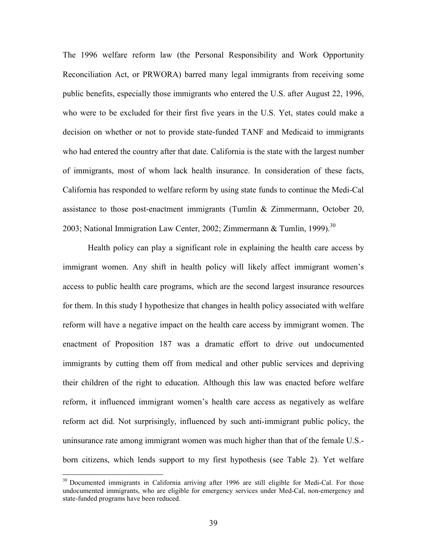The 1996 welfare reform law (the Personal Responsibility and Work Opportunity Reconciliation Act, or PRWORA) barred many legal immigrants from receiving some public benefits, especially those immigrants who entered the U.S. after August 22, 1996, who were to be excluded for their first five years in the U.S. Yet, states could make a decision on whether or not to provide state-funded TANF and Medicaid to immigrants who had entered the country after that date. California is the state with the largest number of immigrants, most of whom lack health insurance. In consideration of these facts, California has responded to welfare reform by using state funds to continue the Medi-Cal assistance to those post-enactment immigrants (Tumlin  $\&$  Zimmermann, October 20, 2003; National Immigration Law Center, 2002; Zimmermann & Tumlin, 1999).<sup>30</sup>

Health policy can play a significant role in explaining the health care access by immigrant women. Any shift in health policy will likely affect immigrant women's access to public health care programs, which are the second largest insurance resources for them. In this study I hypothesize that changes in health policy associated with welfare reform will have a negative impact on the health care access by immigrant women. The enactment of Proposition 187 was a dramatic effort to drive out undocumented immigrants by cutting them off from medical and other public services and depriving their children of the right to education. Although this law was enacted before welfare reform, it influenced immigrant women's health care access as negatively as welfare reform act did. Not surprisingly, influenced by such anti-immigrant public policy, the uninsurance rate among immigrant women was much higher than that of the female U.S. born citizens, which lends support to my first hypothesis (see Table 2). Yet welfare

1

<sup>&</sup>lt;sup>30</sup> Documented immigrants in California arriving after 1996 are still eligible for Medi-Cal. For those undocumented immigrants, who are eligible for emergency services under Med-Cal, non-emergency and state-funded programs have been reduced.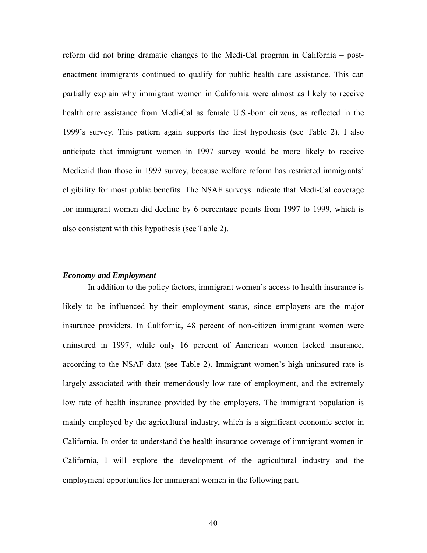reform did not bring dramatic changes to the Medi-Cal program in California – postenactment immigrants continued to qualify for public health care assistance. This can partially explain why immigrant women in California were almost as likely to receive health care assistance from Medi-Cal as female U.S.-born citizens, as reflected in the 1999's survey. This pattern again supports the first hypothesis (see Table 2). I also anticipate that immigrant women in 1997 survey would be more likely to receive Medicaid than those in 1999 survey, because welfare reform has restricted immigrants' eligibility for most public benefits. The NSAF surveys indicate that Medi-Cal coverage for immigrant women did decline by 6 percentage points from 1997 to 1999, which is also consistent with this hypothesis (see Table 2).

### *Economy and Employment*

In addition to the policy factors, immigrant women's access to health insurance is likely to be influenced by their employment status, since employers are the major insurance providers. In California, 48 percent of non-citizen immigrant women were uninsured in 1997, while only 16 percent of American women lacked insurance, according to the NSAF data (see Table 2). Immigrant women's high uninsured rate is largely associated with their tremendously low rate of employment, and the extremely low rate of health insurance provided by the employers. The immigrant population is mainly employed by the agricultural industry, which is a significant economic sector in California. In order to understand the health insurance coverage of immigrant women in California, I will explore the development of the agricultural industry and the employment opportunities for immigrant women in the following part.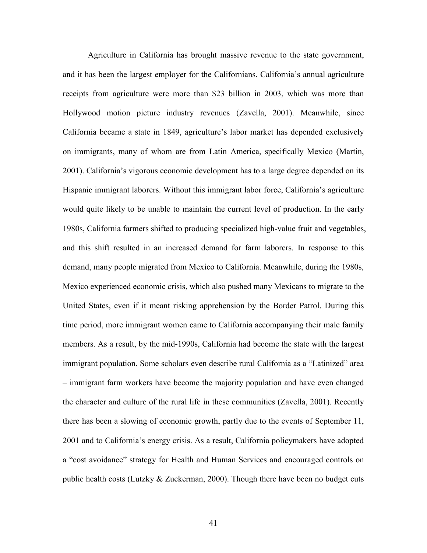Agriculture in California has brought massive revenue to the state government, and it has been the largest employer for the Californians. California's annual agriculture receipts from agriculture were more than \$23 billion in 2003, which was more than Hollywood motion picture industry revenues (Zavella, 2001). Meanwhile, since California became a state in 1849, agriculture's labor market has depended exclusively on immigrants, many of whom are from Latin America, specifically Mexico (Martin, 2001). California's vigorous economic development has to a large degree depended on its Hispanic immigrant laborers. Without this immigrant labor force, California's agriculture would quite likely to be unable to maintain the current level of production. In the early 1980s, California farmers shifted to producing specialized high-value fruit and vegetables, and this shift resulted in an increased demand for farm laborers. In response to this demand, many people migrated from Mexico to California. Meanwhile, during the 1980s, Mexico experienced economic crisis, which also pushed many Mexicans to migrate to the United States, even if it meant risking apprehension by the Border Patrol. During this time period, more immigrant women came to California accompanying their male family members. As a result, by the mid-1990s, California had become the state with the largest immigrant population. Some scholars even describe rural California as a "Latinized" area – immigrant farm workers have become the majority population and have even changed the character and culture of the rural life in these communities (Zavella, 2001). Recently there has been a slowing of economic growth, partly due to the events of September 11, 2001 and to California's energy crisis. As a result, California policymakers have adopted a "cost avoidance" strategy for Health and Human Services and encouraged controls on public health costs (Lutzky & Zuckerman, 2000). Though there have been no budget cuts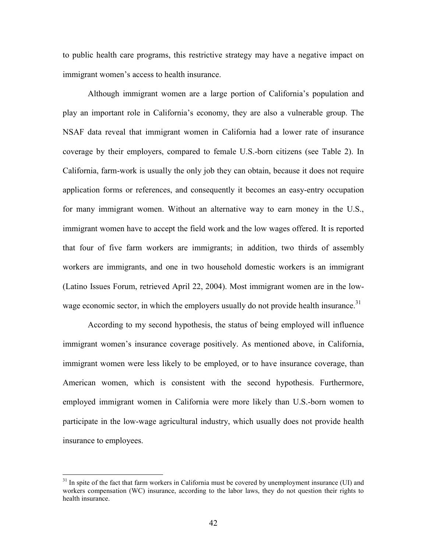to public health care programs, this restrictive strategy may have a negative impact on immigrant women's access to health insurance.

Although immigrant women are a large portion of California's population and play an important role in California's economy, they are also a vulnerable group. The NSAF data reveal that immigrant women in California had a lower rate of insurance coverage by their employers, compared to female U.S.-born citizens (see Table 2). In California, farm-work is usually the only job they can obtain, because it does not require application forms or references, and consequently it becomes an easy-entry occupation for many immigrant women. Without an alternative way to earn money in the U.S., immigrant women have to accept the field work and the low wages offered. It is reported that four of five farm workers are immigrants; in addition, two thirds of assembly workers are immigrants, and one in two household domestic workers is an immigrant (Latino Issues Forum, retrieved April 22, 2004). Most immigrant women are in the lowwage economic sector, in which the employers usually do not provide health insurance.<sup>31</sup>

According to my second hypothesis, the status of being employed will influence immigrant women's insurance coverage positively. As mentioned above, in California, immigrant women were less likely to be employed, or to have insurance coverage, than American women, which is consistent with the second hypothesis. Furthermore, employed immigrant women in California were more likely than U.S.-born women to participate in the low-wage agricultural industry, which usually does not provide health insurance to employees.

1

<sup>&</sup>lt;sup>31</sup> In spite of the fact that farm workers in California must be covered by unemployment insurance (UI) and workers compensation (WC) insurance, according to the labor laws, they do not question their rights to health insurance.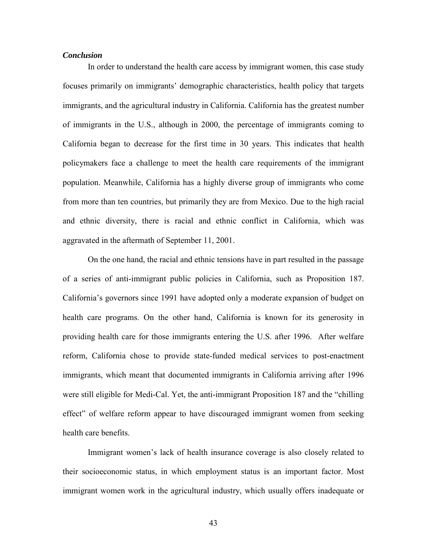## *Conclusion*

 In order to understand the health care access by immigrant women, this case study focuses primarily on immigrants' demographic characteristics, health policy that targets immigrants, and the agricultural industry in California. California has the greatest number of immigrants in the U.S., although in 2000, the percentage of immigrants coming to California began to decrease for the first time in 30 years. This indicates that health policymakers face a challenge to meet the health care requirements of the immigrant population. Meanwhile, California has a highly diverse group of immigrants who come from more than ten countries, but primarily they are from Mexico. Due to the high racial and ethnic diversity, there is racial and ethnic conflict in California, which was aggravated in the aftermath of September 11, 2001.

On the one hand, the racial and ethnic tensions have in part resulted in the passage of a series of anti-immigrant public policies in California, such as Proposition 187. California's governors since 1991 have adopted only a moderate expansion of budget on health care programs. On the other hand, California is known for its generosity in providing health care for those immigrants entering the U.S. after 1996. After welfare reform, California chose to provide state-funded medical services to post-enactment immigrants, which meant that documented immigrants in California arriving after 1996 were still eligible for Medi-Cal. Yet, the anti-immigrant Proposition 187 and the "chilling effect" of welfare reform appear to have discouraged immigrant women from seeking health care benefits.

Immigrant women's lack of health insurance coverage is also closely related to their socioeconomic status, in which employment status is an important factor. Most immigrant women work in the agricultural industry, which usually offers inadequate or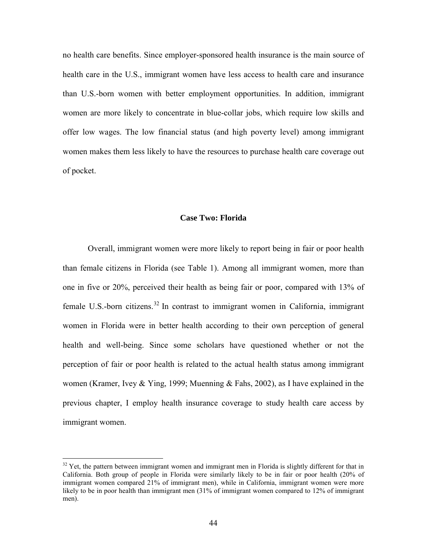no health care benefits. Since employer-sponsored health insurance is the main source of health care in the U.S., immigrant women have less access to health care and insurance than U.S.-born women with better employment opportunities. In addition, immigrant women are more likely to concentrate in blue-collar jobs, which require low skills and offer low wages. The low financial status (and high poverty level) among immigrant women makes them less likely to have the resources to purchase health care coverage out of pocket.

#### **Case Two: Florida**

Overall, immigrant women were more likely to report being in fair or poor health than female citizens in Florida (see Table 1). Among all immigrant women, more than one in five or 20%, perceived their health as being fair or poor, compared with 13% of female U.S.-born citizens.<sup>32</sup> In contrast to immigrant women in California, immigrant women in Florida were in better health according to their own perception of general health and well-being. Since some scholars have questioned whether or not the perception of fair or poor health is related to the actual health status among immigrant women (Kramer, Ivey & Ying, 1999; Muenning & Fahs, 2002), as I have explained in the previous chapter, I employ health insurance coverage to study health care access by immigrant women.

-

 $32$  Yet, the pattern between immigrant women and immigrant men in Florida is slightly different for that in California. Both group of people in Florida were similarly likely to be in fair or poor health (20% of immigrant women compared 21% of immigrant men), while in California, immigrant women were more likely to be in poor health than immigrant men (31% of immigrant women compared to 12% of immigrant men).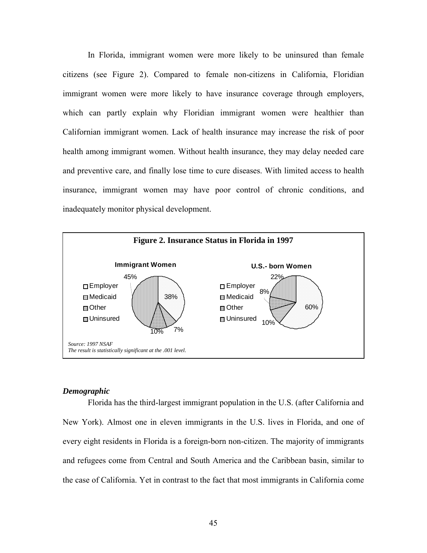In Florida, immigrant women were more likely to be uninsured than female citizens (see Figure 2). Compared to female non-citizens in California, Floridian immigrant women were more likely to have insurance coverage through employers, which can partly explain why Floridian immigrant women were healthier than Californian immigrant women. Lack of health insurance may increase the risk of poor health among immigrant women. Without health insurance, they may delay needed care and preventive care, and finally lose time to cure diseases. With limited access to health insurance, immigrant women may have poor control of chronic conditions, and inadequately monitor physical development.



#### *Demographic*

Florida has the third-largest immigrant population in the U.S. (after California and New York). Almost one in eleven immigrants in the U.S. lives in Florida, and one of every eight residents in Florida is a foreign-born non-citizen. The majority of immigrants and refugees come from Central and South America and the Caribbean basin, similar to the case of California. Yet in contrast to the fact that most immigrants in California come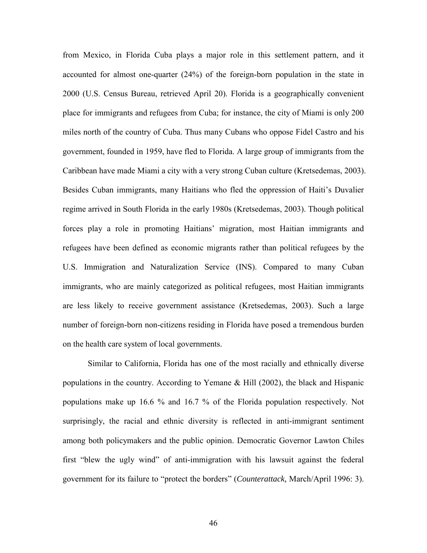from Mexico, in Florida Cuba plays a major role in this settlement pattern, and it accounted for almost one-quarter (24%) of the foreign-born population in the state in 2000 (U.S. Census Bureau, retrieved April 20). Florida is a geographically convenient place for immigrants and refugees from Cuba; for instance, the city of Miami is only 200 miles north of the country of Cuba. Thus many Cubans who oppose Fidel Castro and his government, founded in 1959, have fled to Florida. A large group of immigrants from the Caribbean have made Miami a city with a very strong Cuban culture (Kretsedemas, 2003). Besides Cuban immigrants, many Haitians who fled the oppression of Haiti's Duvalier regime arrived in South Florida in the early 1980s (Kretsedemas, 2003). Though political forces play a role in promoting Haitians' migration, most Haitian immigrants and refugees have been defined as economic migrants rather than political refugees by the U.S. Immigration and Naturalization Service (INS). Compared to many Cuban immigrants, who are mainly categorized as political refugees, most Haitian immigrants are less likely to receive government assistance (Kretsedemas, 2003). Such a large number of foreign-born non-citizens residing in Florida have posed a tremendous burden on the health care system of local governments.

Similar to California, Florida has one of the most racially and ethnically diverse populations in the country. According to Yemane & Hill (2002), the black and Hispanic populations make up 16.6 % and 16.7 % of the Florida population respectively. Not surprisingly, the racial and ethnic diversity is reflected in anti-immigrant sentiment among both policymakers and the public opinion. Democratic Governor Lawton Chiles first "blew the ugly wind" of anti-immigration with his lawsuit against the federal government for its failure to "protect the borders" (*Counterattack,* March/April 1996: 3).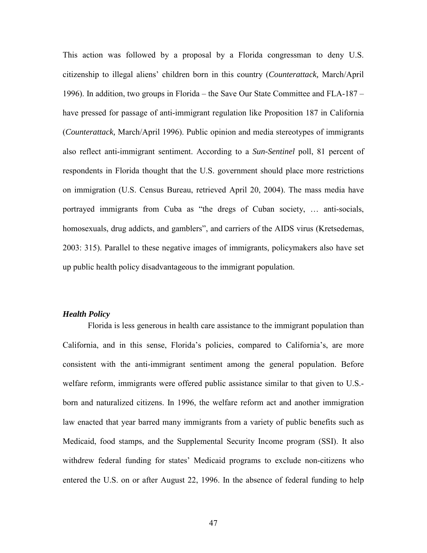This action was followed by a proposal by a Florida congressman to deny U.S. citizenship to illegal aliens' children born in this country (*Counterattack,* March/April 1996). In addition, two groups in Florida – the Save Our State Committee and FLA-187 – have pressed for passage of anti-immigrant regulation like Proposition 187 in California (*Counterattack,* March/April 1996). Public opinion and media stereotypes of immigrants also reflect anti-immigrant sentiment. According to a *Sun-Sentinel* poll, 81 percent of respondents in Florida thought that the U.S. government should place more restrictions on immigration (U.S. Census Bureau, retrieved April 20, 2004). The mass media have portrayed immigrants from Cuba as "the dregs of Cuban society, … anti-socials, homosexuals, drug addicts, and gamblers", and carriers of the AIDS virus (Kretsedemas, 2003: 315). Parallel to these negative images of immigrants, policymakers also have set up public health policy disadvantageous to the immigrant population.

## *Health Policy*

 Florida is less generous in health care assistance to the immigrant population than California, and in this sense, Florida's policies, compared to California's, are more consistent with the anti-immigrant sentiment among the general population. Before welfare reform, immigrants were offered public assistance similar to that given to U.S. born and naturalized citizens. In 1996, the welfare reform act and another immigration law enacted that year barred many immigrants from a variety of public benefits such as Medicaid, food stamps, and the Supplemental Security Income program (SSI). It also withdrew federal funding for states' Medicaid programs to exclude non-citizens who entered the U.S. on or after August 22, 1996. In the absence of federal funding to help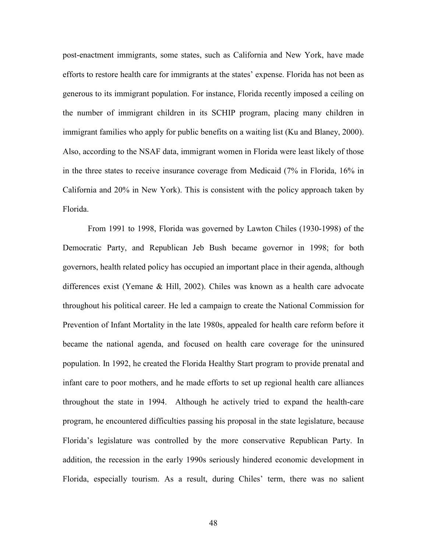post-enactment immigrants, some states, such as California and New York, have made efforts to restore health care for immigrants at the states' expense. Florida has not been as generous to its immigrant population. For instance, Florida recently imposed a ceiling on the number of immigrant children in its SCHIP program, placing many children in immigrant families who apply for public benefits on a waiting list (Ku and Blaney, 2000). Also, according to the NSAF data, immigrant women in Florida were least likely of those in the three states to receive insurance coverage from Medicaid (7% in Florida, 16% in California and 20% in New York). This is consistent with the policy approach taken by Florida.

From 1991 to 1998, Florida was governed by Lawton Chiles (1930-1998) of the Democratic Party, and Republican Jeb Bush became governor in 1998; for both governors, health related policy has occupied an important place in their agenda, although differences exist (Yemane & Hill, 2002). Chiles was known as a health care advocate throughout his political career. He led a campaign to create the National Commission for Prevention of Infant Mortality in the late 1980s, appealed for health care reform before it became the national agenda, and focused on health care coverage for the uninsured population. In 1992, he created the Florida Healthy Start program to provide prenatal and infant care to poor mothers, and he made efforts to set up regional health care alliances throughout the state in 1994. Although he actively tried to expand the health-care program, he encountered difficulties passing his proposal in the state legislature, because Florida's legislature was controlled by the more conservative Republican Party. In addition, the recession in the early 1990s seriously hindered economic development in Florida, especially tourism. As a result, during Chiles' term, there was no salient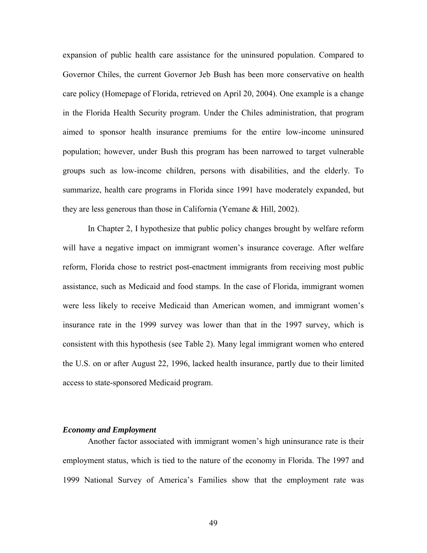expansion of public health care assistance for the uninsured population. Compared to Governor Chiles, the current Governor Jeb Bush has been more conservative on health care policy (Homepage of Florida, retrieved on April 20, 2004). One example is a change in the Florida Health Security program. Under the Chiles administration, that program aimed to sponsor health insurance premiums for the entire low-income uninsured population; however, under Bush this program has been narrowed to target vulnerable groups such as low-income children, persons with disabilities, and the elderly. To summarize, health care programs in Florida since 1991 have moderately expanded, but they are less generous than those in California (Yemane & Hill, 2002).

In Chapter 2, I hypothesize that public policy changes brought by welfare reform will have a negative impact on immigrant women's insurance coverage. After welfare reform, Florida chose to restrict post-enactment immigrants from receiving most public assistance, such as Medicaid and food stamps. In the case of Florida, immigrant women were less likely to receive Medicaid than American women, and immigrant women's insurance rate in the 1999 survey was lower than that in the 1997 survey, which is consistent with this hypothesis (see Table 2). Many legal immigrant women who entered the U.S. on or after August 22, 1996, lacked health insurance, partly due to their limited access to state-sponsored Medicaid program.

## *Economy and Employment*

Another factor associated with immigrant women's high uninsurance rate is their employment status, which is tied to the nature of the economy in Florida. The 1997 and 1999 National Survey of America's Families show that the employment rate was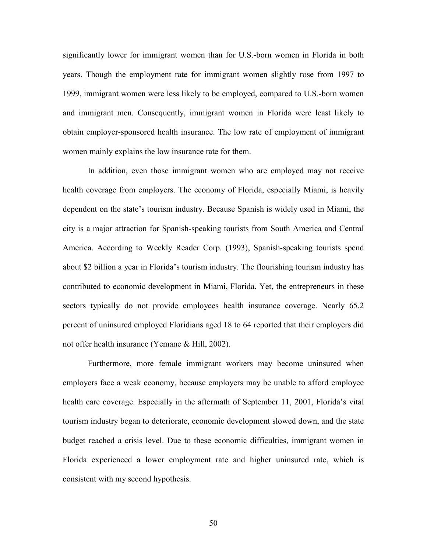significantly lower for immigrant women than for U.S.-born women in Florida in both years. Though the employment rate for immigrant women slightly rose from 1997 to 1999, immigrant women were less likely to be employed, compared to U.S.-born women and immigrant men. Consequently, immigrant women in Florida were least likely to obtain employer-sponsored health insurance. The low rate of employment of immigrant women mainly explains the low insurance rate for them.

In addition, even those immigrant women who are employed may not receive health coverage from employers. The economy of Florida, especially Miami, is heavily dependent on the state's tourism industry. Because Spanish is widely used in Miami, the city is a major attraction for Spanish-speaking tourists from South America and Central America. According to Weekly Reader Corp. (1993), Spanish-speaking tourists spend about \$2 billion a year in Florida's tourism industry. The flourishing tourism industry has contributed to economic development in Miami, Florida. Yet, the entrepreneurs in these sectors typically do not provide employees health insurance coverage. Nearly 65.2 percent of uninsured employed Floridians aged 18 to 64 reported that their employers did not offer health insurance (Yemane & Hill, 2002).

Furthermore, more female immigrant workers may become uninsured when employers face a weak economy, because employers may be unable to afford employee health care coverage. Especially in the aftermath of September 11, 2001, Florida's vital tourism industry began to deteriorate, economic development slowed down, and the state budget reached a crisis level. Due to these economic difficulties, immigrant women in Florida experienced a lower employment rate and higher uninsured rate, which is consistent with my second hypothesis.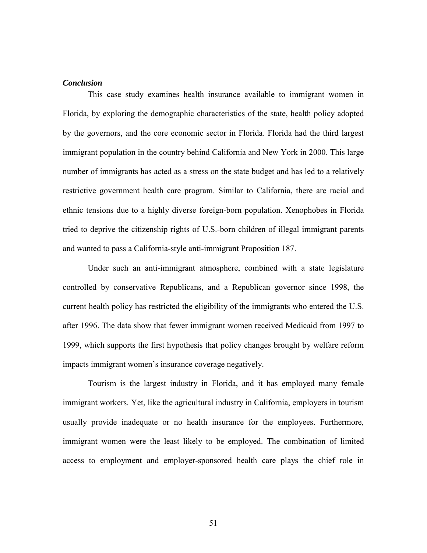### *Conclusion*

This case study examines health insurance available to immigrant women in Florida, by exploring the demographic characteristics of the state, health policy adopted by the governors, and the core economic sector in Florida. Florida had the third largest immigrant population in the country behind California and New York in 2000. This large number of immigrants has acted as a stress on the state budget and has led to a relatively restrictive government health care program. Similar to California, there are racial and ethnic tensions due to a highly diverse foreign-born population. Xenophobes in Florida tried to deprive the citizenship rights of U.S.-born children of illegal immigrant parents and wanted to pass a California-style anti-immigrant Proposition 187.

Under such an anti-immigrant atmosphere, combined with a state legislature controlled by conservative Republicans, and a Republican governor since 1998, the current health policy has restricted the eligibility of the immigrants who entered the U.S. after 1996. The data show that fewer immigrant women received Medicaid from 1997 to 1999, which supports the first hypothesis that policy changes brought by welfare reform impacts immigrant women's insurance coverage negatively.

 Tourism is the largest industry in Florida, and it has employed many female immigrant workers. Yet, like the agricultural industry in California, employers in tourism usually provide inadequate or no health insurance for the employees. Furthermore, immigrant women were the least likely to be employed. The combination of limited access to employment and employer-sponsored health care plays the chief role in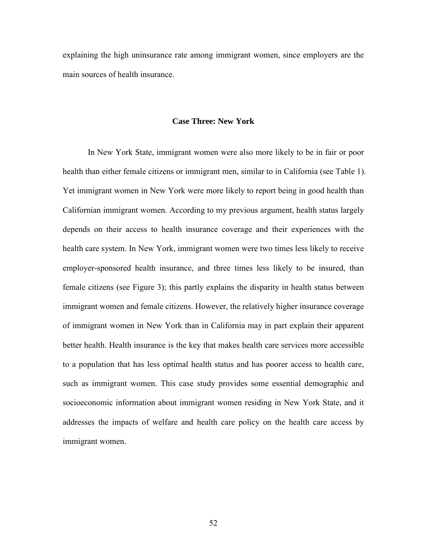explaining the high uninsurance rate among immigrant women, since employers are the main sources of health insurance.

## **Case Three: New York**

In New York State, immigrant women were also more likely to be in fair or poor health than either female citizens or immigrant men, similar to in California (see Table 1). Yet immigrant women in New York were more likely to report being in good health than Californian immigrant women. According to my previous argument, health status largely depends on their access to health insurance coverage and their experiences with the health care system. In New York, immigrant women were two times less likely to receive employer-sponsored health insurance, and three times less likely to be insured, than female citizens (see Figure 3); this partly explains the disparity in health status between immigrant women and female citizens. However, the relatively higher insurance coverage of immigrant women in New York than in California may in part explain their apparent better health. Health insurance is the key that makes health care services more accessible to a population that has less optimal health status and has poorer access to health care, such as immigrant women. This case study provides some essential demographic and socioeconomic information about immigrant women residing in New York State, and it addresses the impacts of welfare and health care policy on the health care access by immigrant women.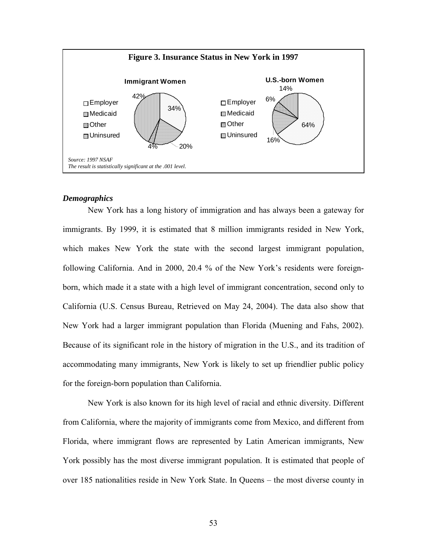

## *Demographics*

New York has a long history of immigration and has always been a gateway for immigrants. By 1999, it is estimated that 8 million immigrants resided in New York, which makes New York the state with the second largest immigrant population, following California. And in 2000, 20.4 % of the New York's residents were foreignborn, which made it a state with a high level of immigrant concentration, second only to California (U.S. Census Bureau, Retrieved on May 24, 2004). The data also show that New York had a larger immigrant population than Florida (Muening and Fahs, 2002). Because of its significant role in the history of migration in the U.S., and its tradition of accommodating many immigrants, New York is likely to set up friendlier public policy for the foreign-born population than California.

New York is also known for its high level of racial and ethnic diversity. Different from California, where the majority of immigrants come from Mexico, and different from Florida, where immigrant flows are represented by Latin American immigrants, New York possibly has the most diverse immigrant population. It is estimated that people of over 185 nationalities reside in New York State. In Queens – the most diverse county in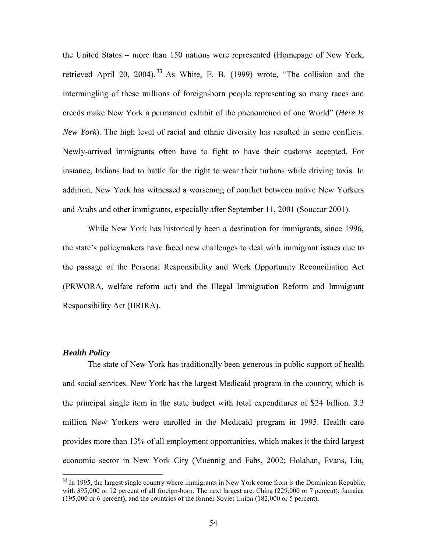the United States – more than 150 nations were represented (Homepage of New York, retrieved April 20, 2004). <sup>33</sup> As White, E. B. (1999) wrote, "The collision and the intermingling of these millions of foreign-born people representing so many races and creeds make New York a permanent exhibit of the phenomenon of one World" (*Here Is New York*). The high level of racial and ethnic diversity has resulted in some conflicts. Newly-arrived immigrants often have to fight to have their customs accepted. For instance, Indians had to battle for the right to wear their turbans while driving taxis. In addition, New York has witnessed a worsening of conflict between native New Yorkers and Arabs and other immigrants, especially after September 11, 2001 (Souccar 2001).

While New York has historically been a destination for immigrants, since 1996, the state's policymakers have faced new challenges to deal with immigrant issues due to the passage of the Personal Responsibility and Work Opportunity Reconciliation Act (PRWORA, welfare reform act) and the Illegal Immigration Reform and Immigrant Responsibility Act (IIRIRA).

## *Health Policy*

1

The state of New York has traditionally been generous in public support of health and social services. New York has the largest Medicaid program in the country, which is the principal single item in the state budget with total expenditures of \$24 billion. 3.3 million New Yorkers were enrolled in the Medicaid program in 1995. Health care provides more than 13% of all employment opportunities, which makes it the third largest economic sector in New York City (Muennig and Fahs, 2002; Holahan, Evans, Liu,

<sup>&</sup>lt;sup>33</sup> In 1995, the largest single country where immigrants in New York come from is the Dominican Republic, with 395,000 or 12 percent of all foreign-born. The next largest are: China (229,000 or 7 percent), Jamaica (195,000 or 6 percent), and the countries of the former Soviet Union (182,000 or 5 percent).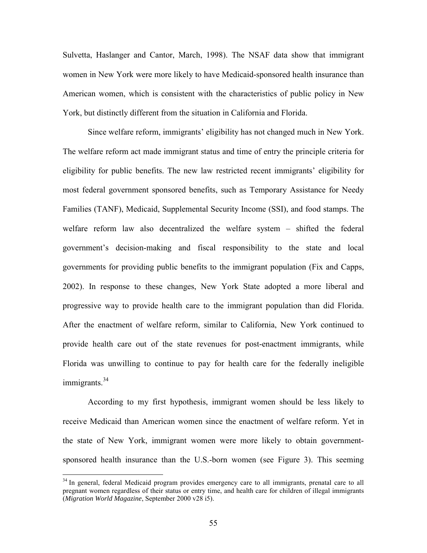Sulvetta, Haslanger and Cantor, March, 1998). The NSAF data show that immigrant women in New York were more likely to have Medicaid-sponsored health insurance than American women, which is consistent with the characteristics of public policy in New York, but distinctly different from the situation in California and Florida.

Since welfare reform, immigrants' eligibility has not changed much in New York. The welfare reform act made immigrant status and time of entry the principle criteria for eligibility for public benefits. The new law restricted recent immigrants' eligibility for most federal government sponsored benefits, such as Temporary Assistance for Needy Families (TANF), Medicaid, Supplemental Security Income (SSI), and food stamps. The welfare reform law also decentralized the welfare system – shifted the federal government's decision-making and fiscal responsibility to the state and local governments for providing public benefits to the immigrant population (Fix and Capps, 2002). In response to these changes, New York State adopted a more liberal and progressive way to provide health care to the immigrant population than did Florida. After the enactment of welfare reform, similar to California, New York continued to provide health care out of the state revenues for post-enactment immigrants, while Florida was unwilling to continue to pay for health care for the federally ineligible  $imm$ igrants.<sup>34</sup>

According to my first hypothesis, immigrant women should be less likely to receive Medicaid than American women since the enactment of welfare reform. Yet in the state of New York, immigrant women were more likely to obtain governmentsponsored health insurance than the U.S.-born women (see Figure 3). This seeming

1

<sup>&</sup>lt;sup>34</sup> In general, federal Medicaid program provides emergency care to all immigrants, prenatal care to all pregnant women regardless of their status or entry time, and health care for children of illegal immigrants (*Migration World Magazine*, September 2000 v28 i5).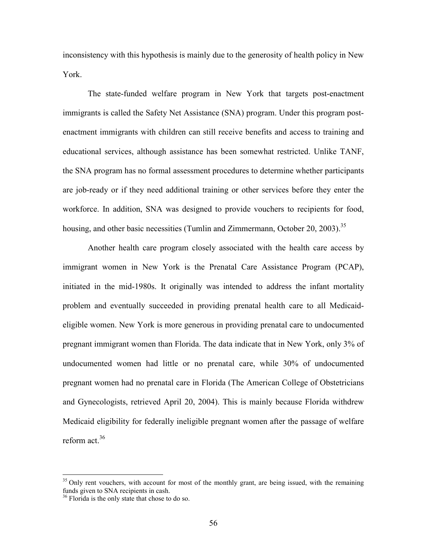inconsistency with this hypothesis is mainly due to the generosity of health policy in New York.

The state-funded welfare program in New York that targets post-enactment immigrants is called the Safety Net Assistance (SNA) program. Under this program postenactment immigrants with children can still receive benefits and access to training and educational services, although assistance has been somewhat restricted. Unlike TANF, the SNA program has no formal assessment procedures to determine whether participants are job-ready or if they need additional training or other services before they enter the workforce. In addition, SNA was designed to provide vouchers to recipients for food, housing, and other basic necessities (Tumlin and Zimmermann, October 20, 2003).<sup>35</sup>

Another health care program closely associated with the health care access by immigrant women in New York is the Prenatal Care Assistance Program (PCAP), initiated in the mid-1980s. It originally was intended to address the infant mortality problem and eventually succeeded in providing prenatal health care to all Medicaideligible women. New York is more generous in providing prenatal care to undocumented pregnant immigrant women than Florida. The data indicate that in New York, only 3% of undocumented women had little or no prenatal care, while 30% of undocumented pregnant women had no prenatal care in Florida (The American College of Obstetricians and Gynecologists, retrieved April 20, 2004). This is mainly because Florida withdrew Medicaid eligibility for federally ineligible pregnant women after the passage of welfare reform act.<sup>36</sup>

1

<sup>&</sup>lt;sup>35</sup> Only rent vouchers, with account for most of the monthly grant, are being issued, with the remaining funds given to SNA recipients in cash.

<sup>&</sup>lt;sup>36</sup> Florida is the only state that chose to do so.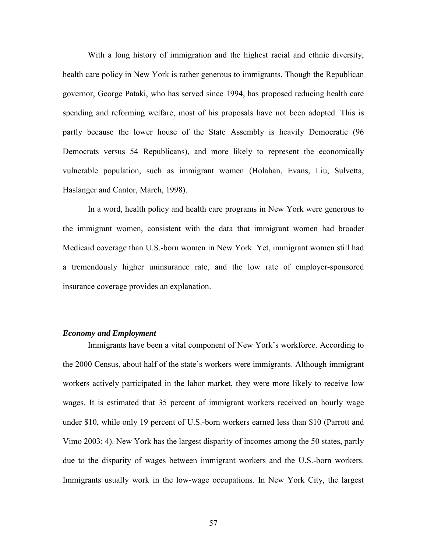With a long history of immigration and the highest racial and ethnic diversity, health care policy in New York is rather generous to immigrants. Though the Republican governor, George Pataki, who has served since 1994, has proposed reducing health care spending and reforming welfare, most of his proposals have not been adopted. This is partly because the lower house of the State Assembly is heavily Democratic (96 Democrats versus 54 Republicans), and more likely to represent the economically vulnerable population, such as immigrant women (Holahan, Evans, Liu, Sulvetta, Haslanger and Cantor, March, 1998).

In a word, health policy and health care programs in New York were generous to the immigrant women, consistent with the data that immigrant women had broader Medicaid coverage than U.S.-born women in New York. Yet, immigrant women still had a tremendously higher uninsurance rate, and the low rate of employer-sponsored insurance coverage provides an explanation.

### *Economy and Employment*

Immigrants have been a vital component of New York's workforce. According to the 2000 Census, about half of the state's workers were immigrants. Although immigrant workers actively participated in the labor market, they were more likely to receive low wages. It is estimated that 35 percent of immigrant workers received an hourly wage under \$10, while only 19 percent of U.S.-born workers earned less than \$10 (Parrott and Vimo 2003: 4). New York has the largest disparity of incomes among the 50 states, partly due to the disparity of wages between immigrant workers and the U.S.-born workers. Immigrants usually work in the low-wage occupations. In New York City, the largest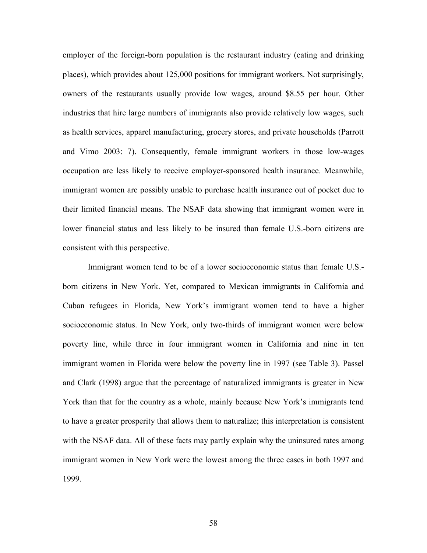employer of the foreign-born population is the restaurant industry (eating and drinking places), which provides about 125,000 positions for immigrant workers. Not surprisingly, owners of the restaurants usually provide low wages, around \$8.55 per hour. Other industries that hire large numbers of immigrants also provide relatively low wages, such as health services, apparel manufacturing, grocery stores, and private households (Parrott and Vimo 2003: 7). Consequently, female immigrant workers in those low-wages occupation are less likely to receive employer-sponsored health insurance. Meanwhile, immigrant women are possibly unable to purchase health insurance out of pocket due to their limited financial means. The NSAF data showing that immigrant women were in lower financial status and less likely to be insured than female U.S.-born citizens are consistent with this perspective.

Immigrant women tend to be of a lower socioeconomic status than female U.S. born citizens in New York. Yet, compared to Mexican immigrants in California and Cuban refugees in Florida, New York's immigrant women tend to have a higher socioeconomic status. In New York, only two-thirds of immigrant women were below poverty line, while three in four immigrant women in California and nine in ten immigrant women in Florida were below the poverty line in 1997 (see Table 3). Passel and Clark (1998) argue that the percentage of naturalized immigrants is greater in New York than that for the country as a whole, mainly because New York's immigrants tend to have a greater prosperity that allows them to naturalize; this interpretation is consistent with the NSAF data. All of these facts may partly explain why the uninsured rates among immigrant women in New York were the lowest among the three cases in both 1997 and 1999.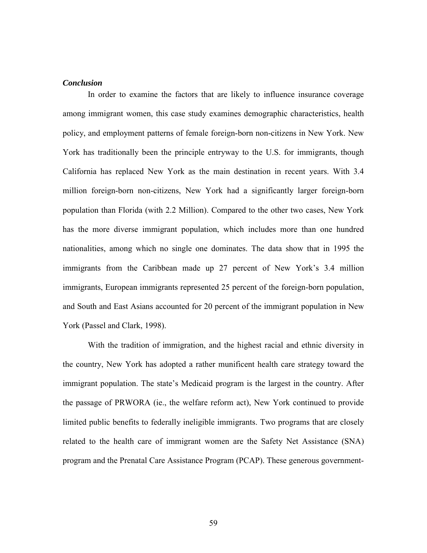### *Conclusion*

In order to examine the factors that are likely to influence insurance coverage among immigrant women, this case study examines demographic characteristics, health policy, and employment patterns of female foreign-born non-citizens in New York. New York has traditionally been the principle entryway to the U.S. for immigrants, though California has replaced New York as the main destination in recent years. With 3.4 million foreign-born non-citizens, New York had a significantly larger foreign-born population than Florida (with 2.2 Million). Compared to the other two cases, New York has the more diverse immigrant population, which includes more than one hundred nationalities, among which no single one dominates. The data show that in 1995 the immigrants from the Caribbean made up 27 percent of New York's 3.4 million immigrants, European immigrants represented 25 percent of the foreign-born population, and South and East Asians accounted for 20 percent of the immigrant population in New York (Passel and Clark, 1998).

With the tradition of immigration, and the highest racial and ethnic diversity in the country, New York has adopted a rather munificent health care strategy toward the immigrant population. The state's Medicaid program is the largest in the country. After the passage of PRWORA (ie., the welfare reform act), New York continued to provide limited public benefits to federally ineligible immigrants. Two programs that are closely related to the health care of immigrant women are the Safety Net Assistance (SNA) program and the Prenatal Care Assistance Program (PCAP). These generous government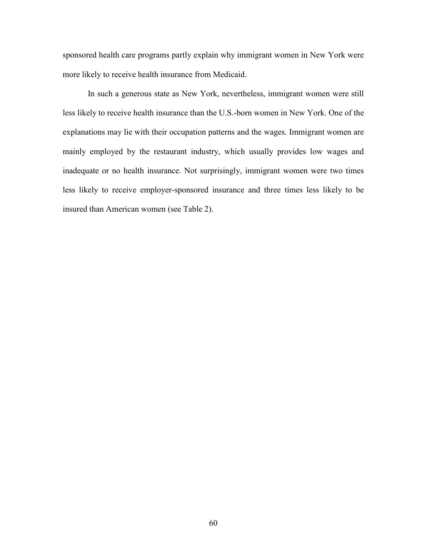sponsored health care programs partly explain why immigrant women in New York were more likely to receive health insurance from Medicaid.

In such a generous state as New York, nevertheless, immigrant women were still less likely to receive health insurance than the U.S.-born women in New York. One of the explanations may lie with their occupation patterns and the wages. Immigrant women are mainly employed by the restaurant industry, which usually provides low wages and inadequate or no health insurance. Not surprisingly, immigrant women were two times less likely to receive employer-sponsored insurance and three times less likely to be insured than American women (see Table 2).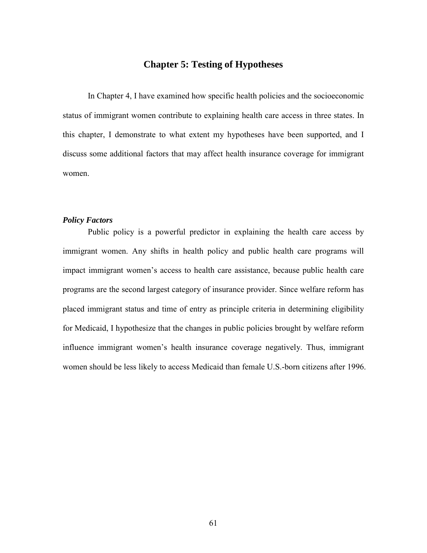# **Chapter 5: Testing of Hypotheses**

In Chapter 4, I have examined how specific health policies and the socioeconomic status of immigrant women contribute to explaining health care access in three states. In this chapter, I demonstrate to what extent my hypotheses have been supported, and I discuss some additional factors that may affect health insurance coverage for immigrant women.

## *Policy Factors*

Public policy is a powerful predictor in explaining the health care access by immigrant women. Any shifts in health policy and public health care programs will impact immigrant women's access to health care assistance, because public health care programs are the second largest category of insurance provider. Since welfare reform has placed immigrant status and time of entry as principle criteria in determining eligibility for Medicaid, I hypothesize that the changes in public policies brought by welfare reform influence immigrant women's health insurance coverage negatively. Thus, immigrant women should be less likely to access Medicaid than female U.S.-born citizens after 1996.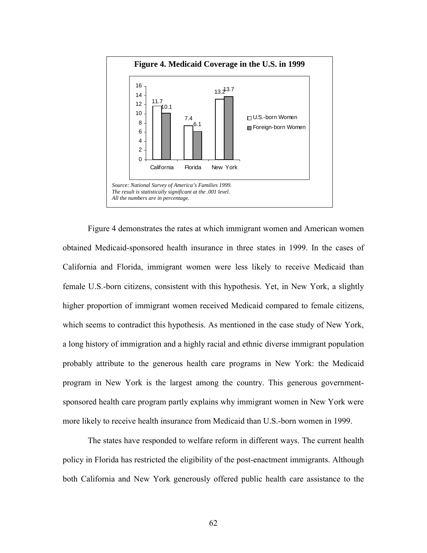

Figure 4 demonstrates the rates at which immigrant women and American women obtained Medicaid-sponsored health insurance in three states in 1999. In the cases of California and Florida, immigrant women were less likely to receive Medicaid than female U.S.-born citizens, consistent with this hypothesis. Yet, in New York, a slightly higher proportion of immigrant women received Medicaid compared to female citizens, which seems to contradict this hypothesis. As mentioned in the case study of New York, a long history of immigration and a highly racial and ethnic diverse immigrant population probably attribute to the generous health care programs in New York: the Medicaid program in New York is the largest among the country. This generous governmentsponsored health care program partly explains why immigrant women in New York were more likely to receive health insurance from Medicaid than U.S.-born women in 1999.

The states have responded to welfare reform in different ways. The current health policy in Florida has restricted the eligibility of the post-enactment immigrants. Although both California and New York generously offered public health care assistance to the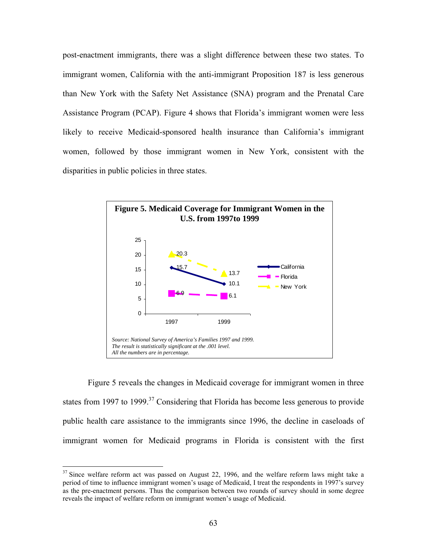post-enactment immigrants, there was a slight difference between these two states. To immigrant women, California with the anti-immigrant Proposition 187 is less generous than New York with the Safety Net Assistance (SNA) program and the Prenatal Care Assistance Program (PCAP). Figure 4 shows that Florida's immigrant women were less likely to receive Medicaid-sponsored health insurance than California's immigrant women, followed by those immigrant women in New York, consistent with the disparities in public policies in three states.



Figure 5 reveals the changes in Medicaid coverage for immigrant women in three states from 1997 to 1999.<sup>37</sup> Considering that Florida has become less generous to provide public health care assistance to the immigrants since 1996, the decline in caseloads of immigrant women for Medicaid programs in Florida is consistent with the first

 $\overline{a}$ 

 $37$  Since welfare reform act was passed on August 22, 1996, and the welfare reform laws might take a period of time to influence immigrant women's usage of Medicaid, I treat the respondents in 1997's survey as the pre-enactment persons. Thus the comparison between two rounds of survey should in some degree reveals the impact of welfare reform on immigrant women's usage of Medicaid.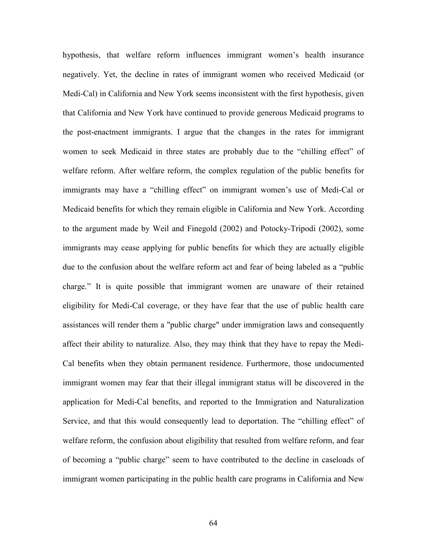hypothesis, that welfare reform influences immigrant women's health insurance negatively. Yet, the decline in rates of immigrant women who received Medicaid (or Medi-Cal) in California and New York seems inconsistent with the first hypothesis, given that California and New York have continued to provide generous Medicaid programs to the post-enactment immigrants. I argue that the changes in the rates for immigrant women to seek Medicaid in three states are probably due to the "chilling effect" of welfare reform. After welfare reform, the complex regulation of the public benefits for immigrants may have a "chilling effect" on immigrant women's use of Medi-Cal or Medicaid benefits for which they remain eligible in California and New York. According to the argument made by Weil and Finegold (2002) and Potocky-Tripodi (2002), some immigrants may cease applying for public benefits for which they are actually eligible due to the confusion about the welfare reform act and fear of being labeled as a "public charge." It is quite possible that immigrant women are unaware of their retained eligibility for Medi-Cal coverage, or they have fear that the use of public health care assistances will render them a "public charge" under immigration laws and consequently affect their ability to naturalize. Also, they may think that they have to repay the Medi-Cal benefits when they obtain permanent residence. Furthermore, those undocumented immigrant women may fear that their illegal immigrant status will be discovered in the application for Medi-Cal benefits, and reported to the Immigration and Naturalization Service, and that this would consequently lead to deportation. The "chilling effect" of welfare reform, the confusion about eligibility that resulted from welfare reform, and fear of becoming a "public charge" seem to have contributed to the decline in caseloads of immigrant women participating in the public health care programs in California and New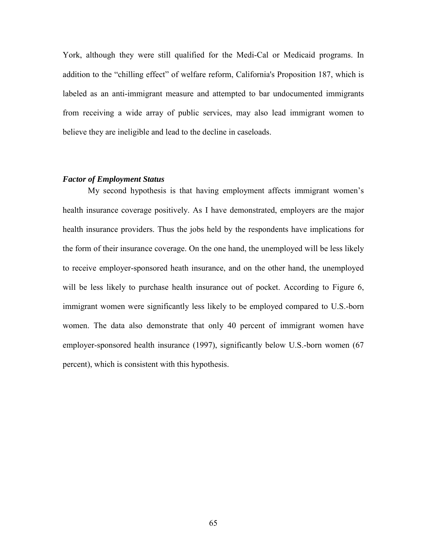York, although they were still qualified for the Medi-Cal or Medicaid programs. In addition to the "chilling effect" of welfare reform, California's Proposition 187, which is labeled as an anti-immigrant measure and attempted to bar undocumented immigrants from receiving a wide array of public services, may also lead immigrant women to believe they are ineligible and lead to the decline in caseloads.

#### *Factor of Employment Status*

My second hypothesis is that having employment affects immigrant women's health insurance coverage positively. As I have demonstrated, employers are the major health insurance providers. Thus the jobs held by the respondents have implications for the form of their insurance coverage. On the one hand, the unemployed will be less likely to receive employer-sponsored heath insurance, and on the other hand, the unemployed will be less likely to purchase health insurance out of pocket. According to Figure 6, immigrant women were significantly less likely to be employed compared to U.S.-born women. The data also demonstrate that only 40 percent of immigrant women have employer-sponsored health insurance (1997), significantly below U.S.-born women (67 percent), which is consistent with this hypothesis.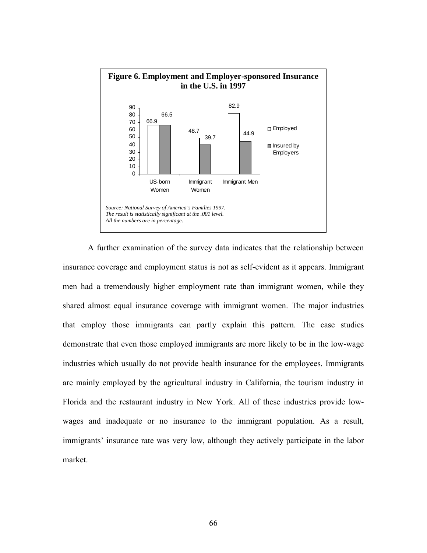

A further examination of the survey data indicates that the relationship between insurance coverage and employment status is not as self-evident as it appears. Immigrant men had a tremendously higher employment rate than immigrant women, while they shared almost equal insurance coverage with immigrant women. The major industries that employ those immigrants can partly explain this pattern. The case studies demonstrate that even those employed immigrants are more likely to be in the low-wage industries which usually do not provide health insurance for the employees. Immigrants are mainly employed by the agricultural industry in California, the tourism industry in Florida and the restaurant industry in New York. All of these industries provide lowwages and inadequate or no insurance to the immigrant population. As a result, immigrants' insurance rate was very low, although they actively participate in the labor market.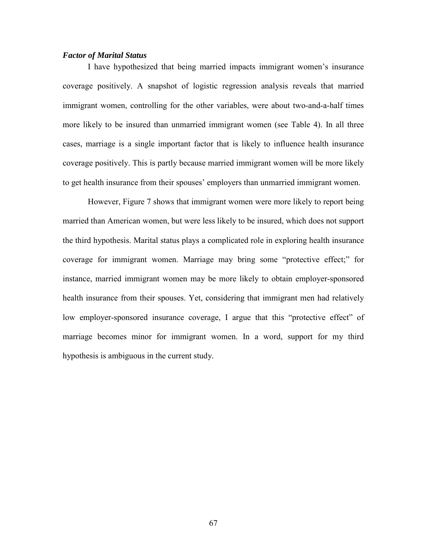#### *Factor of Marital Status*

I have hypothesized that being married impacts immigrant women's insurance coverage positively. A snapshot of logistic regression analysis reveals that married immigrant women, controlling for the other variables, were about two-and-a-half times more likely to be insured than unmarried immigrant women (see Table 4). In all three cases, marriage is a single important factor that is likely to influence health insurance coverage positively. This is partly because married immigrant women will be more likely to get health insurance from their spouses' employers than unmarried immigrant women.

However, Figure 7 shows that immigrant women were more likely to report being married than American women, but were less likely to be insured, which does not support the third hypothesis. Marital status plays a complicated role in exploring health insurance coverage for immigrant women. Marriage may bring some "protective effect;" for instance, married immigrant women may be more likely to obtain employer-sponsored health insurance from their spouses. Yet, considering that immigrant men had relatively low employer-sponsored insurance coverage, I argue that this "protective effect" of marriage becomes minor for immigrant women. In a word, support for my third hypothesis is ambiguous in the current study.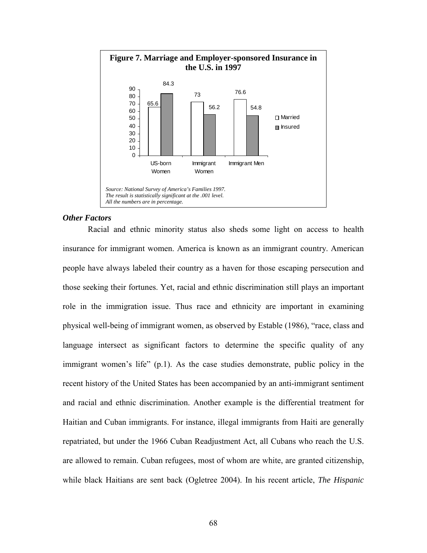

#### *Other Factors*

Racial and ethnic minority status also sheds some light on access to health insurance for immigrant women. America is known as an immigrant country. American people have always labeled their country as a haven for those escaping persecution and those seeking their fortunes. Yet, racial and ethnic discrimination still plays an important role in the immigration issue. Thus race and ethnicity are important in examining physical well-being of immigrant women, as observed by Estable (1986), "race, class and language intersect as significant factors to determine the specific quality of any immigrant women's life" (p.1). As the case studies demonstrate, public policy in the recent history of the United States has been accompanied by an anti-immigrant sentiment and racial and ethnic discrimination. Another example is the differential treatment for Haitian and Cuban immigrants. For instance, illegal immigrants from Haiti are generally repatriated, but under the 1966 Cuban Readjustment Act, all Cubans who reach the U.S. are allowed to remain. Cuban refugees, most of whom are white, are granted citizenship, while black Haitians are sent back (Ogletree 2004). In his recent article, *The Hispanic*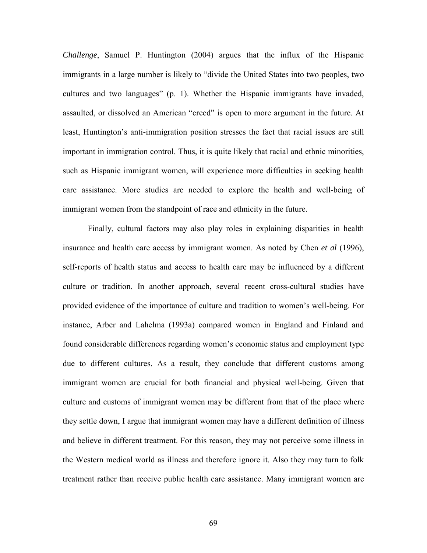*Challenge*, Samuel P. Huntington (2004) argues that the influx of the Hispanic immigrants in a large number is likely to "divide the United States into two peoples, two cultures and two languages" (p. 1). Whether the Hispanic immigrants have invaded, assaulted, or dissolved an American "creed" is open to more argument in the future. At least, Huntington's anti-immigration position stresses the fact that racial issues are still important in immigration control. Thus, it is quite likely that racial and ethnic minorities, such as Hispanic immigrant women, will experience more difficulties in seeking health care assistance. More studies are needed to explore the health and well-being of immigrant women from the standpoint of race and ethnicity in the future.

Finally, cultural factors may also play roles in explaining disparities in health insurance and health care access by immigrant women. As noted by Chen *et al* (1996), self-reports of health status and access to health care may be influenced by a different culture or tradition. In another approach, several recent cross-cultural studies have provided evidence of the importance of culture and tradition to women's well-being. For instance, Arber and Lahelma (1993a) compared women in England and Finland and found considerable differences regarding women's economic status and employment type due to different cultures. As a result, they conclude that different customs among immigrant women are crucial for both financial and physical well-being. Given that culture and customs of immigrant women may be different from that of the place where they settle down, I argue that immigrant women may have a different definition of illness and believe in different treatment. For this reason, they may not perceive some illness in the Western medical world as illness and therefore ignore it. Also they may turn to folk treatment rather than receive public health care assistance. Many immigrant women are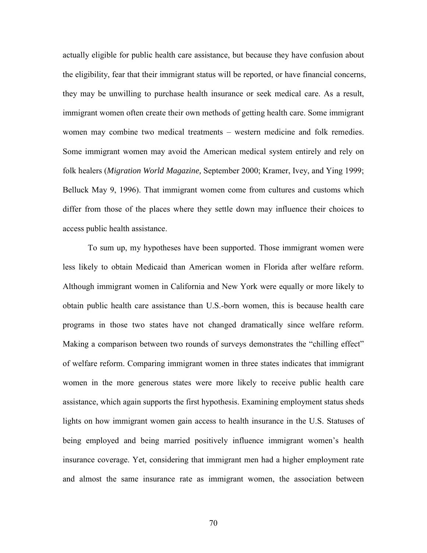actually eligible for public health care assistance, but because they have confusion about the eligibility, fear that their immigrant status will be reported, or have financial concerns, they may be unwilling to purchase health insurance or seek medical care. As a result, immigrant women often create their own methods of getting health care. Some immigrant women may combine two medical treatments – western medicine and folk remedies. Some immigrant women may avoid the American medical system entirely and rely on folk healers (*Migration World Magazine,* September 2000; Kramer, Ivey, and Ying 1999; Belluck May 9, 1996). That immigrant women come from cultures and customs which differ from those of the places where they settle down may influence their choices to access public health assistance.

To sum up, my hypotheses have been supported. Those immigrant women were less likely to obtain Medicaid than American women in Florida after welfare reform. Although immigrant women in California and New York were equally or more likely to obtain public health care assistance than U.S.-born women, this is because health care programs in those two states have not changed dramatically since welfare reform. Making a comparison between two rounds of surveys demonstrates the "chilling effect" of welfare reform. Comparing immigrant women in three states indicates that immigrant women in the more generous states were more likely to receive public health care assistance, which again supports the first hypothesis. Examining employment status sheds lights on how immigrant women gain access to health insurance in the U.S. Statuses of being employed and being married positively influence immigrant women's health insurance coverage. Yet, considering that immigrant men had a higher employment rate and almost the same insurance rate as immigrant women, the association between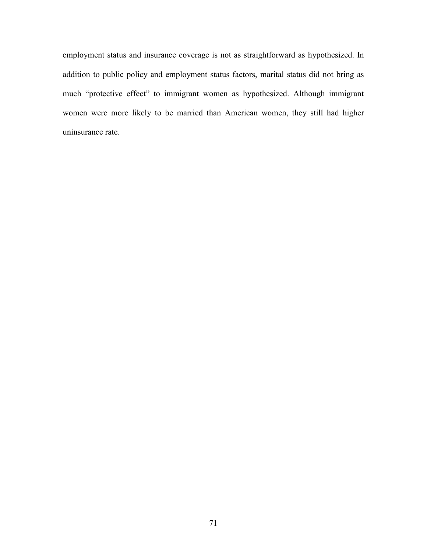employment status and insurance coverage is not as straightforward as hypothesized. In addition to public policy and employment status factors, marital status did not bring as much "protective effect" to immigrant women as hypothesized. Although immigrant women were more likely to be married than American women, they still had higher uninsurance rate.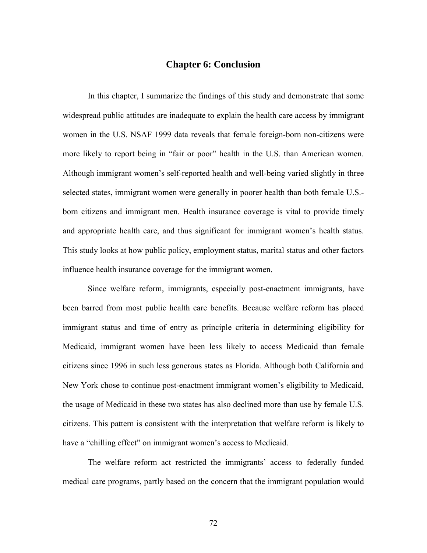### **Chapter 6: Conclusion**

 In this chapter, I summarize the findings of this study and demonstrate that some widespread public attitudes are inadequate to explain the health care access by immigrant women in the U.S. NSAF 1999 data reveals that female foreign-born non-citizens were more likely to report being in "fair or poor" health in the U.S. than American women. Although immigrant women's self-reported health and well-being varied slightly in three selected states, immigrant women were generally in poorer health than both female U.S. born citizens and immigrant men. Health insurance coverage is vital to provide timely and appropriate health care, and thus significant for immigrant women's health status. This study looks at how public policy, employment status, marital status and other factors influence health insurance coverage for the immigrant women.

Since welfare reform, immigrants, especially post-enactment immigrants, have been barred from most public health care benefits. Because welfare reform has placed immigrant status and time of entry as principle criteria in determining eligibility for Medicaid, immigrant women have been less likely to access Medicaid than female citizens since 1996 in such less generous states as Florida. Although both California and New York chose to continue post-enactment immigrant women's eligibility to Medicaid, the usage of Medicaid in these two states has also declined more than use by female U.S. citizens. This pattern is consistent with the interpretation that welfare reform is likely to have a "chilling effect" on immigrant women's access to Medicaid.

The welfare reform act restricted the immigrants' access to federally funded medical care programs, partly based on the concern that the immigrant population would

72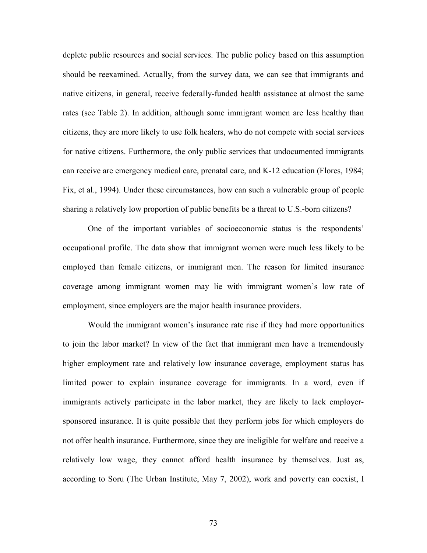deplete public resources and social services. The public policy based on this assumption should be reexamined. Actually, from the survey data, we can see that immigrants and native citizens, in general, receive federally-funded health assistance at almost the same rates (see Table 2). In addition, although some immigrant women are less healthy than citizens, they are more likely to use folk healers, who do not compete with social services for native citizens. Furthermore, the only public services that undocumented immigrants can receive are emergency medical care, prenatal care, and K-12 education (Flores, 1984; Fix, et al., 1994). Under these circumstances, how can such a vulnerable group of people sharing a relatively low proportion of public benefits be a threat to U.S.-born citizens?

One of the important variables of socioeconomic status is the respondents' occupational profile. The data show that immigrant women were much less likely to be employed than female citizens, or immigrant men. The reason for limited insurance coverage among immigrant women may lie with immigrant women's low rate of employment, since employers are the major health insurance providers.

Would the immigrant women's insurance rate rise if they had more opportunities to join the labor market? In view of the fact that immigrant men have a tremendously higher employment rate and relatively low insurance coverage, employment status has limited power to explain insurance coverage for immigrants. In a word, even if immigrants actively participate in the labor market, they are likely to lack employersponsored insurance. It is quite possible that they perform jobs for which employers do not offer health insurance. Furthermore, since they are ineligible for welfare and receive a relatively low wage, they cannot afford health insurance by themselves. Just as, according to Soru (The Urban Institute, May 7, 2002), work and poverty can coexist, I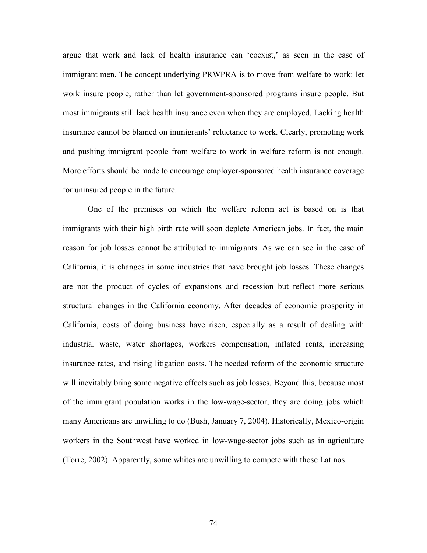argue that work and lack of health insurance can 'coexist,' as seen in the case of immigrant men. The concept underlying PRWPRA is to move from welfare to work: let work insure people, rather than let government-sponsored programs insure people. But most immigrants still lack health insurance even when they are employed. Lacking health insurance cannot be blamed on immigrants' reluctance to work. Clearly, promoting work and pushing immigrant people from welfare to work in welfare reform is not enough. More efforts should be made to encourage employer-sponsored health insurance coverage for uninsured people in the future.

One of the premises on which the welfare reform act is based on is that immigrants with their high birth rate will soon deplete American jobs. In fact, the main reason for job losses cannot be attributed to immigrants. As we can see in the case of California, it is changes in some industries that have brought job losses. These changes are not the product of cycles of expansions and recession but reflect more serious structural changes in the California economy. After decades of economic prosperity in California, costs of doing business have risen, especially as a result of dealing with industrial waste, water shortages, workers compensation, inflated rents, increasing insurance rates, and rising litigation costs. The needed reform of the economic structure will inevitably bring some negative effects such as job losses. Beyond this, because most of the immigrant population works in the low-wage-sector, they are doing jobs which many Americans are unwilling to do (Bush, January 7, 2004). Historically, Mexico-origin workers in the Southwest have worked in low-wage-sector jobs such as in agriculture (Torre, 2002). Apparently, some whites are unwilling to compete with those Latinos.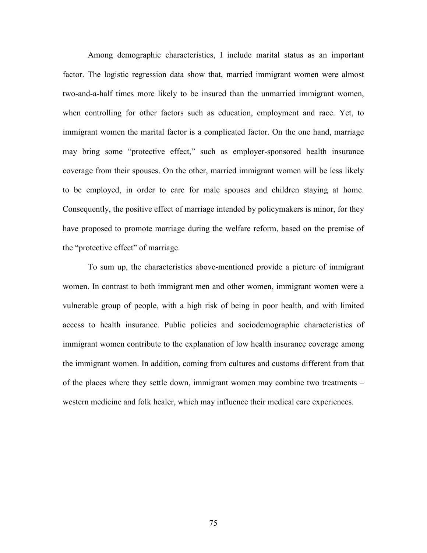Among demographic characteristics, I include marital status as an important factor. The logistic regression data show that, married immigrant women were almost two-and-a-half times more likely to be insured than the unmarried immigrant women, when controlling for other factors such as education, employment and race. Yet, to immigrant women the marital factor is a complicated factor. On the one hand, marriage may bring some "protective effect," such as employer-sponsored health insurance coverage from their spouses. On the other, married immigrant women will be less likely to be employed, in order to care for male spouses and children staying at home. Consequently, the positive effect of marriage intended by policymakers is minor, for they have proposed to promote marriage during the welfare reform, based on the premise of the "protective effect" of marriage.

To sum up, the characteristics above-mentioned provide a picture of immigrant women. In contrast to both immigrant men and other women, immigrant women were a vulnerable group of people, with a high risk of being in poor health, and with limited access to health insurance. Public policies and sociodemographic characteristics of immigrant women contribute to the explanation of low health insurance coverage among the immigrant women. In addition, coming from cultures and customs different from that of the places where they settle down, immigrant women may combine two treatments – western medicine and folk healer, which may influence their medical care experiences.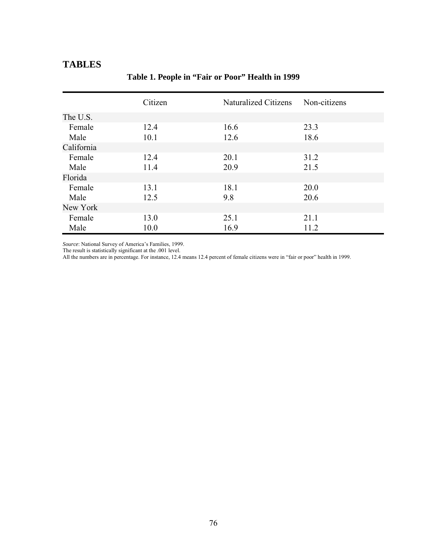### **TABLES**

|            | Citizen | Naturalized Citizens | Non-citizens |
|------------|---------|----------------------|--------------|
| The U.S.   |         |                      |              |
| Female     | 12.4    | 16.6                 | 23.3         |
| Male       | 10.1    | 12.6                 | 18.6         |
| California |         |                      |              |
| Female     | 12.4    | 20.1                 | 31.2         |
| Male       | 11.4    | 20.9                 | 21.5         |
| Florida    |         |                      |              |
| Female     | 13.1    | 18.1                 | 20.0         |
| Male       | 12.5    | 9.8                  | 20.6         |
| New York   |         |                      |              |
| Female     | 13.0    | 25.1                 | 21.1         |
| Male       | 10.0    | 16.9                 | 11.2         |

### **Table 1. People in "Fair or Poor" Health in 1999**

*Source*: National Survey of America's Families, 1999.

The result is statistically significant at the .001 level.

All the numbers are in percentage. For instance, 12.4 means 12.4 percent of female citizens were in "fair or poor" health in 1999.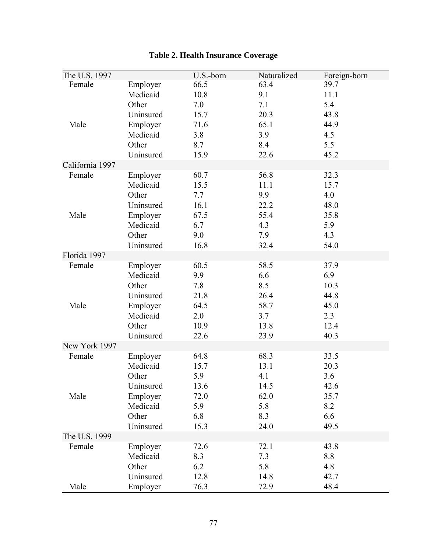| The U.S. 1997   |           | U.S.-born | Naturalized | Foreign-born |
|-----------------|-----------|-----------|-------------|--------------|
| Female          | Employer  | 66.5      | 63.4        | 39.7         |
|                 | Medicaid  | 10.8      | 9.1         | 11.1         |
|                 | Other     | 7.0       | 7.1         | 5.4          |
|                 | Uninsured | 15.7      | 20.3        | 43.8         |
| Male            | Employer  | 71.6      | 65.1        | 44.9         |
|                 | Medicaid  | 3.8       | 3.9         | 4.5          |
|                 | Other     | 8.7       | 8.4         | 5.5          |
|                 | Uninsured | 15.9      | 22.6        | 45.2         |
| California 1997 |           |           |             |              |
| Female          | Employer  | 60.7      | 56.8        | 32.3         |
|                 | Medicaid  | 15.5      | 11.1        | 15.7         |
|                 | Other     | 7.7       | 9.9         | 4.0          |
|                 | Uninsured | 16.1      | 22.2        | 48.0         |
| Male            | Employer  | 67.5      | 55.4        | 35.8         |
|                 | Medicaid  | 6.7       | 4.3         | 5.9          |
|                 | Other     | 9.0       | 7.9         | 4.3          |
|                 | Uninsured | 16.8      | 32.4        | 54.0         |
| Florida 1997    |           |           |             |              |
| Female          | Employer  | 60.5      | 58.5        | 37.9         |
|                 | Medicaid  | 9.9       | 6.6         | 6.9          |
|                 | Other     | 7.8       | 8.5         | 10.3         |
|                 | Uninsured | 21.8      | 26.4        | 44.8         |
| Male            | Employer  | 64.5      | 58.7        | 45.0         |
|                 | Medicaid  | 2.0       | 3.7         | 2.3          |
|                 | Other     | 10.9      | 13.8        | 12.4         |
|                 | Uninsured | 22.6      | 23.9        | 40.3         |
| New York 1997   |           |           |             |              |
| Female          | Employer  | 64.8      | 68.3        | 33.5         |
|                 | Medicaid  | 15.7      | 13.1        | 20.3         |
|                 | Other     | 5.9       | 4.1         | 3.6          |
|                 | Uninsured | 13.6      | 14.5        | 42.6         |
| Male            | Employer  | 72.0      | 62.0        | 35.7         |
|                 | Medicaid  | 5.9       | 5.8         | 8.2          |
|                 | Other     | 6.8       | 8.3         | 6.6          |
|                 | Uninsured | 15.3      | 24.0        | 49.5         |
| The U.S. 1999   |           |           |             |              |
| Female          | Employer  | 72.6      | 72.1        | 43.8         |
|                 | Medicaid  | 8.3       | 7.3         | 8.8          |
|                 | Other     | 6.2       | 5.8         | 4.8          |
|                 | Uninsured | 12.8      | 14.8        | 42.7         |
| Male            | Employer  | 76.3      | 72.9        | 48.4         |

# **Table 2. Health Insurance Coverage**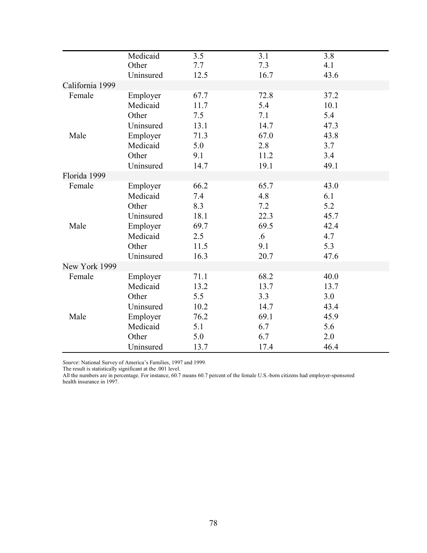|                 | Medicaid<br>Other    | 3.5<br>7.7   | 3.1<br>7.3   | 3.8<br>4.1   |
|-----------------|----------------------|--------------|--------------|--------------|
|                 | Uninsured            | 12.5         | 16.7         | 43.6         |
| California 1999 |                      |              |              |              |
| Female          | Employer<br>Medicaid | 67.7<br>11.7 | 72.8<br>5.4  | 37.2<br>10.1 |
|                 | Other<br>Uninsured   | 7.5<br>13.1  | 7.1<br>14.7  | 5.4<br>47.3  |
| Male            | Employer<br>Medicaid | 71.3<br>5.0  | 67.0<br>2.8  | 43.8<br>3.7  |
|                 | Other<br>Uninsured   | 9.1<br>14.7  | 11.2<br>19.1 | 3.4<br>49.1  |
| Florida 1999    |                      |              |              |              |
| Female          | Employer<br>Medicaid | 66.2<br>7.4  | 65.7<br>4.8  | 43.0<br>6.1  |
|                 | Other<br>Uninsured   | 8.3<br>18.1  | 7.2<br>22.3  | 5.2<br>45.7  |
| Male            | Employer<br>Medicaid | 69.7<br>2.5  | 69.5<br>.6   | 42.4<br>4.7  |
|                 | Other<br>Uninsured   | 11.5<br>16.3 | 9.1<br>20.7  | 5.3<br>47.6  |
| New York 1999   |                      |              |              |              |
| Female          | Employer<br>Medicaid | 71.1<br>13.2 | 68.2<br>13.7 | 40.0<br>13.7 |
|                 | Other                | 5.5          | 3.3          | 3.0          |
|                 | Uninsured            | 10.2         | 14.7         | 43.4         |
| Male            | Employer             | 76.2         | 69.1         | 45.9         |
|                 | Medicaid             | 5.1          | 6.7          | 5.6          |
|                 | Other                | 5.0          | 6.7          | 2.0          |
|                 | Uninsured            | 13.7         | 17.4         | 46.4         |

*Source*: National Survey of America's Families, 1997 and 1999.

The result is statistically significant at the .001 level.

All the numbers are in percentage. For instance, 60.7 means 60.7 percent of the female U.S.-born citizens had employer-sponsored health insurance in 1997.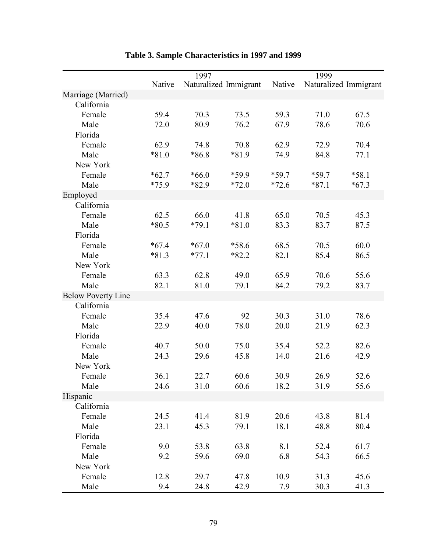|                           |         | 1997    |                       |         | 1999    |                       |
|---------------------------|---------|---------|-----------------------|---------|---------|-----------------------|
|                           | Native  |         | Naturalized Immigrant | Native  |         | Naturalized Immigrant |
| Marriage (Married)        |         |         |                       |         |         |                       |
| California                |         |         |                       |         |         |                       |
| Female                    | 59.4    | 70.3    | 73.5                  | 59.3    | 71.0    | 67.5                  |
| Male                      | 72.0    | 80.9    | 76.2                  | 67.9    | 78.6    | 70.6                  |
| Florida                   |         |         |                       |         |         |                       |
| Female                    | 62.9    | 74.8    | 70.8                  | 62.9    | 72.9    | 70.4                  |
| Male                      | $*81.0$ | *86.8   | *81.9                 | 74.9    | 84.8    | 77.1                  |
| New York                  |         |         |                       |         |         |                       |
| Female                    | $*62.7$ | $*66.0$ | *59.9                 | $*59.7$ | $*59.7$ | $*58.1$               |
| Male                      | $*75.9$ | $*82.9$ | $*72.0$               | $*72.6$ | $*87.1$ | $*67.3$               |
| Employed                  |         |         |                       |         |         |                       |
| California                |         |         |                       |         |         |                       |
| Female                    | 62.5    | 66.0    | 41.8                  | 65.0    | 70.5    | 45.3                  |
| Male                      | $*80.5$ | $*79.1$ | $*81.0$               | 83.3    | 83.7    | 87.5                  |
| Florida                   |         |         |                       |         |         |                       |
| Female                    | $*67.4$ | $*67.0$ | *58.6                 | 68.5    | 70.5    | 60.0                  |
| Male                      | $*81.3$ | $*77.1$ | $*82.2$               | 82.1    | 85.4    | 86.5                  |
| New York                  |         |         |                       |         |         |                       |
| Female                    | 63.3    | 62.8    | 49.0                  | 65.9    | 70.6    | 55.6                  |
| Male                      | 82.1    | 81.0    | 79.1                  | 84.2    | 79.2    | 83.7                  |
| <b>Below Poverty Line</b> |         |         |                       |         |         |                       |
| California                |         |         |                       |         |         |                       |
| Female                    | 35.4    | 47.6    | 92                    | 30.3    | 31.0    | 78.6                  |
| Male                      | 22.9    | 40.0    | 78.0                  | 20.0    | 21.9    | 62.3                  |
| Florida                   |         |         |                       |         |         |                       |
| Female                    | 40.7    | 50.0    | 75.0                  | 35.4    | 52.2    | 82.6                  |
| Male                      | 24.3    | 29.6    | 45.8                  | 14.0    | 21.6    | 42.9                  |
| New York                  |         |         |                       |         |         |                       |
| Female                    | 36.1    | 22.7    | 60.6                  | 30.9    | 26.9    | 52.6                  |
| Male                      | 24.6    | 31.0    | 60.6                  | 18.2    | 31.9    | 55.6                  |
| Hispanic                  |         |         |                       |         |         |                       |
| California                |         |         |                       |         |         |                       |
| Female                    | 24.5    | 41.4    | 81.9                  | 20.6    | 43.8    | 81.4                  |
| Male                      | 23.1    | 45.3    | 79.1                  | 18.1    | 48.8    | 80.4                  |
| Florida                   |         |         |                       |         |         |                       |
| Female                    | 9.0     | 53.8    | 63.8                  | 8.1     | 52.4    | 61.7                  |
| Male                      | 9.2     | 59.6    | 69.0                  | 6.8     | 54.3    | 66.5                  |
| New York                  |         |         |                       |         |         |                       |
| Female                    | 12.8    | 29.7    | 47.8                  | 10.9    | 31.3    | 45.6                  |
| Male                      | 9.4     | 24.8    | 42.9                  | 7.9     | 30.3    | 41.3                  |

# **Table 3. Sample Characteristics in 1997 and 1999**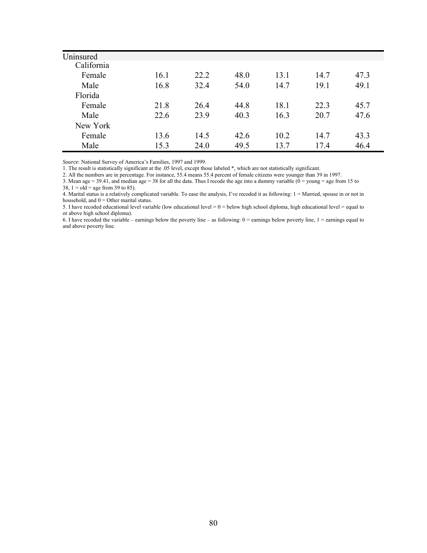| Uninsured  |      |      |      |      |      |      |
|------------|------|------|------|------|------|------|
| California |      |      |      |      |      |      |
| Female     | 16.1 | 22.2 | 48.0 | 13.1 | 14.7 | 47.3 |
| Male       | 16.8 | 32.4 | 54.0 | 14.7 | 19.1 | 49.1 |
| Florida    |      |      |      |      |      |      |
| Female     | 21.8 | 26.4 | 44.8 | 18.1 | 22.3 | 45.7 |
| Male       | 22.6 | 23.9 | 40.3 | 16.3 | 20.7 | 47.6 |
| New York   |      |      |      |      |      |      |
| Female     | 13.6 | 14.5 | 42.6 | 10.2 | 14.7 | 43.3 |
| Male       | 15.3 | 24.0 | 49.5 | 13.7 | 17.4 | 46.4 |

*Source*: National Survey of America's Families, 1997 and 1999.

1. The result is statistically significant at the .05 level, except those labeled \*, which are not statistically significant.

2. All the numbers are in percentage. For instance, 55.4 means 55.4 percent of female citizens were younger than 39 in 1997.

3. Mean age = 39.41, and median age = 38 for all the data. Thus I recode the age into a dummy variable (0 = young = age from 15 to

 $38, 1 = old = age from 39 to 85.$ 

4. Marital status is a relatively complicated variable. To ease the analysis, I've recoded it as following: 1 = Married, spouse in or not in household, and  $0 =$  Other marital status.

5. I have recoded educational level variable (low educational level =  $0 =$  below high school diploma, high educational level = equal to or above high school diploma).

6. I have recoded the variable – earnings below the poverty line – as following:  $0 =$  earnings below poverty line,  $1 =$  earnings equal to and above poverty line.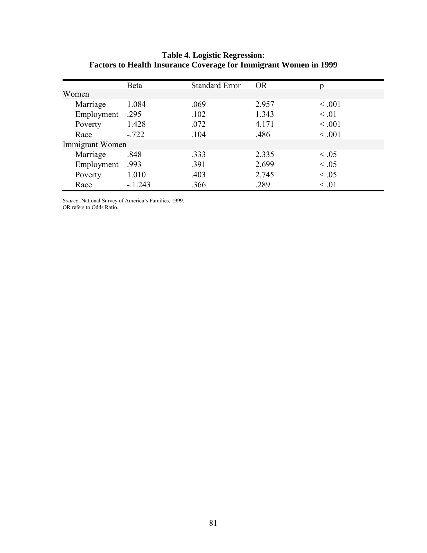#### **Table 4. Logistic Regression: Factors to Health Insurance Coverage for Immigrant Women in 1999**

|                 | Beta     | <b>Standard Error</b> | OR.   | p           |
|-----------------|----------|-----------------------|-------|-------------|
| Women           |          |                       |       |             |
| Marriage        | 1.084    | .069                  | 2.957 | < 0.001     |
| Employment      | .295     | .102                  | 1.343 | $\leq .01$  |
| Poverty         | 1.428    | .072                  | 4.171 | < 0.001     |
| Race            | $-722$   | .104                  | .486  | $\leq .001$ |
| Immigrant Women |          |                       |       |             |
| Marriage        | .848     | .333                  | 2.335 | $\leq .05$  |
| Employment      | .993     | .391                  | 2.699 | $\leq .05$  |
| Poverty         | 1.010    | .403                  | 2.745 | $\leq .05$  |
| Race            | $-1.243$ | .366                  | .289  | $\leq .01$  |

*Source*: National Survey of America's Families, 1999.

OR refers to Odds Ratio.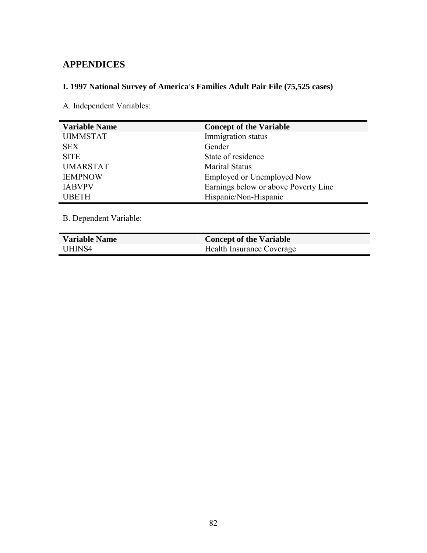# **APPENDICES**

# **I. 1997 National Survey of America's Families Adult Pair File (75,525 cases)**

A. Independent Variables:

| <b>Variable Name</b> | <b>Concept of the Variable</b>       |
|----------------------|--------------------------------------|
| <b>UIMMSTAT</b>      | Immigration status                   |
| <b>SEX</b>           | Gender                               |
| <b>SITE</b>          | State of residence                   |
| <b>UMARSTAT</b>      | <b>Marital Status</b>                |
| <b>IEMPNOW</b>       | <b>Employed or Unemployed Now</b>    |
| <b>IABVPV</b>        | Earnings below or above Poverty Line |
| <b>UBETH</b>         | Hispanic/Non-Hispanic                |

B. Dependent Variable:

| <b>Variable Name</b> | <b>Concept of the Variable</b> |
|----------------------|--------------------------------|
| UHINS4               | Health Insurance Coverage      |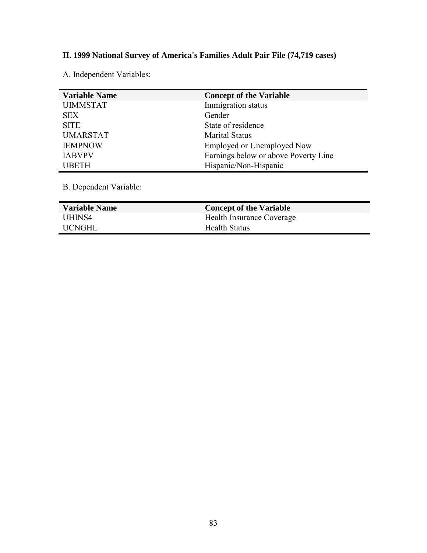# **II. 1999 National Survey of America's Families Adult Pair File (74,719 cases)**

A. Independent Variables:

| <b>Variable Name</b> | <b>Concept of the Variable</b>       |
|----------------------|--------------------------------------|
| <b>UIMMSTAT</b>      | Immigration status                   |
| <b>SEX</b>           | Gender                               |
| <b>SITE</b>          | State of residence                   |
| <b>UMARSTAT</b>      | <b>Marital Status</b>                |
| <b>IEMPNOW</b>       | <b>Employed or Unemployed Now</b>    |
| <b>IABVPV</b>        | Earnings below or above Poverty Line |
| <b>UBETH</b>         | Hispanic/Non-Hispanic                |

B. Dependent Variable:

| <b>Variable Name</b> | <b>Concept of the Variable</b> |
|----------------------|--------------------------------|
| UHINS4               | Health Insurance Coverage      |
| UCNGHL               | <b>Health Status</b>           |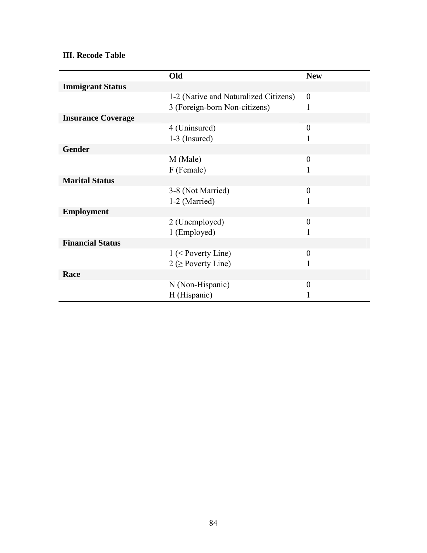### **III. Recode Table**

|                           | Old                                   | <b>New</b>       |
|---------------------------|---------------------------------------|------------------|
| <b>Immigrant Status</b>   |                                       |                  |
|                           | 1-2 (Native and Naturalized Citizens) | $\boldsymbol{0}$ |
|                           | 3 (Foreign-born Non-citizens)         | 1                |
| <b>Insurance Coverage</b> |                                       |                  |
|                           | 4 (Uninsured)                         | $\overline{0}$   |
|                           | $1-3$ (Insured)                       | 1                |
| <b>Gender</b>             |                                       |                  |
|                           | M (Male)                              | $\theta$         |
|                           | F (Female)                            | 1                |
| <b>Marital Status</b>     |                                       |                  |
|                           | 3-8 (Not Married)                     | $\overline{0}$   |
|                           | 1-2 (Married)                         | 1                |
| <b>Employment</b>         |                                       |                  |
|                           | 2 (Unemployed)                        | $\boldsymbol{0}$ |
|                           | 1 (Employed)                          | 1                |
| <b>Financial Status</b>   |                                       |                  |
|                           | $1$ (< Poverty Line)                  | $\theta$         |
|                           | $2 \geq$ Poverty Line)                | 1                |
| Race                      |                                       |                  |
|                           | N (Non-Hispanic)                      | $\theta$         |
|                           | H (Hispanic)                          |                  |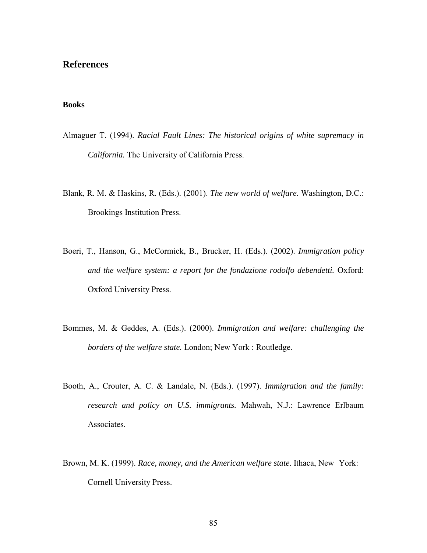### **References**

#### **Books**

- Almaguer T. (1994). *Racial Fault Lines: The historical origins of white supremacy in California.* The University of California Press.
- Blank, R. M. & Haskins, R. (Eds.). (2001). *The new world of welfare*. Washington, D.C.: Brookings Institution Press.
- Boeri, T., Hanson, G., McCormick, B., Brucker, H. (Eds.). (2002). *Immigration policy and the welfare system: a report for the fondazione rodolfo debendetti.* Oxford: Oxford University Press.
- Bommes, M. & Geddes, A. (Eds.). (2000). *Immigration and welfare: challenging the borders of the welfare state.* London; New York : Routledge.
- Booth, A., Crouter, A. C. & Landale, N. (Eds.). (1997). *Immigration and the family: research and policy on U.S. immigrants.* Mahwah, N.J.: Lawrence Erlbaum Associates.
- Brown, M. K. (1999). *Race, money, and the American welfare state*. Ithaca, New York: Cornell University Press.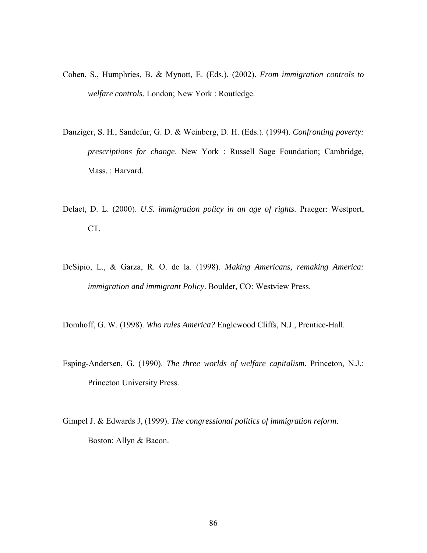- Cohen, S., Humphries, B. & Mynott, E. (Eds.). (2002). *From immigration controls to welfare controls*. London; New York : Routledge.
- Danziger, S. H., Sandefur, G. D. & Weinberg, D. H. (Eds.). (1994). *Confronting poverty: prescriptions for change*. New York : Russell Sage Foundation; Cambridge, Mass. : Harvard.
- Delaet, D. L. (2000). *U.S. immigration policy in an age of rights.* Praeger: Westport, CT.
- DeSipio, L., & Garza, R. O. de la. (1998). *Making Americans, remaking America: immigration and immigrant Policy*. Boulder, CO: Westview Press.

Domhoff, G. W. (1998). *Who rules America?* Englewood Cliffs, N.J., Prentice-Hall.

- Esping-Andersen, G. (1990). *The three worlds of welfare capitalism*. Princeton, N.J.: Princeton University Press.
- Gimpel J. & Edwards J, (1999). *The congressional politics of immigration reform*. Boston: Allyn & Bacon.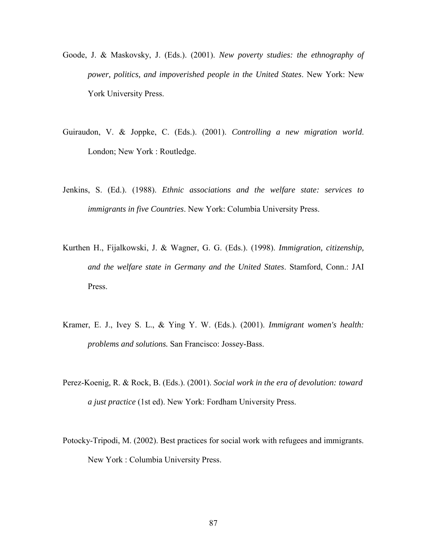- Goode, J. & Maskovsky, J. (Eds.). (2001). *New poverty studies: the ethnography of power, politics, and impoverished people in the United States*. New York: New York University Press.
- Guiraudon, V. & Joppke, C. (Eds.). (2001). *Controlling a new migration world*. London; New York : Routledge.
- Jenkins, S. (Ed.). (1988). *Ethnic associations and the welfare state: services to immigrants in five Countries*. New York: Columbia University Press.
- Kurthen H., Fijalkowski, J. & Wagner, G. G. (Eds.). (1998). *Immigration, citizenship, and the welfare state in Germany and the United States*. Stamford, Conn.: JAI Press.
- Kramer, E. J., Ivey S. L., & Ying Y. W. (Eds.). (2001). *Immigrant women's health: problems and solutions.* San Francisco: Jossey-Bass.
- Perez-Koenig, R. & Rock, B. (Eds.). (2001). *Social work in the era of devolution: toward a just practice* (1st ed). New York: Fordham University Press.
- Potocky-Tripodi, M. (2002). Best practices for social work with refugees and immigrants. New York : Columbia University Press.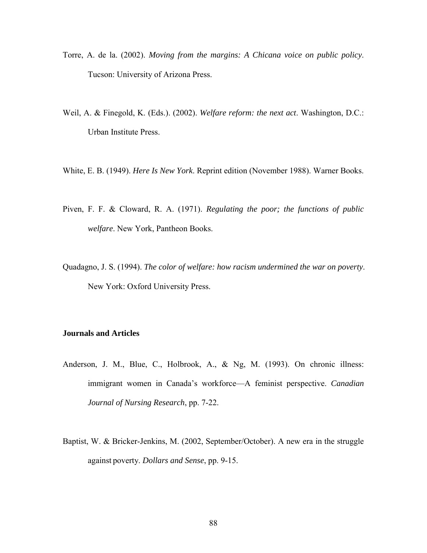- Torre, A. de la. (2002). *Moving from the margins: A Chicana voice on public policy*. Tucson: University of Arizona Press.
- Weil, A. & Finegold, K. (Eds.). (2002). *Welfare reform: the next act*. Washington, D.C.: Urban Institute Press.
- White, E. B. (1949). *Here Is New York*. Reprint edition (November 1988). Warner Books.
- Piven, F. F. & Cloward, R. A. (1971). *Regulating the poor; the functions of public welfare*. New York, Pantheon Books.
- Quadagno, J. S. (1994). *The color of welfare: how racism undermined the war on poverty*. New York: Oxford University Press.

#### **Journals and Articles**

- Anderson, J. M., Blue, C., Holbrook, A., & Ng, M. (1993). On chronic illness: immigrant women in Canada's workforce—A feminist perspective. *Canadian Journal of Nursing Research*, pp. 7-22.
- Baptist, W. & Bricker-Jenkins, M. (2002, September/October). A new era in the struggle against poverty. *Dollars and Sense*, pp. 9-15.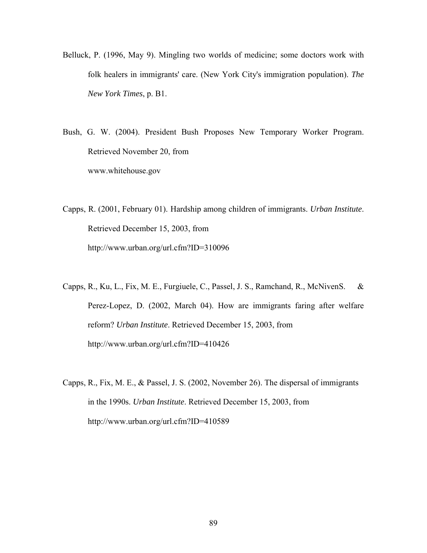Belluck, P. (1996, May 9). Mingling two worlds of medicine; some doctors work with folk healers in immigrants' care. (New York City's immigration population). *The New York Times*, p. B1.

Bush, G. W. (2004). President Bush Proposes New Temporary Worker Program. Retrieved November 20, from www.whitehouse.gov

Capps, R. (2001, February 01). Hardship among children of immigrants. *Urban Institute*. Retrieved December 15, 2003, from http://www.urban.org/url.cfm?ID=310096

Capps, R., Ku, L., Fix, M. E., Furgiuele, C., Passel, J. S., Ramchand, R., McNiven S. & Perez-Lopez, D. (2002, March 04). How are immigrants faring after welfare reform? *Urban Institute*. Retrieved December 15, 2003, from http://www.urban.org/url.cfm?ID=410426

Capps, R., Fix, M. E., & Passel, J. S. (2002, November 26). The dispersal of immigrants in the 1990s. *Urban Institute*. Retrieved December 15, 2003, from http://www.urban.org/url.cfm?ID=410589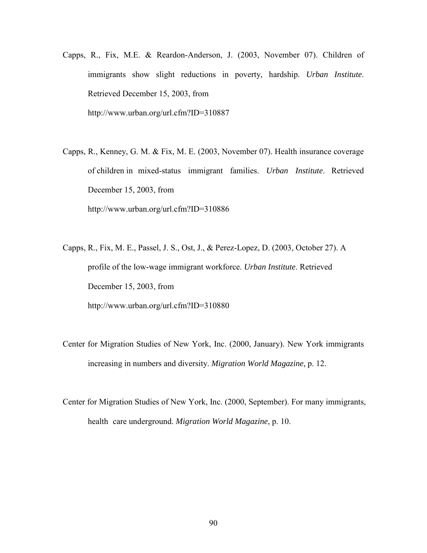- Capps, R., Fix, M.E. & Reardon-Anderson, J. (2003, November 07). Children of immigrants show slight reductions in poverty, hardship. *Urban Institute*. Retrieved December 15, 2003, from http://www.urban.org/url.cfm?ID=310887
- Capps, R., Kenney, G. M. & Fix, M. E. (2003, November 07). Health insurance coverage of children in mixed-status immigrant families. *Urban Institute*. Retrieved December 15, 2003, from http://www.urban.org/url.cfm?ID=310886
- Capps, R., Fix, M. E., Passel, J. S., Ost, J., & Perez-Lopez, D. (2003, October 27). A profile of the low-wage immigrant workforce. *Urban Institute*. Retrieved December 15, 2003, from http://www.urban.org/url.cfm?ID=310880
- Center for Migration Studies of New York, Inc. (2000, January). New York immigrants increasing in numbers and diversity. *Migration World Magazine*, p. 12.
- Center for Migration Studies of New York, Inc. (2000, September). For many immigrants, health care underground. *Migration World Magazine*, p. 10.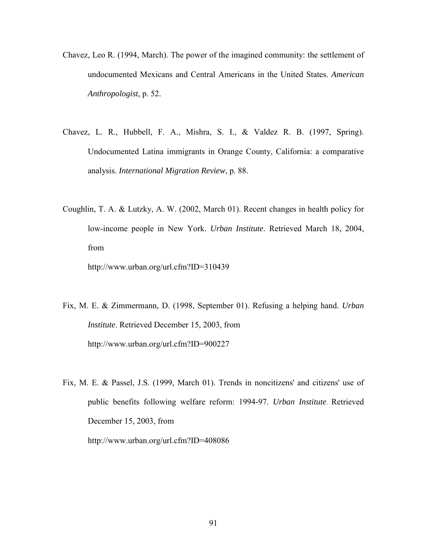- Chavez, Leo R. (1994, March). The power of the imagined community: the settlement of undocumented Mexicans and Central Americans in the United States. *American Anthropologist*, p. 52.
- Chavez, L. R., Hubbell, F. A., Mishra, S. I., & Valdez R. B. (1997, Spring). Undocumented Latina immigrants in Orange County, California: a comparative analysis. *International Migration Review*, p. 88.
- Coughlin, T. A. & Lutzky, A. W. (2002, March 01). Recent changes in health policy for low-income people in New York. *Urban Institute*. Retrieved March 18, 2004, from

http://www.urban.org/url.cfm?ID=310439

- Fix, M. E. & Zimmermann, D. (1998, September 01). Refusing a helping hand. *Urban Institute*. Retrieved December 15, 2003, from http://www.urban.org/url.cfm?ID=900227
- Fix, M. E. & Passel, J.S. (1999, March 01). Trends in noncitizens' and citizens' use of public benefits following welfare reform: 1994-97. *Urban Institute*. Retrieved December 15, 2003, from http://www.urban.org/url.cfm?ID=408086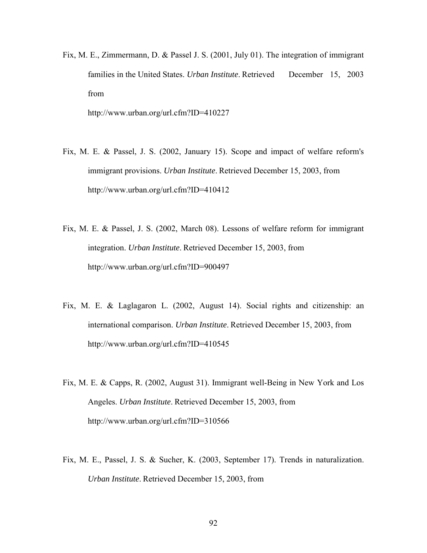Fix, M. E., Zimmermann, D. & Passel J. S. (2001, July 01). The integration of immigrant families in the United States. *Urban Institute*. Retrieved December 15, 2003 from

http://www.urban.org/url.cfm?ID=410227

- Fix, M. E. & Passel, J. S. (2002, January 15). Scope and impact of welfare reform's immigrant provisions. *Urban Institute*. Retrieved December 15, 2003, from http://www.urban.org/url.cfm?ID=410412
- Fix, M. E. & Passel, J. S. (2002, March 08). Lessons of welfare reform for immigrant integration. *Urban Institute*. Retrieved December 15, 2003, from http://www.urban.org/url.cfm?ID=900497
- Fix, M. E. & Laglagaron L. (2002, August 14). Social rights and citizenship: an international comparison. *Urban Institute*. Retrieved December 15, 2003, from http://www.urban.org/url.cfm?ID=410545
- Fix, M. E. & Capps, R. (2002, August 31). Immigrant well-Being in New York and Los Angeles. *Urban Institute*. Retrieved December 15, 2003, from http://www.urban.org/url.cfm?ID=310566
- Fix, M. E., Passel, J. S. & Sucher, K. (2003, September 17). Trends in naturalization. *Urban Institute*. Retrieved December 15, 2003, from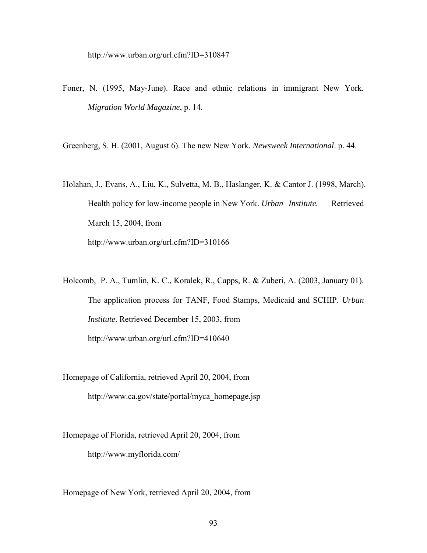- Foner, N. (1995, May-June). Race and ethnic relations in immigrant New York. *Migration World Magazine*, p. 14.
- Greenberg, S. H. (2001, August 6). The new New York. *Newsweek International*. p. 44.
- Holahan, J., Evans, A., Liu, K., Sulvetta, M. B., Haslanger, K. & Cantor J. (1998, March). Health policy for low-income people in New York. *Urban Institute.* Retrieved March 15, 2004, from http://www.urban.org/url.cfm?ID=310166
- Holcomb, P. A., Tumlin, K. C., Koralek, R., Capps, R. & Zuberi, A. (2003, January 01). The application process for TANF, Food Stamps, Medicaid and SCHIP. *Urban Institute*. Retrieved December 15, 2003, from http://www.urban.org/url.cfm?ID=410640
- Homepage of California, retrieved April 20, 2004, from http://www.ca.gov/state/portal/myca\_homepage.jsp
- Homepage of Florida, retrieved April 20, 2004, from http://www.myflorida.com/

Homepage of New York, retrieved April 20, 2004, from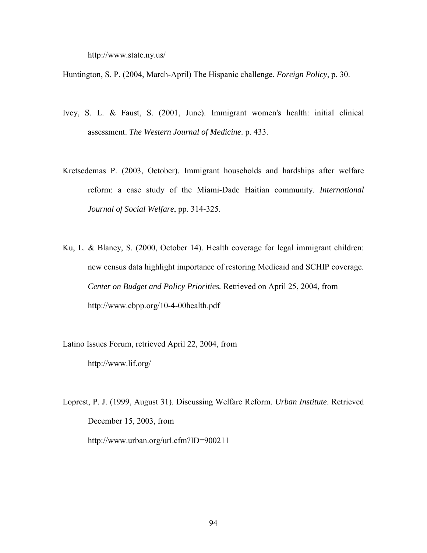http://www.state.ny.us/

Huntington, S. P. (2004, March-April) The Hispanic challenge. *Foreign Policy*, p. 30.

- Ivey, S. L. & Faust, S. (2001, June). Immigrant women's health: initial clinical assessment. *The Western Journal of Medicine*. p. 433.
- Kretsedemas P. (2003, October). Immigrant households and hardships after welfare reform: a case study of the Miami-Dade Haitian community. *International Journal of Social Welfare*, pp. 314-325.
- Ku, L. & Blaney, S. (2000, October 14). Health coverage for legal immigrant children: new census data highlight importance of restoring Medicaid and SCHIP coverage. *Center on Budget and Policy Priorities.* Retrieved on April 25, 2004, from http://www.cbpp.org/10-4-00health.pdf

Latino Issues Forum, retrieved April 22, 2004, from http://www.lif.org/

Loprest, P. J. (1999, August 31). Discussing Welfare Reform. *Urban Institute*. Retrieved December 15, 2003, from http://www.urban.org/url.cfm?ID=900211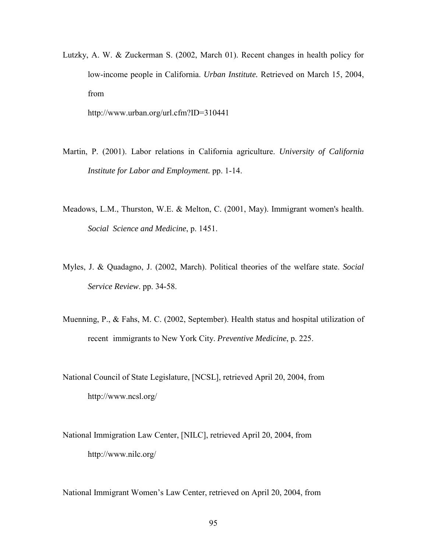Lutzky, A. W. & Zuckerman S. (2002, March 01). Recent changes in health policy for low-income people in California. *Urban Institute.* Retrieved on March 15, 2004, from

http://www.urban.org/url.cfm?ID=310441

- Martin, P. (2001). Labor relations in California agriculture. *University of California Institute for Labor and Employment.* pp. 1-14.
- Meadows, L.M., Thurston, W.E. & Melton, C. (2001, May). Immigrant women's health. *Social Science and Medicine*, p. 1451.
- Myles, J. & Quadagno, J. (2002, March). Political theories of the welfare state. *Social Service Review*. pp. 34-58.
- Muenning, P., & Fahs, M. C. (2002, September). Health status and hospital utilization of recent immigrants to New York City. *Preventive Medicine*, p. 225.
- National Council of State Legislature, [NCSL], retrieved April 20, 2004, from http://www.ncsl.org/
- National Immigration Law Center, [NILC], retrieved April 20, 2004, from http://www.nilc.org/

National Immigrant Women's Law Center, retrieved on April 20, 2004, from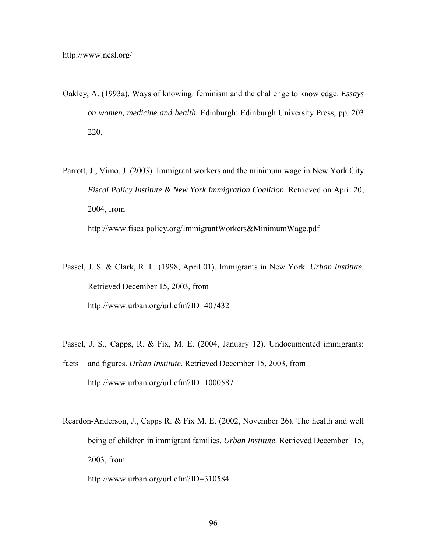- Oakley, A. (1993a). Ways of knowing: feminism and the challenge to knowledge. *Essays on women, medicine and health*. Edinburgh: Edinburgh University Press, pp. 203 220.
- Parrott, J., Vimo, J. (2003). Immigrant workers and the minimum wage in New York City. *Fiscal Policy Institute & New York Immigration Coalition.* Retrieved on April 20, 2004, from http://www.fiscalpolicy.org/ImmigrantWorkers&MinimumWage.pdf
- Passel, J. S. & Clark, R. L. (1998, April 01). Immigrants in New York. *Urban Institute.* Retrieved December 15, 2003, from http://www.urban.org/url.cfm?ID=407432
- Passel, J. S., Capps, R. & Fix, M. E. (2004, January 12). Undocumented immigrants:
- facts and figures. *Urban Institute*. Retrieved December 15, 2003, from http://www.urban.org/url.cfm?ID=1000587
- Reardon-Anderson, J., Capps R. & Fix M. E. (2002, November 26). The health and well being of children in immigrant families. *Urban Institute*. Retrieved December 15, 2003, from
	- http://www.urban.org/url.cfm?ID=310584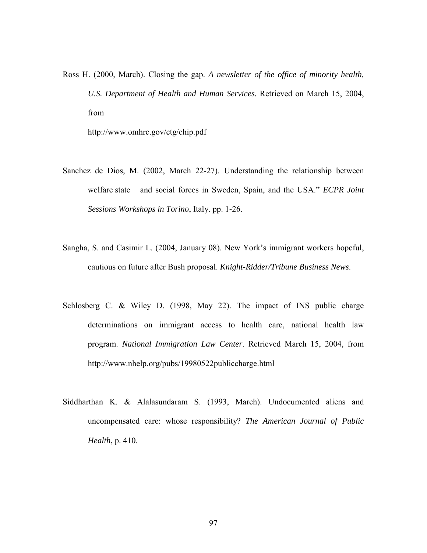Ross H. (2000, March). Closing the gap. *A newsletter of the office of minority health, U.S. Department of Health and Human Services.* Retrieved on March 15, 2004, from

http://www.omhrc.gov/ctg/chip.pdf

- Sanchez de Dios, M. (2002, March 22-27). Understanding the relationship between welfare state and social forces in Sweden, Spain, and the USA." *ECPR Joint Sessions Workshops in Torino*, Italy. pp. 1-26.
- Sangha, S. and Casimir L. (2004, January 08). New York's immigrant workers hopeful, cautious on future after Bush proposal. *Knight-Ridder/Tribune Business News*.
- Schlosberg C. & Wiley D. (1998, May 22). The impact of INS public charge determinations on immigrant access to health care, national health law program. *National Immigration Law Center*. Retrieved March 15, 2004, from http://www.nhelp.org/pubs/19980522publiccharge.html
- Siddharthan K. & Alalasundaram S. (1993, March). Undocumented aliens and uncompensated care: whose responsibility? *The American Journal of Public Health*, p. 410.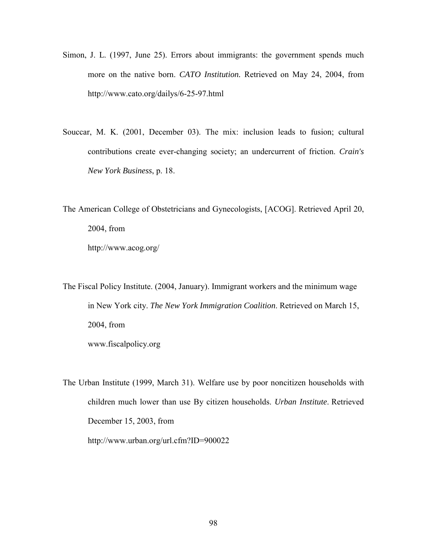- Simon, J. L. (1997, June 25). Errors about immigrants: the government spends much more on the native born. *CATO Institution.* Retrieved on May 24, 2004, from http://www.cato.org/dailys/6-25-97.html
- Souccar, M. K. (2001, December 03). The mix: inclusion leads to fusion; cultural contributions create ever-changing society; an undercurrent of friction. *Crain's New York Business*, p. 18.
- The American College of Obstetricians and Gynecologists, [ACOG]. Retrieved April 20, 2004, from http://www.acog.org/

The Fiscal Policy Institute. (2004, January). Immigrant workers and the minimum wage in New York city. *The New York Immigration Coalition*. Retrieved on March 15, 2004, from www.fiscalpolicy.org

The Urban Institute (1999, March 31). Welfare use by poor noncitizen households with children much lower than use By citizen households. *Urban Institute*. Retrieved December 15, 2003, from http://www.urban.org/url.cfm?ID=900022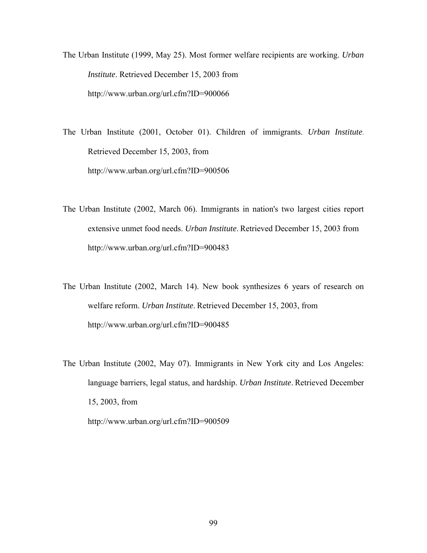The Urban Institute (1999, May 25). Most former welfare recipients are working. *Urban Institute*. Retrieved December 15, 2003 from http://www.urban.org/url.cfm?ID=900066

The Urban Institute (2001, October 01). Children of immigrants. *Urban Institute*. Retrieved December 15, 2003, from http://www.urban.org/url.cfm?ID=900506

- The Urban Institute (2002, March 06). Immigrants in nation's two largest cities report extensive unmet food needs. *Urban Institute*. Retrieved December 15, 2003 from http://www.urban.org/url.cfm?ID=900483
- The Urban Institute (2002, March 14). New book synthesizes 6 years of research on welfare reform. *Urban Institute*. Retrieved December 15, 2003, from http://www.urban.org/url.cfm?ID=900485
- The Urban Institute (2002, May 07). Immigrants in New York city and Los Angeles: language barriers, legal status, and hardship. *Urban Institute*. Retrieved December 15, 2003, from

http://www.urban.org/url.cfm?ID=900509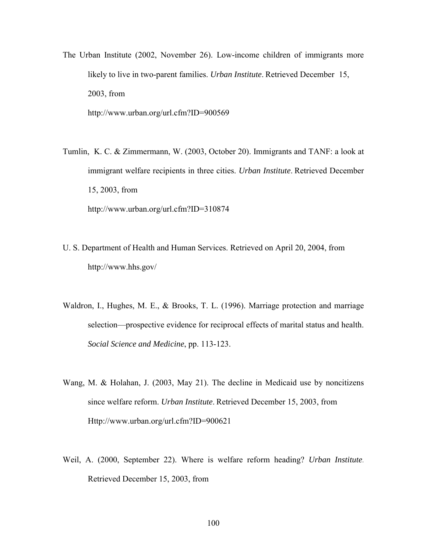- The Urban Institute (2002, November 26). Low-income children of immigrants more likely to live in two-parent families. *Urban Institute*. Retrieved December 15, 2003, from http://www.urban.org/url.cfm?ID=900569
- Tumlin, K. C. & Zimmermann, W. (2003, October 20). Immigrants and TANF: a look at immigrant welfare recipients in three cities. *Urban Institute*. Retrieved December 15, 2003, from

http://www.urban.org/url.cfm?ID=310874

- U. S. Department of Health and Human Services. Retrieved on April 20, 2004, from http://www.hhs.gov/
- Waldron, I., Hughes, M. E., & Brooks, T. L. (1996). Marriage protection and marriage selection—prospective evidence for reciprocal effects of marital status and health. *Social Science and Medicine*, pp. 113-123.
- Wang, M. & Holahan, J. (2003, May 21). The decline in Medicaid use by noncitizens since welfare reform. *Urban Institute*. Retrieved December 15, 2003, from Http://www.urban.org/url.cfm?ID=900621
- Weil, A. (2000, September 22). Where is welfare reform heading? *Urban Institute*. Retrieved December 15, 2003, from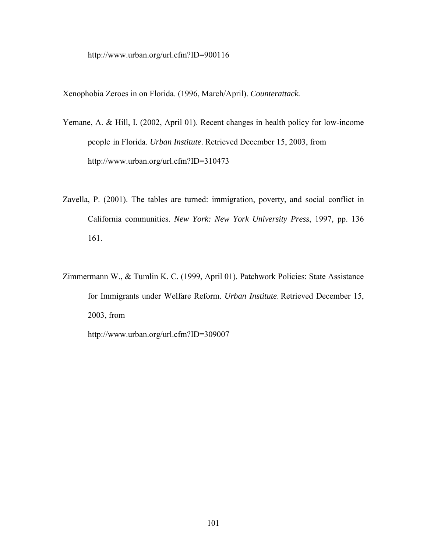http://www.urban.org/url.cfm?ID=900116

Xenophobia Zeroes in on Florida. (1996, March/April). *Counterattack.* 

- Yemane, A. & Hill, I. (2002, April 01). Recent changes in health policy for low-income people in Florida. *Urban Institute*. Retrieved December 15, 2003, from http://www.urban.org/url.cfm?ID=310473
- Zavella, P. (2001). The tables are turned: immigration, poverty, and social conflict in California communities. *New York: New York University Press*, 1997, pp. 136 161.
- Zimmermann W., & Tumlin K. C. (1999, April 01). Patchwork Policies: State Assistance for Immigrants under Welfare Reform. *Urban Institute*. Retrieved December 15, 2003, from

http://www.urban.org/url.cfm?ID=309007